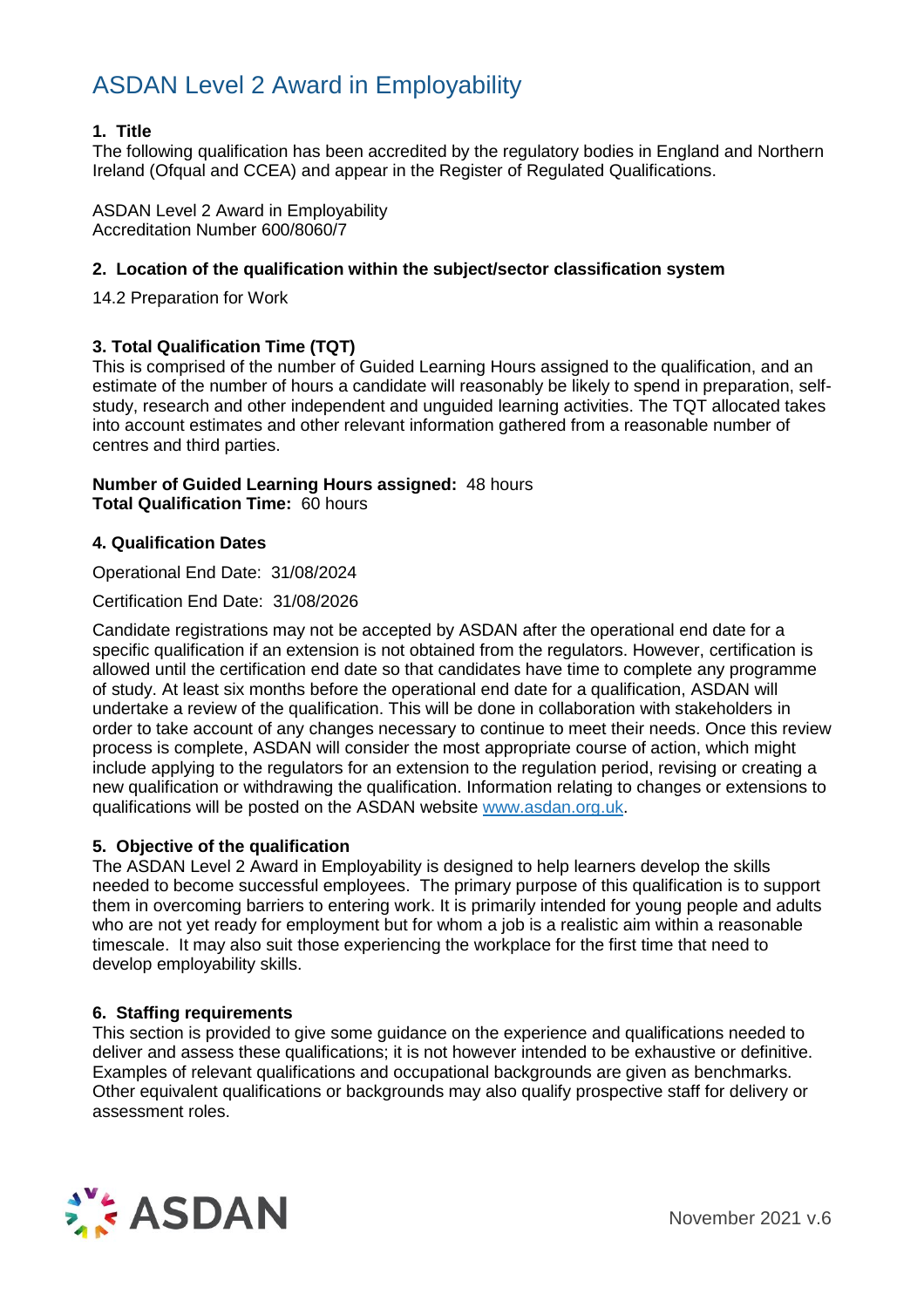#### **1. Title**

The following qualification has been accredited by the regulatory bodies in England and Northern Ireland (Ofqual and CCEA) and appear in the Register of Regulated Qualifications.

ASDAN Level 2 Award in Employability Accreditation Number 600/8060/7

#### **2. Location of the qualification within the subject/sector classification system**

14.2 Preparation for Work

#### **3. Total Qualification Time (TQT)**

This is comprised of the number of Guided Learning Hours assigned to the qualification, and an estimate of the number of hours a candidate will reasonably be likely to spend in preparation, selfstudy, research and other independent and unguided learning activities. The TQT allocated takes into account estimates and other relevant information gathered from a reasonable number of centres and third parties.

#### **Number of Guided Learning Hours assigned:** 48 hours **Total Qualification Time:** 60 hours

#### **4. Qualification Dates**

Operational End Date: 31/08/2024

Certification End Date: 31/08/2026

Candidate registrations may not be accepted by ASDAN after the operational end date for a specific qualification if an extension is not obtained from the regulators. However, certification is allowed until the certification end date so that candidates have time to complete any programme of study. At least six months before the operational end date for a qualification, ASDAN will undertake a review of the qualification. This will be done in collaboration with stakeholders in order to take account of any changes necessary to continue to meet their needs. Once this review process is complete, ASDAN will consider the most appropriate course of action, which might include applying to the regulators for an extension to the regulation period, revising or creating a new qualification or withdrawing the qualification. Information relating to changes or extensions to qualifications will be posted on the ASDAN website [www.asdan.org.uk.](http://www.asdan.org.uk/)

#### **5. Objective of the qualification**

The ASDAN Level 2 Award in Employability is designed to help learners develop the skills needed to become successful employees. The primary purpose of this qualification is to support them in overcoming barriers to entering work. It is primarily intended for young people and adults who are not yet ready for employment but for whom a job is a realistic aim within a reasonable timescale. It may also suit those experiencing the workplace for the first time that need to develop employability skills.

#### **6. Staffing requirements**

This section is provided to give some guidance on the experience and qualifications needed to deliver and assess these qualifications; it is not however intended to be exhaustive or definitive. Examples of relevant qualifications and occupational backgrounds are given as benchmarks. Other equivalent qualifications or backgrounds may also qualify prospective staff for delivery or assessment roles.

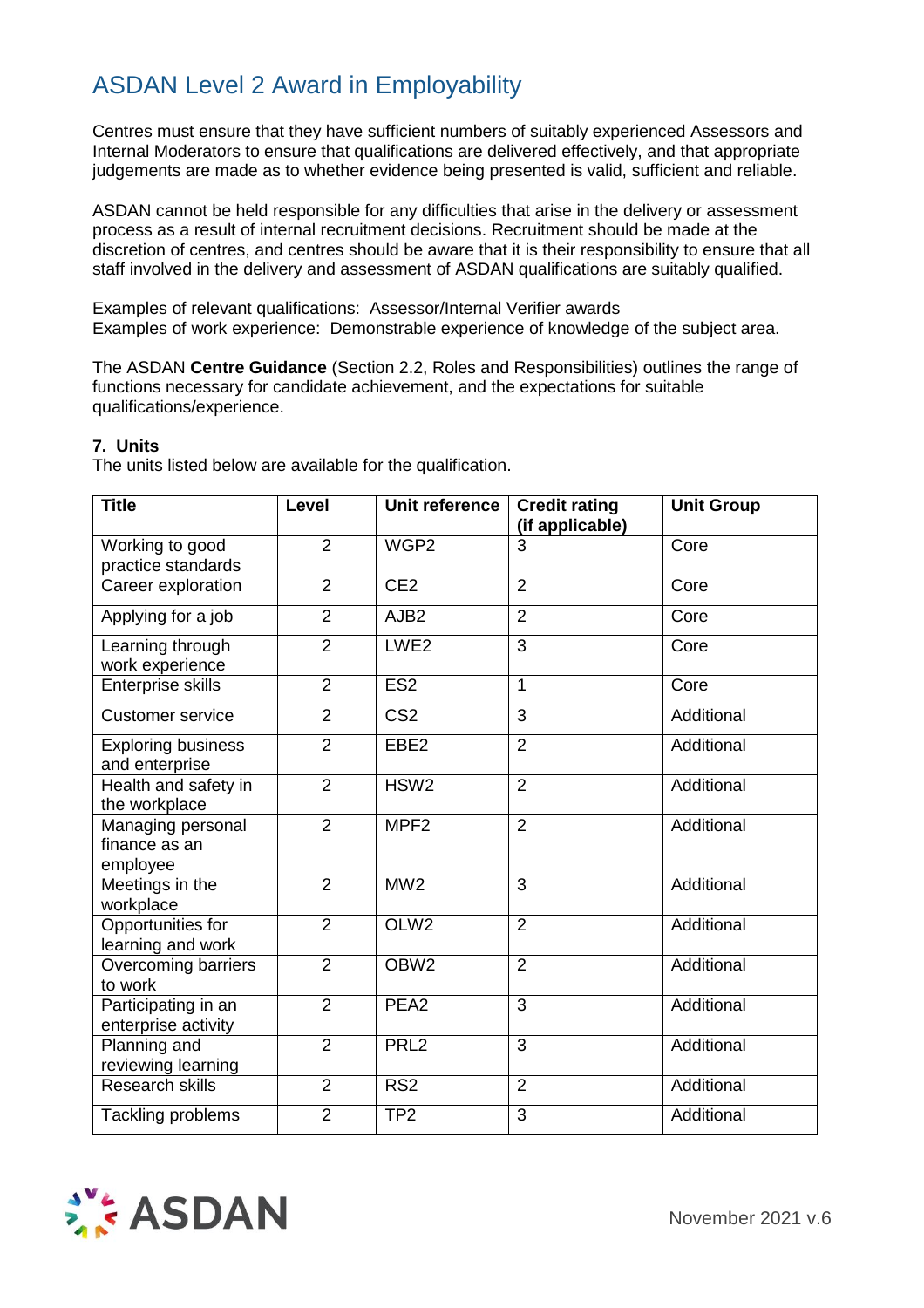Centres must ensure that they have sufficient numbers of suitably experienced Assessors and Internal Moderators to ensure that qualifications are delivered effectively, and that appropriate judgements are made as to whether evidence being presented is valid, sufficient and reliable.

ASDAN cannot be held responsible for any difficulties that arise in the delivery or assessment process as a result of internal recruitment decisions. Recruitment should be made at the discretion of centres, and centres should be aware that it is their responsibility to ensure that all staff involved in the delivery and assessment of ASDAN qualifications are suitably qualified.

Examples of relevant qualifications: Assessor/Internal Verifier awards Examples of work experience: Demonstrable experience of knowledge of the subject area.

The ASDAN **Centre Guidance** (Section 2.2, Roles and Responsibilities) outlines the range of functions necessary for candidate achievement, and the expectations for suitable qualifications/experience.

#### **7. Units**

The units listed below are available for the qualification.

| <b>Title</b>                                   | Level          | Unit reference          | <b>Credit rating</b><br>(if applicable) | <b>Unit Group</b> |
|------------------------------------------------|----------------|-------------------------|-----------------------------------------|-------------------|
| Working to good<br>practice standards          | $\overline{2}$ | WGP <sub>2</sub>        | 3                                       | Core              |
| Career exploration                             | $\overline{2}$ | CE2                     | $\overline{2}$                          | Core              |
| Applying for a job                             | $\overline{2}$ | AJB <sub>2</sub>        | $\overline{2}$                          | Core              |
| Learning through<br>work experience            | $\overline{2}$ | LWE <sub>2</sub>        | $\overline{3}$                          | Core              |
| <b>Enterprise skills</b>                       | $\overline{2}$ | ES <sub>2</sub>         | 1                                       | Core              |
| <b>Customer service</b>                        | $\overline{2}$ | $\overline{\text{CS2}}$ | 3                                       | Additional        |
| <b>Exploring business</b><br>and enterprise    | $\overline{2}$ | EBE <sub>2</sub>        | $\overline{2}$                          | Additional        |
| Health and safety in<br>the workplace          | $\overline{2}$ | HSW <sub>2</sub>        | $\overline{2}$                          | Additional        |
| Managing personal<br>finance as an<br>employee | $\overline{2}$ | MPF <sub>2</sub>        | $\overline{2}$                          | Additional        |
| Meetings in the<br>workplace                   | $\overline{2}$ | MW <sub>2</sub>         | 3                                       | Additional        |
| Opportunities for<br>learning and work         | $\overline{2}$ | OLW <sub>2</sub>        | $\overline{2}$                          | Additional        |
| Overcoming barriers<br>to work                 | $\overline{2}$ | OBW <sub>2</sub>        | $\overline{2}$                          | Additional        |
| Participating in an<br>enterprise activity     | $\overline{2}$ | PEA <sub>2</sub>        | $\overline{3}$                          | Additional        |
| Planning and<br>reviewing learning             | $\overline{2}$ | PRL <sub>2</sub>        | 3                                       | Additional        |
| <b>Research skills</b>                         | $\overline{2}$ | RS <sub>2</sub>         | $\overline{2}$                          | Additional        |
| Tackling problems                              | $\overline{2}$ | TP <sub>2</sub>         | 3                                       | Additional        |

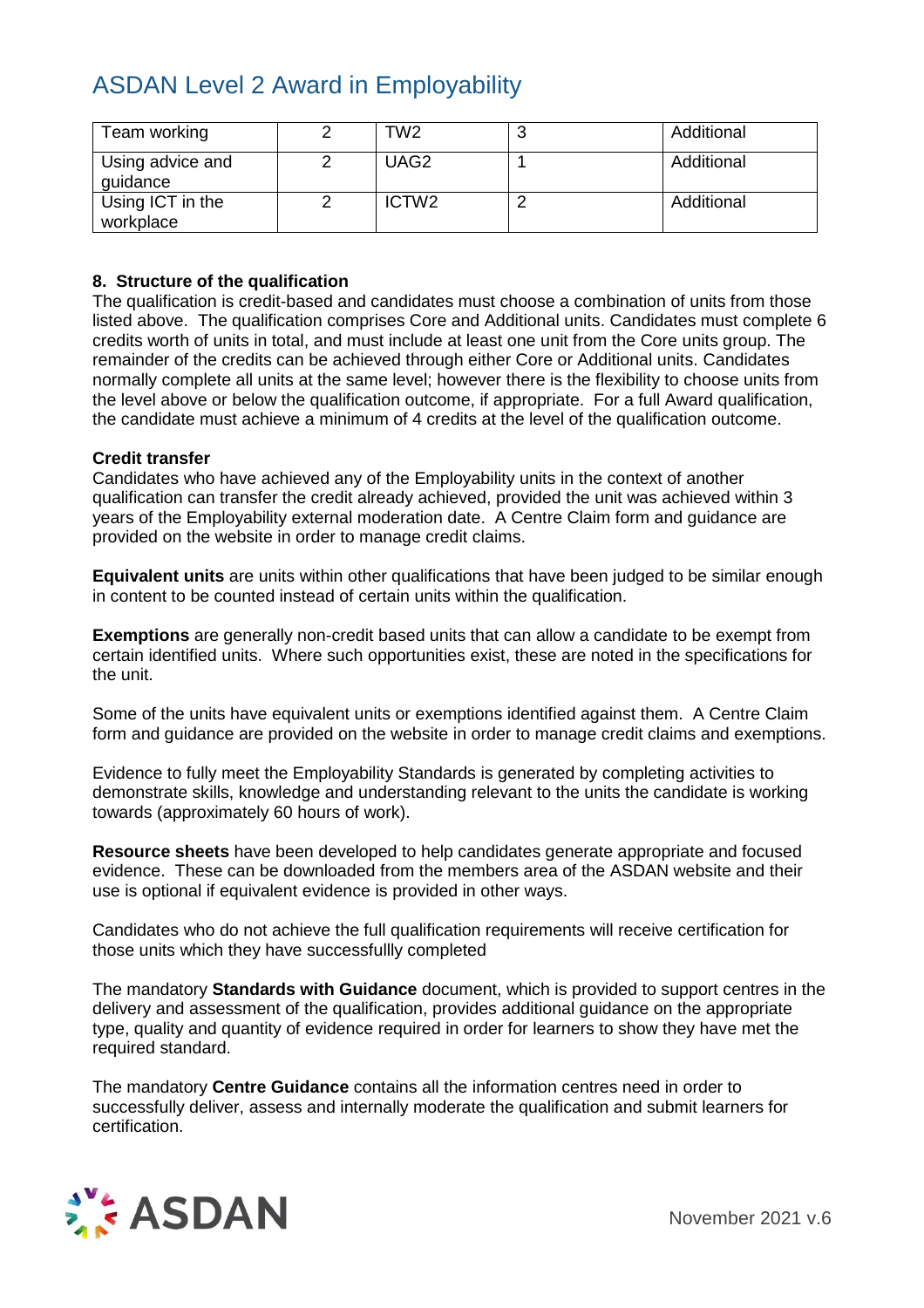| Team working                  | TW2               | N | Additional |
|-------------------------------|-------------------|---|------------|
| Using advice and<br>guidance  | UAG <sub>2</sub>  |   | Additional |
| Using ICT in the<br>workplace | ICTW <sub>2</sub> |   | Additional |

#### **8. Structure of the qualification**

The qualification is credit-based and candidates must choose a combination of units from those listed above. The qualification comprises Core and Additional units. Candidates must complete 6 credits worth of units in total, and must include at least one unit from the Core units group. The remainder of the credits can be achieved through either Core or Additional units. Candidates normally complete all units at the same level; however there is the flexibility to choose units from the level above or below the qualification outcome, if appropriate. For a full Award qualification, the candidate must achieve a minimum of 4 credits at the level of the qualification outcome.

#### **Credit transfer**

Candidates who have achieved any of the Employability units in the context of another qualification can transfer the credit already achieved, provided the unit was achieved within 3 years of the Employability external moderation date. A Centre Claim form and guidance are provided on the website in order to manage credit claims.

**Equivalent units** are units within other qualifications that have been judged to be similar enough in content to be counted instead of certain units within the qualification.

**Exemptions** are generally non-credit based units that can allow a candidate to be exempt from certain identified units. Where such opportunities exist, these are noted in the specifications for the unit.

Some of the units have equivalent units or exemptions identified against them. A Centre Claim form and guidance are provided on the website in order to manage credit claims and exemptions.

Evidence to fully meet the Employability Standards is generated by completing activities to demonstrate skills, knowledge and understanding relevant to the units the candidate is working towards (approximately 60 hours of work).

**Resource sheets** have been developed to help candidates generate appropriate and focused evidence. These can be downloaded from the members area of the ASDAN website and their use is optional if equivalent evidence is provided in other ways.

Candidates who do not achieve the full qualification requirements will receive certification for those units which they have successfullly completed

The mandatory **Standards with Guidance** document, which is provided to support centres in the delivery and assessment of the qualification, provides additional guidance on the appropriate type, quality and quantity of evidence required in order for learners to show they have met the required standard.

The mandatory **Centre Guidance** contains all the information centres need in order to successfully deliver, assess and internally moderate the qualification and submit learners for certification.



November 2021 v.6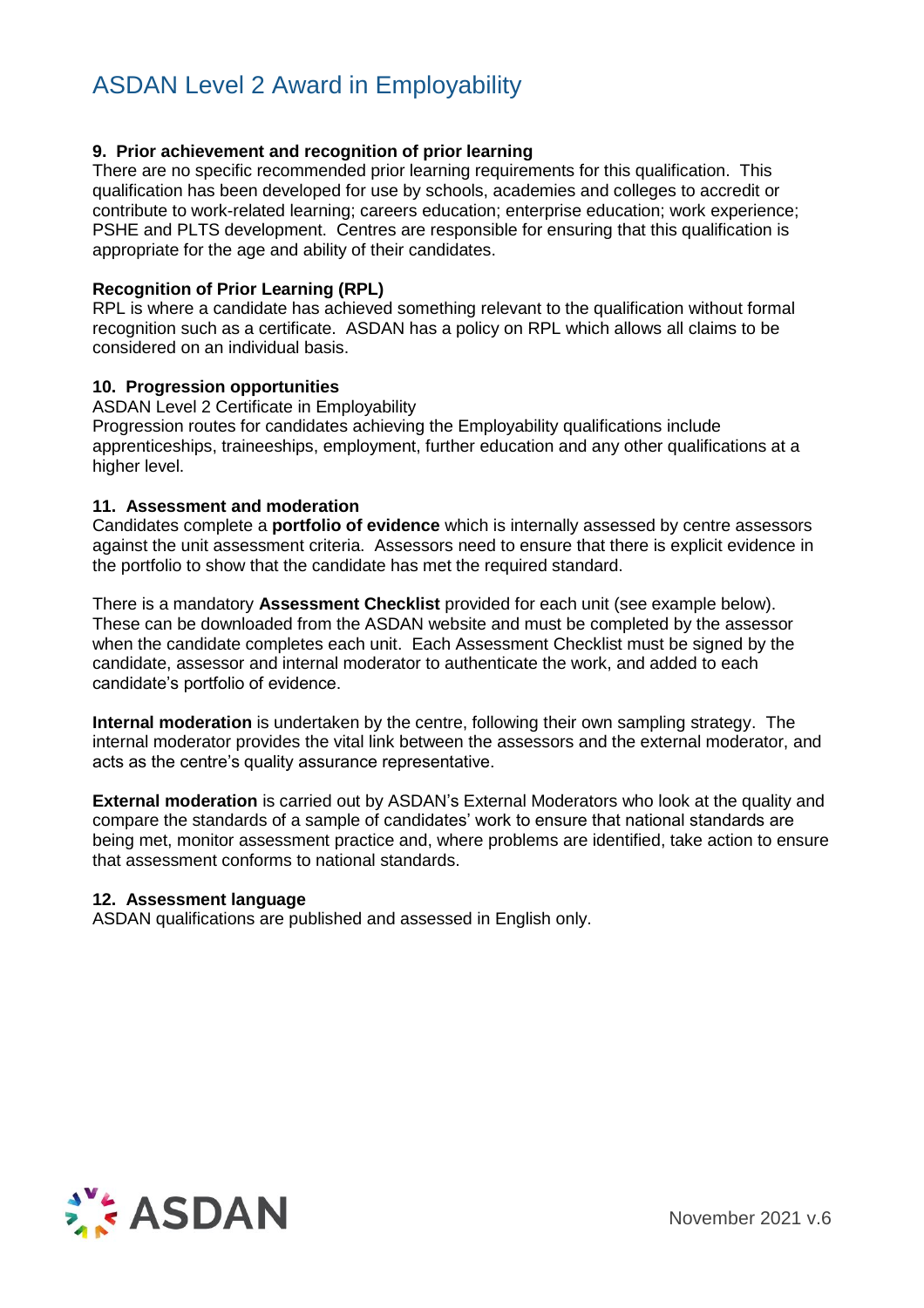#### **9. Prior achievement and recognition of prior learning**

There are no specific recommended prior learning requirements for this qualification. This qualification has been developed for use by schools, academies and colleges to accredit or contribute to work-related learning; careers education; enterprise education; work experience; PSHE and PLTS development. Centres are responsible for ensuring that this qualification is appropriate for the age and ability of their candidates.

#### **Recognition of Prior Learning (RPL)**

RPL is where a candidate has achieved something relevant to the qualification without formal recognition such as a certificate. ASDAN has a policy on RPL which allows all claims to be considered on an individual basis.

#### **10. Progression opportunities**

ASDAN Level 2 Certificate in Employability

Progression routes for candidates achieving the Employability qualifications include apprenticeships, traineeships, employment, further education and any other qualifications at a higher level.

#### **11. Assessment and moderation**

Candidates complete a **portfolio of evidence** which is internally assessed by centre assessors against the unit assessment criteria. Assessors need to ensure that there is explicit evidence in the portfolio to show that the candidate has met the required standard.

There is a mandatory **Assessment Checklist** provided for each unit (see example below). These can be downloaded from the ASDAN website and must be completed by the assessor when the candidate completes each unit. Each Assessment Checklist must be signed by the candidate, assessor and internal moderator to authenticate the work, and added to each candidate's portfolio of evidence.

**Internal moderation** is undertaken by the centre, following their own sampling strategy. The internal moderator provides the vital link between the assessors and the external moderator, and acts as the centre's quality assurance representative.

**External moderation** is carried out by ASDAN's External Moderators who look at the quality and compare the standards of a sample of candidates' work to ensure that national standards are being met, monitor assessment practice and, where problems are identified, take action to ensure that assessment conforms to national standards.

#### **12. Assessment language**

ASDAN qualifications are published and assessed in English only.

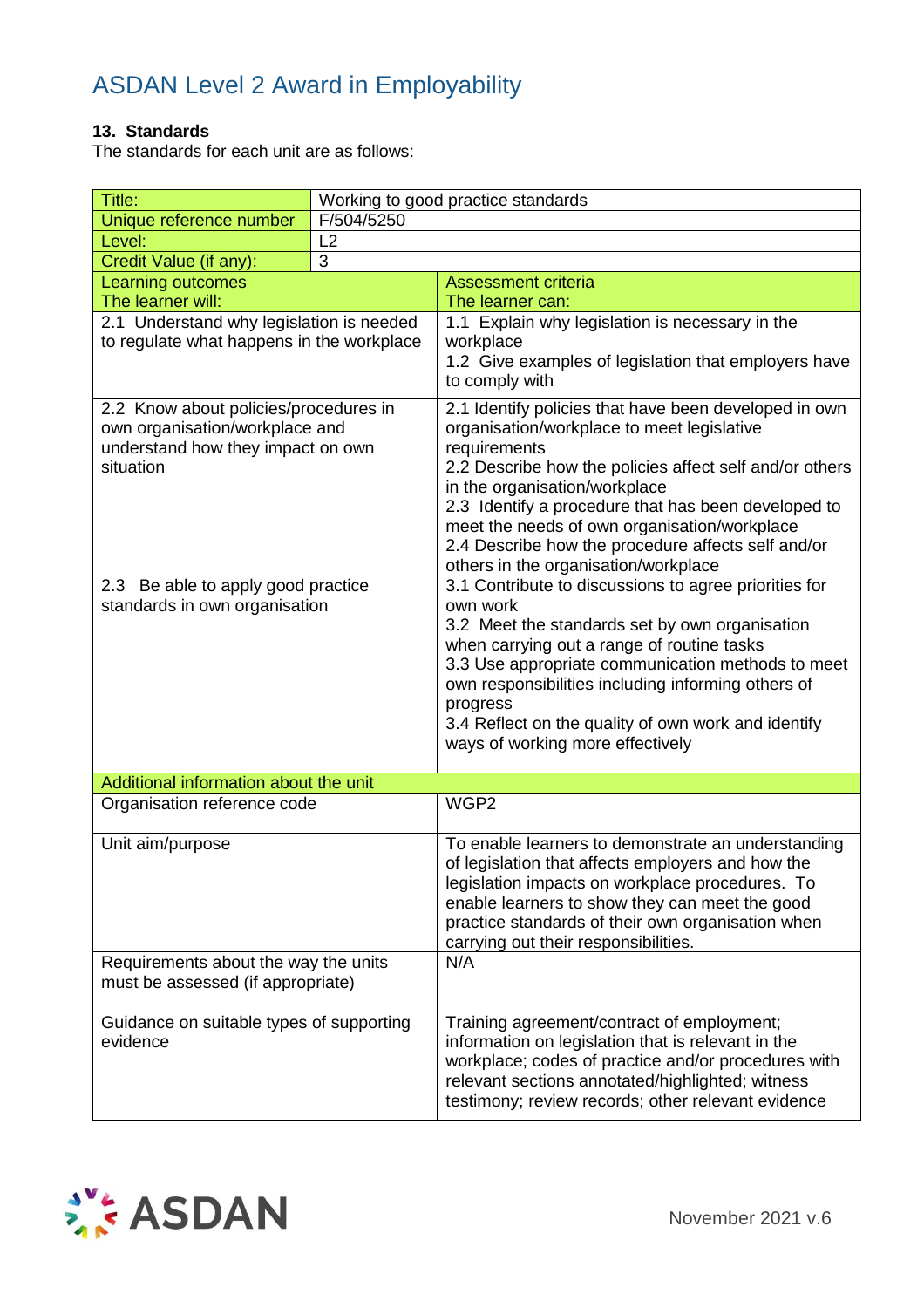#### **13. Standards**

The standards for each unit are as follows:

| Title:                                                                                                       | Working to good practice standards |                                                                                                                                                                                                                                                                                                           |
|--------------------------------------------------------------------------------------------------------------|------------------------------------|-----------------------------------------------------------------------------------------------------------------------------------------------------------------------------------------------------------------------------------------------------------------------------------------------------------|
| Unique reference number                                                                                      | F/504/5250                         |                                                                                                                                                                                                                                                                                                           |
| Level:                                                                                                       | L2                                 |                                                                                                                                                                                                                                                                                                           |
| Credit Value (if any):                                                                                       | 3                                  | <b>Assessment criteria</b>                                                                                                                                                                                                                                                                                |
| <b>Learning outcomes</b><br>The learner will:                                                                |                                    | The learner can:                                                                                                                                                                                                                                                                                          |
| 2.1 Understand why legislation is needed                                                                     |                                    | 1.1 Explain why legislation is necessary in the                                                                                                                                                                                                                                                           |
| to regulate what happens in the workplace                                                                    |                                    | workplace                                                                                                                                                                                                                                                                                                 |
|                                                                                                              |                                    | 1.2 Give examples of legislation that employers have<br>to comply with                                                                                                                                                                                                                                    |
| 2.2 Know about policies/procedures in<br>own organisation/workplace and<br>understand how they impact on own |                                    | 2.1 Identify policies that have been developed in own<br>organisation/workplace to meet legislative<br>requirements                                                                                                                                                                                       |
| situation                                                                                                    |                                    | 2.2 Describe how the policies affect self and/or others<br>in the organisation/workplace<br>2.3 Identify a procedure that has been developed to                                                                                                                                                           |
|                                                                                                              |                                    | meet the needs of own organisation/workplace<br>2.4 Describe how the procedure affects self and/or                                                                                                                                                                                                        |
| 2.3 Be able to apply good practice                                                                           |                                    | others in the organisation/workplace<br>3.1 Contribute to discussions to agree priorities for                                                                                                                                                                                                             |
| standards in own organisation                                                                                |                                    | own work                                                                                                                                                                                                                                                                                                  |
|                                                                                                              |                                    | 3.2 Meet the standards set by own organisation                                                                                                                                                                                                                                                            |
|                                                                                                              |                                    | when carrying out a range of routine tasks                                                                                                                                                                                                                                                                |
|                                                                                                              |                                    | 3.3 Use appropriate communication methods to meet<br>own responsibilities including informing others of                                                                                                                                                                                                   |
|                                                                                                              |                                    | progress<br>3.4 Reflect on the quality of own work and identify                                                                                                                                                                                                                                           |
|                                                                                                              |                                    | ways of working more effectively                                                                                                                                                                                                                                                                          |
| Additional information about the unit                                                                        |                                    |                                                                                                                                                                                                                                                                                                           |
| Organisation reference code                                                                                  |                                    | WGP2                                                                                                                                                                                                                                                                                                      |
| Unit aim/purpose                                                                                             |                                    | To enable learners to demonstrate an understanding<br>of legislation that affects employers and how the<br>legislation impacts on workplace procedures. To<br>enable learners to show they can meet the good<br>practice standards of their own organisation when<br>carrying out their responsibilities. |
| Requirements about the way the units<br>must be assessed (if appropriate)                                    |                                    | N/A                                                                                                                                                                                                                                                                                                       |
| Guidance on suitable types of supporting<br>evidence                                                         |                                    | Training agreement/contract of employment;<br>information on legislation that is relevant in the<br>workplace; codes of practice and/or procedures with<br>relevant sections annotated/highlighted; witness<br>testimony; review records; other relevant evidence                                         |

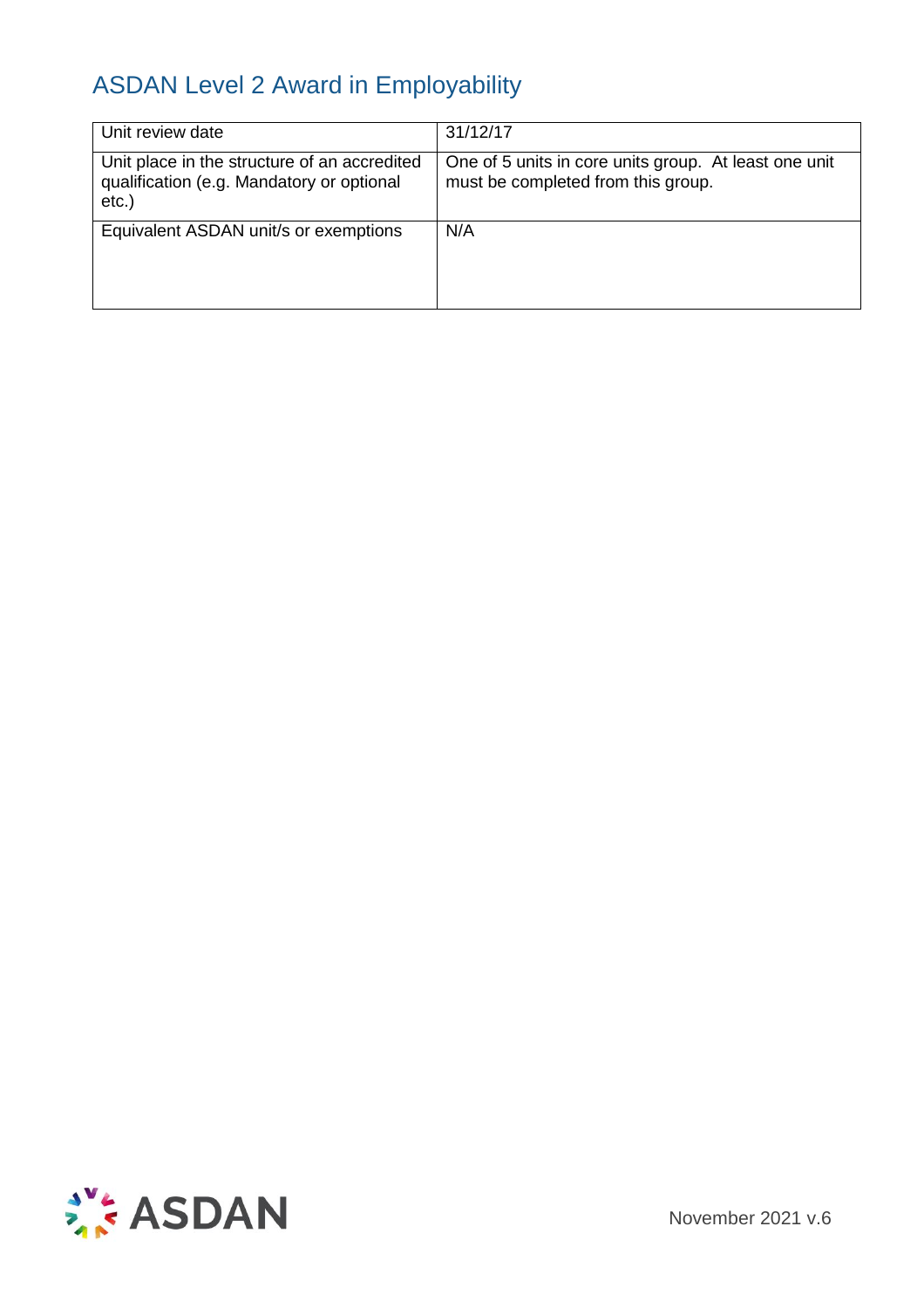| Unit review date                                                                                      | 31/12/17                                                                                    |
|-------------------------------------------------------------------------------------------------------|---------------------------------------------------------------------------------------------|
| Unit place in the structure of an accredited<br>qualification (e.g. Mandatory or optional<br>$etc.$ ) | One of 5 units in core units group. At least one unit<br>must be completed from this group. |
| Equivalent ASDAN unit/s or exemptions                                                                 | N/A                                                                                         |
|                                                                                                       |                                                                                             |
|                                                                                                       |                                                                                             |



November 2021 v.6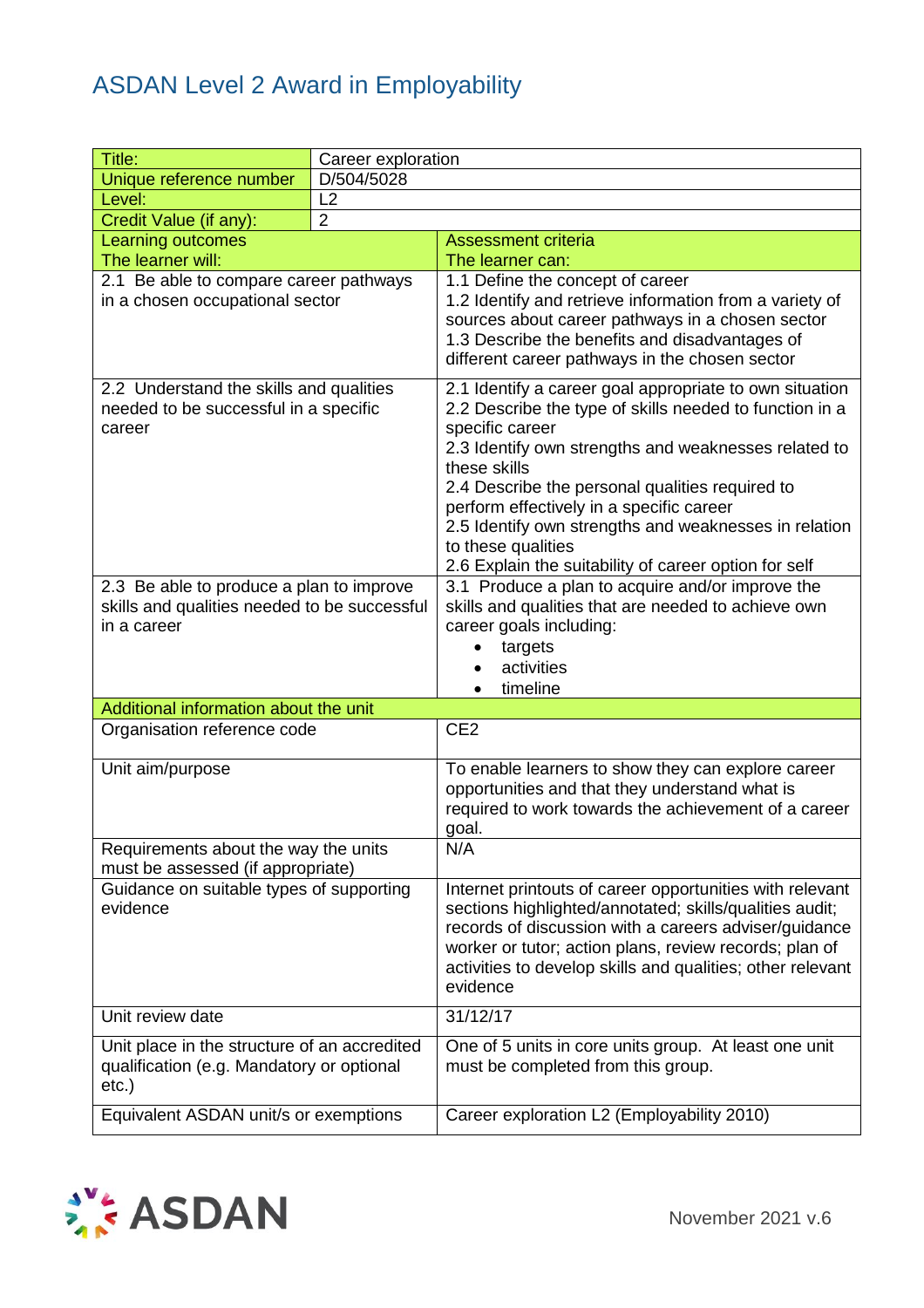| Title:                                                                                                | Career exploration |                                                                                                                                                                                                                                                                                                                                                                                             |
|-------------------------------------------------------------------------------------------------------|--------------------|---------------------------------------------------------------------------------------------------------------------------------------------------------------------------------------------------------------------------------------------------------------------------------------------------------------------------------------------------------------------------------------------|
| Unique reference number                                                                               | D/504/5028         |                                                                                                                                                                                                                                                                                                                                                                                             |
| Level:                                                                                                | L <sub>2</sub>     |                                                                                                                                                                                                                                                                                                                                                                                             |
| $\overline{2}$<br>Credit Value (if any):                                                              |                    |                                                                                                                                                                                                                                                                                                                                                                                             |
| Learning outcomes                                                                                     |                    | <b>Assessment criteria</b>                                                                                                                                                                                                                                                                                                                                                                  |
| The learner will:                                                                                     |                    | The learner can:                                                                                                                                                                                                                                                                                                                                                                            |
| 2.1 Be able to compare career pathways<br>in a chosen occupational sector                             |                    | 1.1 Define the concept of career<br>1.2 Identify and retrieve information from a variety of<br>sources about career pathways in a chosen sector<br>1.3 Describe the benefits and disadvantages of<br>different career pathways in the chosen sector                                                                                                                                         |
| 2.2 Understand the skills and qualities<br>needed to be successful in a specific<br>career            |                    | 2.1 Identify a career goal appropriate to own situation<br>2.2 Describe the type of skills needed to function in a<br>specific career<br>2.3 Identify own strengths and weaknesses related to<br>these skills<br>2.4 Describe the personal qualities required to<br>perform effectively in a specific career<br>2.5 Identify own strengths and weaknesses in relation<br>to these qualities |
| 2.3 Be able to produce a plan to improve                                                              |                    | 2.6 Explain the suitability of career option for self<br>3.1 Produce a plan to acquire and/or improve the                                                                                                                                                                                                                                                                                   |
| skills and qualities needed to be successful<br>in a career                                           |                    | skills and qualities that are needed to achieve own<br>career goals including:<br>targets<br>$\bullet$<br>activities<br>timeline                                                                                                                                                                                                                                                            |
| Additional information about the unit                                                                 |                    |                                                                                                                                                                                                                                                                                                                                                                                             |
| Organisation reference code                                                                           |                    | CE <sub>2</sub>                                                                                                                                                                                                                                                                                                                                                                             |
| Unit aim/purpose                                                                                      |                    | To enable learners to show they can explore career<br>opportunities and that they understand what is<br>required to work towards the achievement of a career<br>goal.                                                                                                                                                                                                                       |
| Requirements about the way the units<br>must be assessed (if appropriate)                             |                    | N/A                                                                                                                                                                                                                                                                                                                                                                                         |
| Guidance on suitable types of supporting<br>evidence                                                  |                    | Internet printouts of career opportunities with relevant<br>sections highlighted/annotated; skills/qualities audit;<br>records of discussion with a careers adviser/guidance<br>worker or tutor; action plans, review records; plan of<br>activities to develop skills and qualities; other relevant<br>evidence                                                                            |
| Unit review date                                                                                      |                    | 31/12/17                                                                                                                                                                                                                                                                                                                                                                                    |
| Unit place in the structure of an accredited<br>qualification (e.g. Mandatory or optional<br>$etc.$ ) |                    | One of 5 units in core units group. At least one unit<br>must be completed from this group.                                                                                                                                                                                                                                                                                                 |
| Equivalent ASDAN unit/s or exemptions                                                                 |                    | Career exploration L2 (Employability 2010)                                                                                                                                                                                                                                                                                                                                                  |

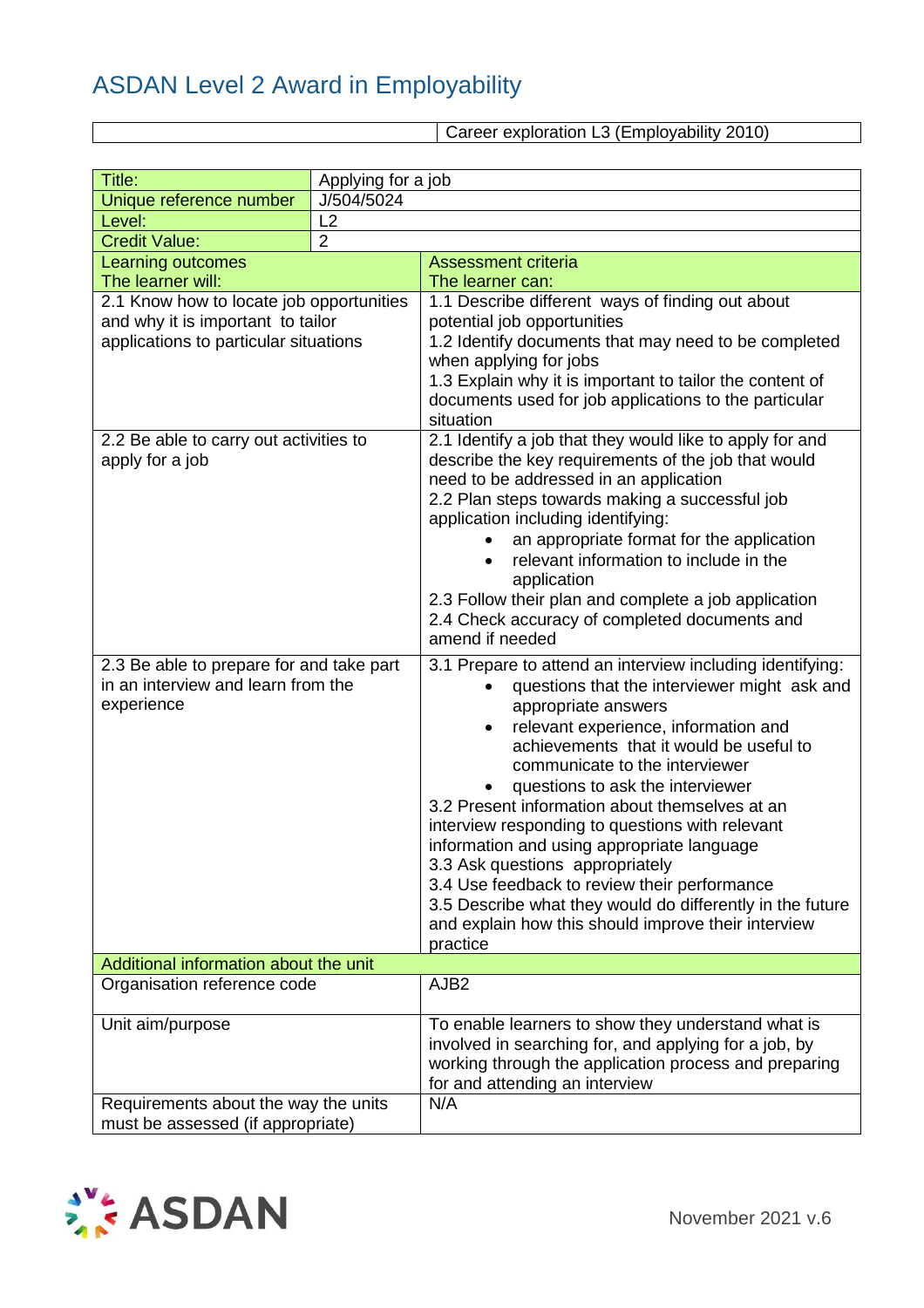Career exploration L3 (Employability 2010)

| Title:                                   | Applying for a job |                                                           |
|------------------------------------------|--------------------|-----------------------------------------------------------|
| Unique reference number                  | J/504/5024         |                                                           |
| Level:                                   | L2                 |                                                           |
| <b>Credit Value:</b>                     | $\overline{2}$     |                                                           |
| Learning outcomes                        |                    | <b>Assessment criteria</b>                                |
| The learner will:                        |                    | The learner can:                                          |
| 2.1 Know how to locate job opportunities |                    | 1.1 Describe different ways of finding out about          |
| and why it is important to tailor        |                    | potential job opportunities                               |
| applications to particular situations    |                    | 1.2 Identify documents that may need to be completed      |
|                                          |                    | when applying for jobs                                    |
|                                          |                    | 1.3 Explain why it is important to tailor the content of  |
|                                          |                    | documents used for job applications to the particular     |
|                                          |                    | situation                                                 |
| 2.2 Be able to carry out activities to   |                    | 2.1 Identify a job that they would like to apply for and  |
| apply for a job                          |                    | describe the key requirements of the job that would       |
|                                          |                    | need to be addressed in an application                    |
|                                          |                    | 2.2 Plan steps towards making a successful job            |
|                                          |                    | application including identifying:                        |
|                                          |                    | an appropriate format for the application                 |
|                                          |                    | relevant information to include in the                    |
|                                          |                    | application                                               |
|                                          |                    | 2.3 Follow their plan and complete a job application      |
|                                          |                    | 2.4 Check accuracy of completed documents and             |
|                                          |                    | amend if needed                                           |
| 2.3 Be able to prepare for and take part |                    | 3.1 Prepare to attend an interview including identifying: |
| in an interview and learn from the       |                    | questions that the interviewer might ask and              |
| experience                               |                    | appropriate answers                                       |
|                                          |                    | relevant experience, information and<br>$\bullet$         |
|                                          |                    | achievements that it would be useful to                   |
|                                          |                    | communicate to the interviewer                            |
|                                          |                    | questions to ask the interviewer                          |
|                                          |                    | 3.2 Present information about themselves at an            |
|                                          |                    | interview responding to questions with relevant           |
|                                          |                    | information and using appropriate language                |
|                                          |                    | 3.3 Ask questions appropriately                           |
|                                          |                    | 3.4 Use feedback to review their performance              |
|                                          |                    | 3.5 Describe what they would do differently in the future |
|                                          |                    | and explain how this should improve their interview       |
| Additional information about the unit    |                    | practice                                                  |
| Organisation reference code              |                    | AJB <sub>2</sub>                                          |
|                                          |                    |                                                           |
| Unit aim/purpose                         |                    | To enable learners to show they understand what is        |
|                                          |                    | involved in searching for, and applying for a job, by     |
|                                          |                    | working through the application process and preparing     |
|                                          |                    | for and attending an interview                            |
| Requirements about the way the units     |                    | N/A                                                       |
| must be assessed (if appropriate)        |                    |                                                           |

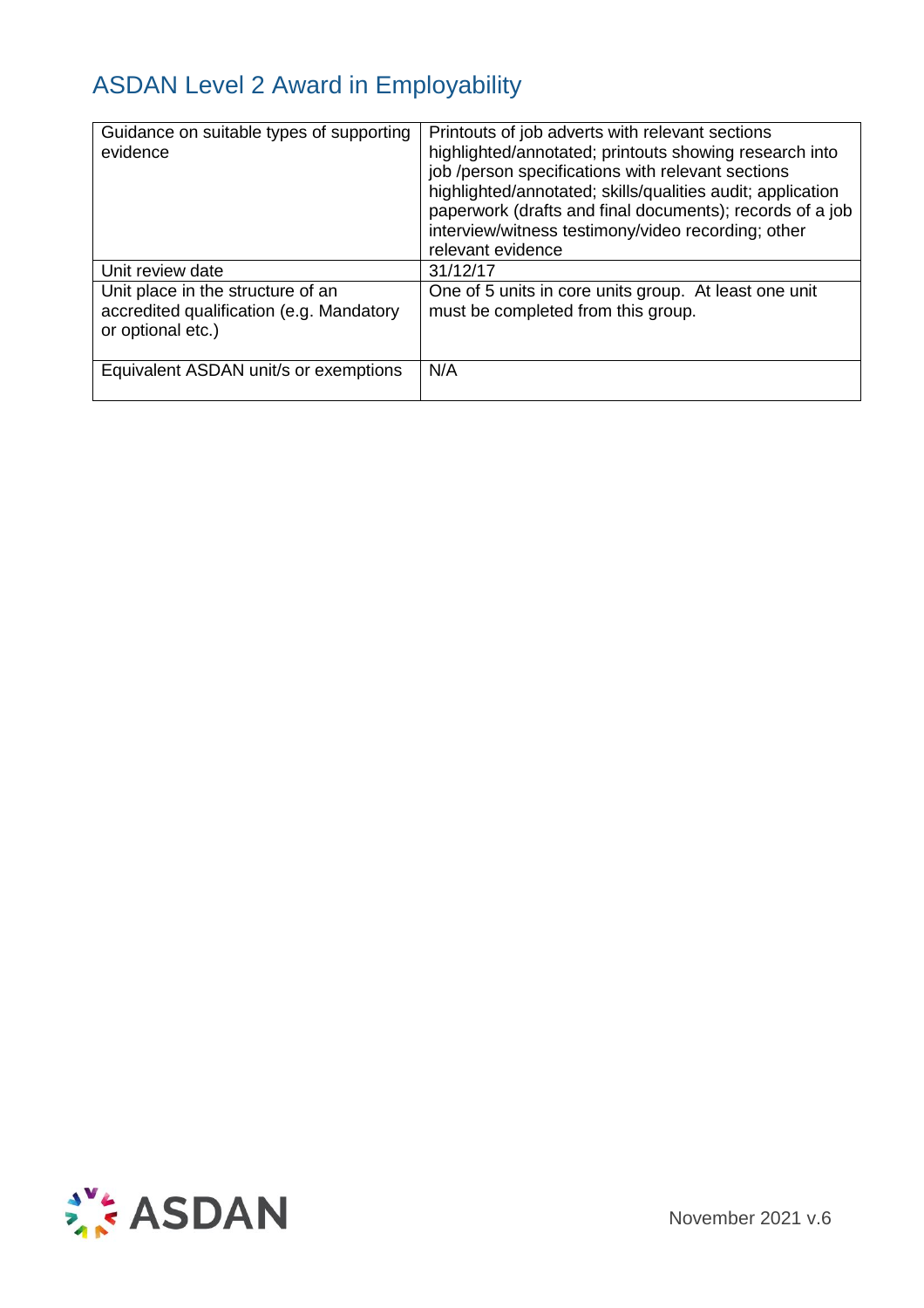| Guidance on suitable types of supporting<br>evidence                                               | Printouts of job adverts with relevant sections<br>highlighted/annotated; printouts showing research into<br>job /person specifications with relevant sections<br>highlighted/annotated; skills/qualities audit; application<br>paperwork (drafts and final documents); records of a job<br>interview/witness testimony/video recording; other<br>relevant evidence |
|----------------------------------------------------------------------------------------------------|---------------------------------------------------------------------------------------------------------------------------------------------------------------------------------------------------------------------------------------------------------------------------------------------------------------------------------------------------------------------|
| Unit review date                                                                                   | 31/12/17                                                                                                                                                                                                                                                                                                                                                            |
| Unit place in the structure of an<br>accredited qualification (e.g. Mandatory<br>or optional etc.) | One of 5 units in core units group. At least one unit<br>must be completed from this group.                                                                                                                                                                                                                                                                         |
| Equivalent ASDAN unit/s or exemptions                                                              | N/A                                                                                                                                                                                                                                                                                                                                                                 |

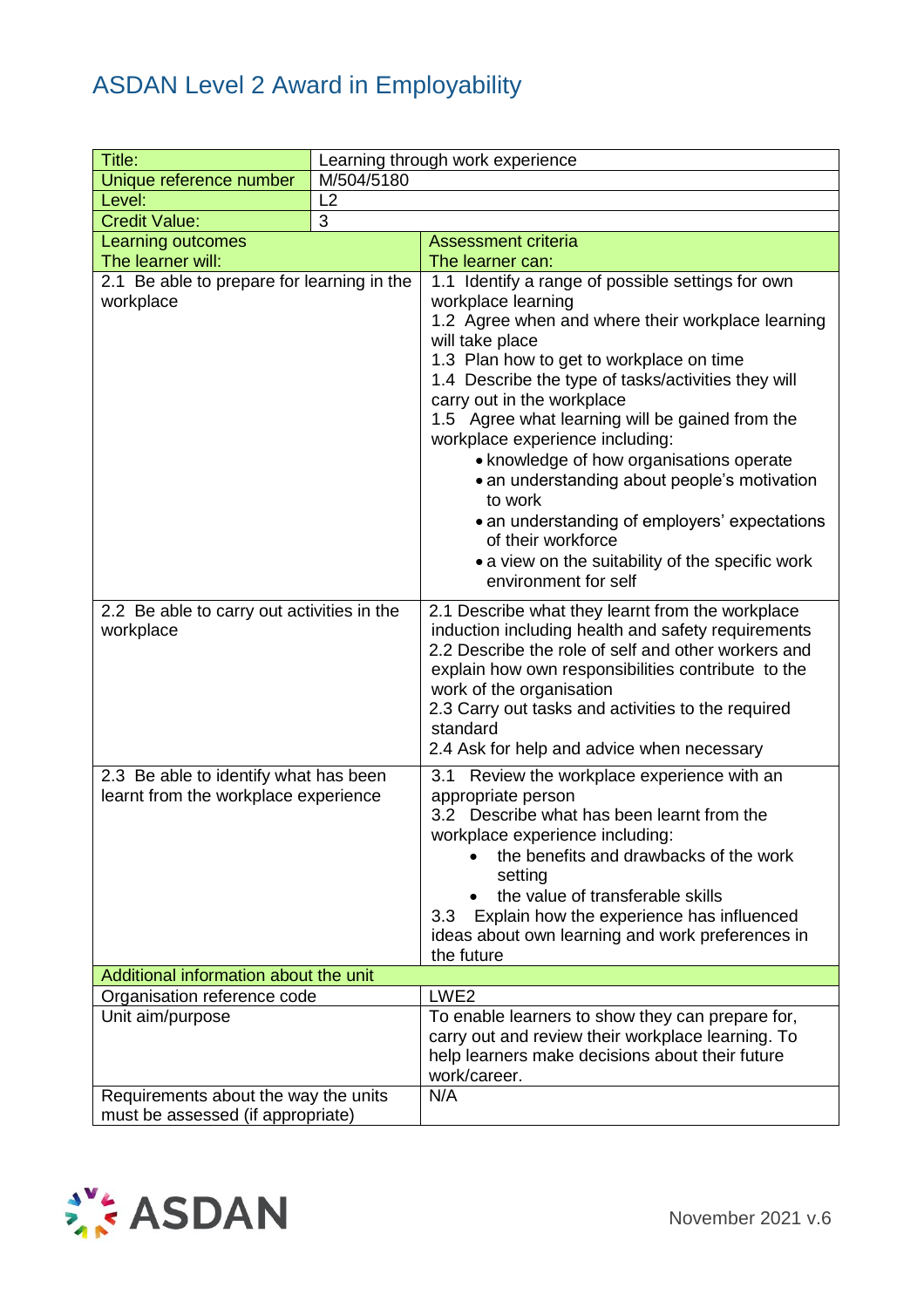| Title:                                     |            | Learning through work experience                                                                      |
|--------------------------------------------|------------|-------------------------------------------------------------------------------------------------------|
| Unique reference number                    | M/504/5180 |                                                                                                       |
| Level:                                     | L2         |                                                                                                       |
| <b>Credit Value:</b>                       | 3          |                                                                                                       |
| Learning outcomes                          |            | <b>Assessment criteria</b>                                                                            |
| The learner will:                          |            | The learner can:                                                                                      |
| 2.1 Be able to prepare for learning in the |            | 1.1 Identify a range of possible settings for own                                                     |
| workplace                                  |            | workplace learning                                                                                    |
|                                            |            | 1.2 Agree when and where their workplace learning                                                     |
|                                            |            | will take place                                                                                       |
|                                            |            | 1.3 Plan how to get to workplace on time                                                              |
|                                            |            | 1.4 Describe the type of tasks/activities they will                                                   |
|                                            |            | carry out in the workplace                                                                            |
|                                            |            | 1.5 Agree what learning will be gained from the                                                       |
|                                            |            | workplace experience including:                                                                       |
|                                            |            | • knowledge of how organisations operate                                                              |
|                                            |            | • an understanding about people's motivation                                                          |
|                                            |            | to work                                                                                               |
|                                            |            | • an understanding of employers' expectations                                                         |
|                                            |            | of their workforce                                                                                    |
|                                            |            | • a view on the suitability of the specific work                                                      |
|                                            |            | environment for self                                                                                  |
| 2.2 Be able to carry out activities in the |            | 2.1 Describe what they learnt from the workplace                                                      |
| workplace                                  |            | induction including health and safety requirements                                                    |
|                                            |            | 2.2 Describe the role of self and other workers and                                                   |
|                                            |            | explain how own responsibilities contribute to the                                                    |
|                                            |            | work of the organisation                                                                              |
|                                            |            | 2.3 Carry out tasks and activities to the required                                                    |
|                                            |            | standard                                                                                              |
|                                            |            | 2.4 Ask for help and advice when necessary                                                            |
| 2.3 Be able to identify what has been      |            | Review the workplace experience with an<br>3.1                                                        |
| learnt from the workplace experience       |            | appropriate person                                                                                    |
|                                            |            | 3.2 Describe what has been learnt from the                                                            |
|                                            |            | workplace experience including:                                                                       |
|                                            |            | the benefits and drawbacks of the work                                                                |
|                                            |            | setting                                                                                               |
|                                            |            | the value of transferable skills                                                                      |
|                                            |            | Explain how the experience has influenced<br>3.3                                                      |
|                                            |            | ideas about own learning and work preferences in                                                      |
|                                            |            | the future                                                                                            |
| Additional information about the unit      |            |                                                                                                       |
| Organisation reference code                |            | LWE <sub>2</sub>                                                                                      |
| Unit aim/purpose                           |            | To enable learners to show they can prepare for,<br>carry out and review their workplace learning. To |
|                                            |            | help learners make decisions about their future                                                       |
|                                            |            | work/career.                                                                                          |
| Requirements about the way the units       |            | N/A                                                                                                   |
| must be assessed (if appropriate)          |            |                                                                                                       |

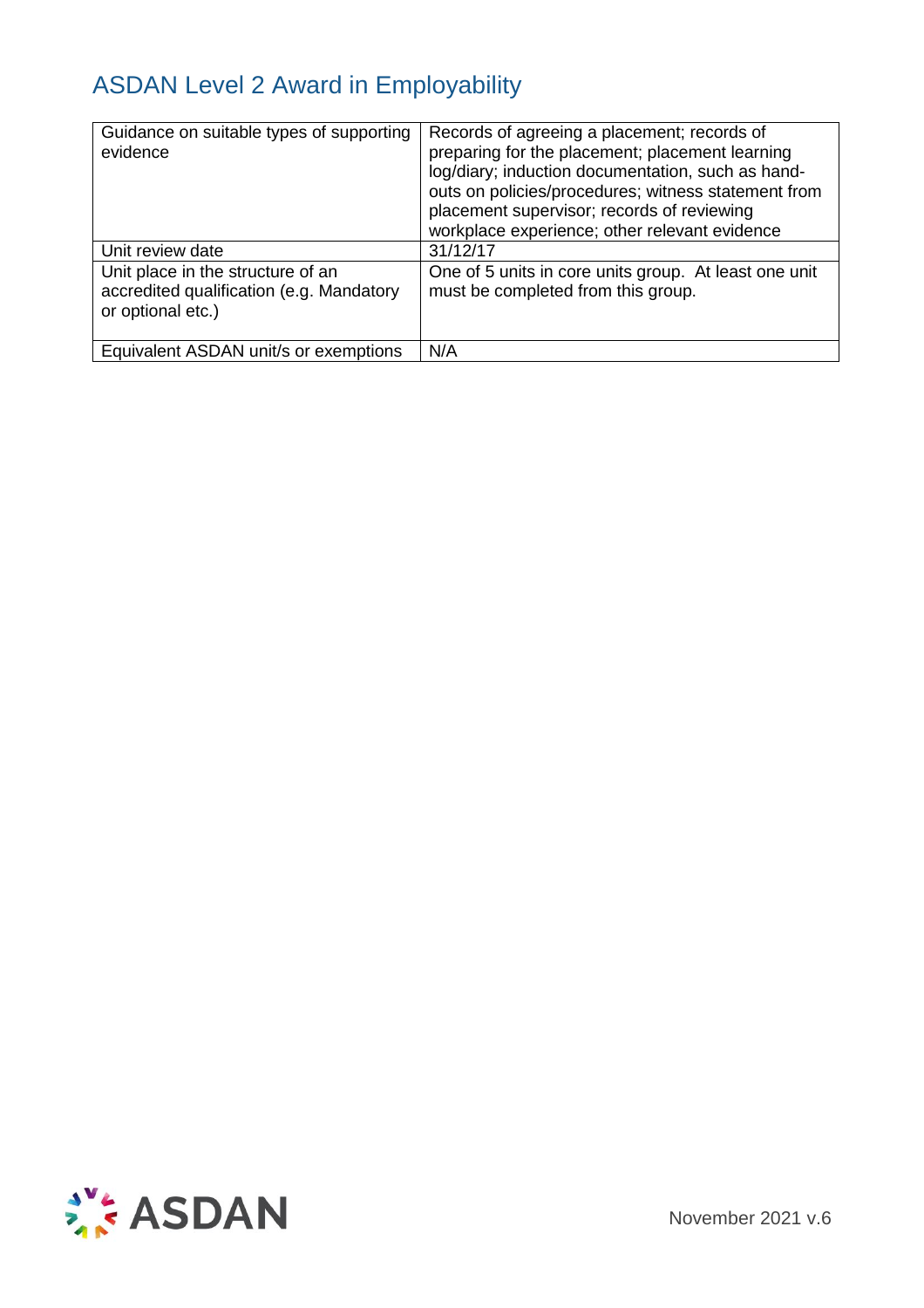| Guidance on suitable types of supporting<br>evidence                                               | Records of agreeing a placement; records of<br>preparing for the placement; placement learning<br>log/diary; induction documentation, such as hand-<br>outs on policies/procedures; witness statement from<br>placement supervisor; records of reviewing<br>workplace experience; other relevant evidence |
|----------------------------------------------------------------------------------------------------|-----------------------------------------------------------------------------------------------------------------------------------------------------------------------------------------------------------------------------------------------------------------------------------------------------------|
| Unit review date                                                                                   | 31/12/17                                                                                                                                                                                                                                                                                                  |
| Unit place in the structure of an<br>accredited qualification (e.g. Mandatory<br>or optional etc.) | One of 5 units in core units group. At least one unit<br>must be completed from this group.                                                                                                                                                                                                               |
| Equivalent ASDAN unit/s or exemptions                                                              | N/A                                                                                                                                                                                                                                                                                                       |

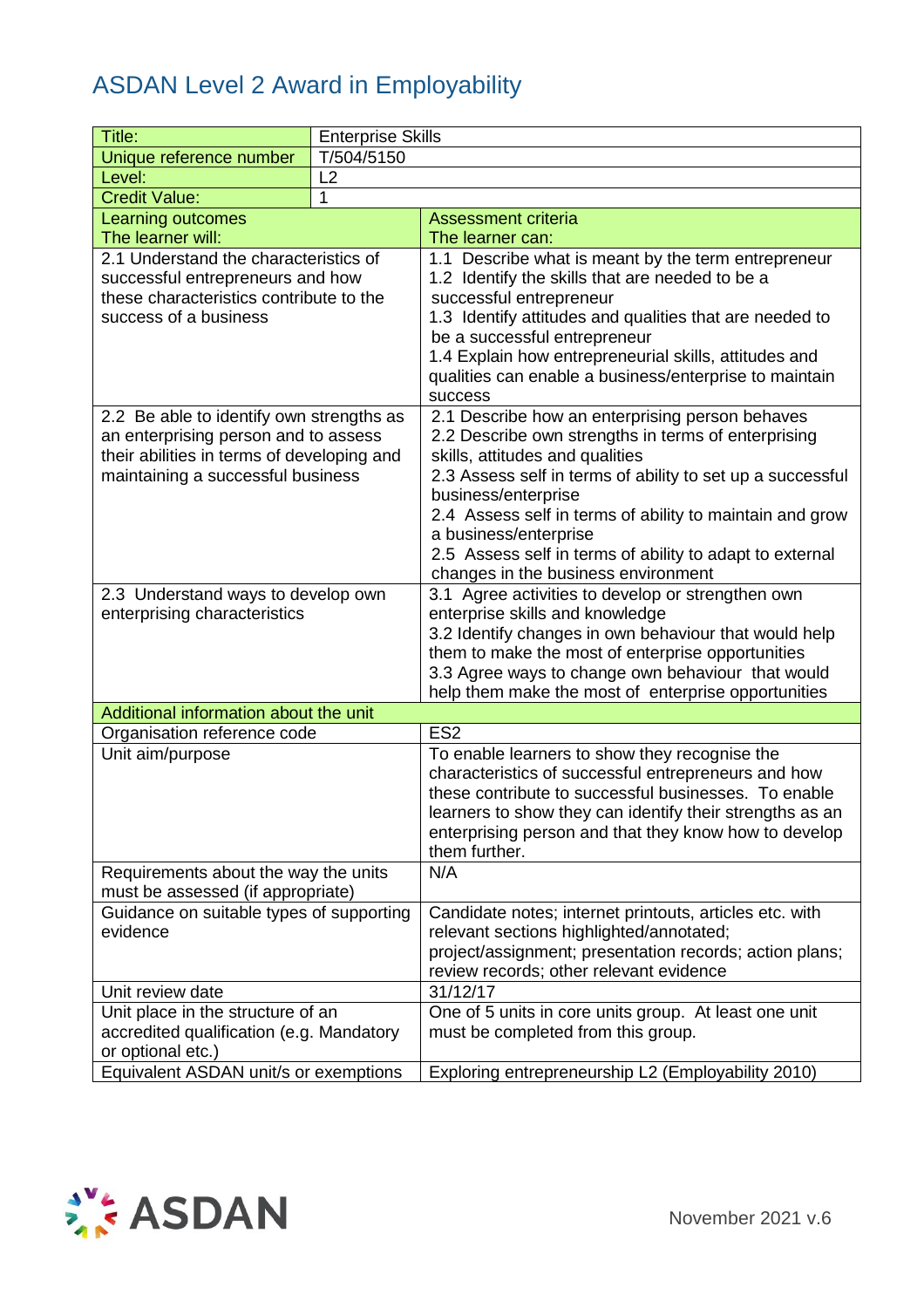| Title:                                     | <b>Enterprise Skills</b> |                                                                                                                 |
|--------------------------------------------|--------------------------|-----------------------------------------------------------------------------------------------------------------|
| Unique reference number                    | T/504/5150               |                                                                                                                 |
| Level:                                     | L2                       |                                                                                                                 |
| $\mathbf{1}$<br><b>Credit Value:</b>       |                          |                                                                                                                 |
| Learning outcomes                          |                          | <b>Assessment criteria</b>                                                                                      |
| The learner will:                          |                          | The learner can:                                                                                                |
| 2.1 Understand the characteristics of      |                          | 1.1 Describe what is meant by the term entrepreneur                                                             |
| successful entrepreneurs and how           |                          | 1.2 Identify the skills that are needed to be a                                                                 |
| these characteristics contribute to the    |                          | successful entrepreneur                                                                                         |
| success of a business                      |                          | 1.3 Identify attitudes and qualities that are needed to                                                         |
|                                            |                          | be a successful entrepreneur                                                                                    |
|                                            |                          | 1.4 Explain how entrepreneurial skills, attitudes and<br>qualities can enable a business/enterprise to maintain |
|                                            |                          | success                                                                                                         |
| 2.2 Be able to identify own strengths as   |                          | 2.1 Describe how an enterprising person behaves                                                                 |
| an enterprising person and to assess       |                          | 2.2 Describe own strengths in terms of enterprising                                                             |
| their abilities in terms of developing and |                          | skills, attitudes and qualities                                                                                 |
| maintaining a successful business          |                          | 2.3 Assess self in terms of ability to set up a successful                                                      |
|                                            |                          | business/enterprise                                                                                             |
|                                            |                          | 2.4 Assess self in terms of ability to maintain and grow                                                        |
|                                            |                          | a business/enterprise                                                                                           |
|                                            |                          | 2.5 Assess self in terms of ability to adapt to external                                                        |
|                                            |                          | changes in the business environment                                                                             |
| 2.3 Understand ways to develop own         |                          | 3.1 Agree activities to develop or strengthen own                                                               |
| enterprising characteristics               |                          | enterprise skills and knowledge                                                                                 |
|                                            |                          | 3.2 Identify changes in own behaviour that would help                                                           |
|                                            |                          | them to make the most of enterprise opportunities<br>3.3 Agree ways to change own behaviour that would          |
|                                            |                          | help them make the most of enterprise opportunities                                                             |
| Additional information about the unit      |                          |                                                                                                                 |
| Organisation reference code                |                          | ES <sub>2</sub>                                                                                                 |
| Unit aim/purpose                           |                          | To enable learners to show they recognise the                                                                   |
|                                            |                          | characteristics of successful entrepreneurs and how                                                             |
|                                            |                          | these contribute to successful businesses. To enable                                                            |
|                                            |                          | learners to show they can identify their strengths as an                                                        |
|                                            |                          | enterprising person and that they know how to develop                                                           |
|                                            |                          | them further.                                                                                                   |
| Requirements about the way the units       |                          | N/A                                                                                                             |
| must be assessed (if appropriate)          |                          |                                                                                                                 |
| Guidance on suitable types of supporting   |                          | Candidate notes; internet printouts, articles etc. with                                                         |
| evidence                                   |                          | relevant sections highlighted/annotated;                                                                        |
|                                            |                          | project/assignment; presentation records; action plans;<br>review records; other relevant evidence              |
| Unit review date                           |                          | 31/12/17                                                                                                        |
| Unit place in the structure of an          |                          | One of 5 units in core units group. At least one unit                                                           |
| accredited qualification (e.g. Mandatory   |                          | must be completed from this group.                                                                              |
| or optional etc.)                          |                          |                                                                                                                 |
| Equivalent ASDAN unit/s or exemptions      |                          | Exploring entrepreneurship L2 (Employability 2010)                                                              |

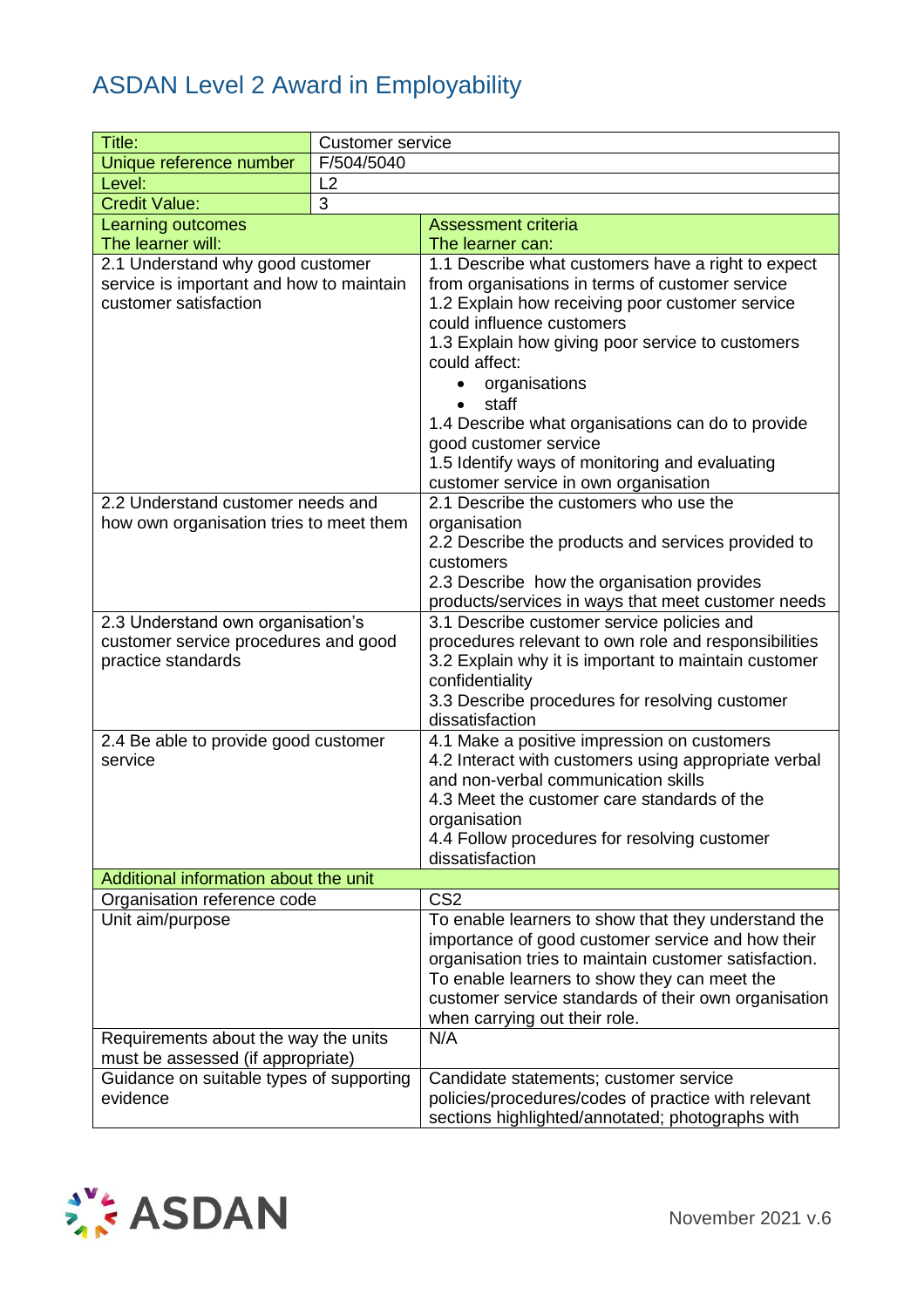| Title:                                   | <b>Customer service</b> |                                                                                                            |
|------------------------------------------|-------------------------|------------------------------------------------------------------------------------------------------------|
| Unique reference number                  | F/504/5040              |                                                                                                            |
| Level:                                   | L2                      |                                                                                                            |
| <b>Credit Value:</b>                     | 3                       |                                                                                                            |
| Learning outcomes                        |                         | <b>Assessment criteria</b>                                                                                 |
| The learner will:                        |                         | The learner can:                                                                                           |
| 2.1 Understand why good customer         |                         | 1.1 Describe what customers have a right to expect                                                         |
| service is important and how to maintain |                         | from organisations in terms of customer service                                                            |
| customer satisfaction                    |                         | 1.2 Explain how receiving poor customer service                                                            |
|                                          |                         | could influence customers                                                                                  |
|                                          |                         | 1.3 Explain how giving poor service to customers                                                           |
|                                          |                         | could affect:                                                                                              |
|                                          |                         | organisations<br>$\bullet$<br>staff<br>$\bullet$                                                           |
|                                          |                         | 1.4 Describe what organisations can do to provide                                                          |
|                                          |                         | good customer service                                                                                      |
|                                          |                         | 1.5 Identify ways of monitoring and evaluating                                                             |
|                                          |                         | customer service in own organisation                                                                       |
| 2.2 Understand customer needs and        |                         | 2.1 Describe the customers who use the                                                                     |
| how own organisation tries to meet them  |                         | organisation                                                                                               |
|                                          |                         | 2.2 Describe the products and services provided to                                                         |
|                                          |                         | customers                                                                                                  |
|                                          |                         | 2.3 Describe how the organisation provides                                                                 |
|                                          |                         | products/services in ways that meet customer needs                                                         |
| 2.3 Understand own organisation's        |                         | 3.1 Describe customer service policies and                                                                 |
| customer service procedures and good     |                         | procedures relevant to own role and responsibilities                                                       |
| practice standards                       |                         | 3.2 Explain why it is important to maintain customer                                                       |
|                                          |                         | confidentiality<br>3.3 Describe procedures for resolving customer                                          |
|                                          |                         | dissatisfaction                                                                                            |
| 2.4 Be able to provide good customer     |                         | 4.1 Make a positive impression on customers                                                                |
| service                                  |                         | 4.2 Interact with customers using appropriate verbal                                                       |
|                                          |                         | and non-verbal communication skills                                                                        |
|                                          |                         | 4.3 Meet the customer care standards of the                                                                |
|                                          |                         | organisation                                                                                               |
|                                          |                         | 4.4 Follow procedures for resolving customer                                                               |
|                                          |                         | dissatisfaction                                                                                            |
| Additional information about the unit    |                         |                                                                                                            |
| Organisation reference code              |                         | CS <sub>2</sub>                                                                                            |
| Unit aim/purpose                         |                         | To enable learners to show that they understand the                                                        |
|                                          |                         | importance of good customer service and how their<br>organisation tries to maintain customer satisfaction. |
|                                          |                         | To enable learners to show they can meet the                                                               |
|                                          |                         | customer service standards of their own organisation                                                       |
|                                          |                         | when carrying out their role.                                                                              |
| Requirements about the way the units     |                         | N/A                                                                                                        |
| must be assessed (if appropriate)        |                         |                                                                                                            |
| Guidance on suitable types of supporting |                         | Candidate statements; customer service                                                                     |
| evidence                                 |                         | policies/procedures/codes of practice with relevant                                                        |
|                                          |                         | sections highlighted/annotated; photographs with                                                           |

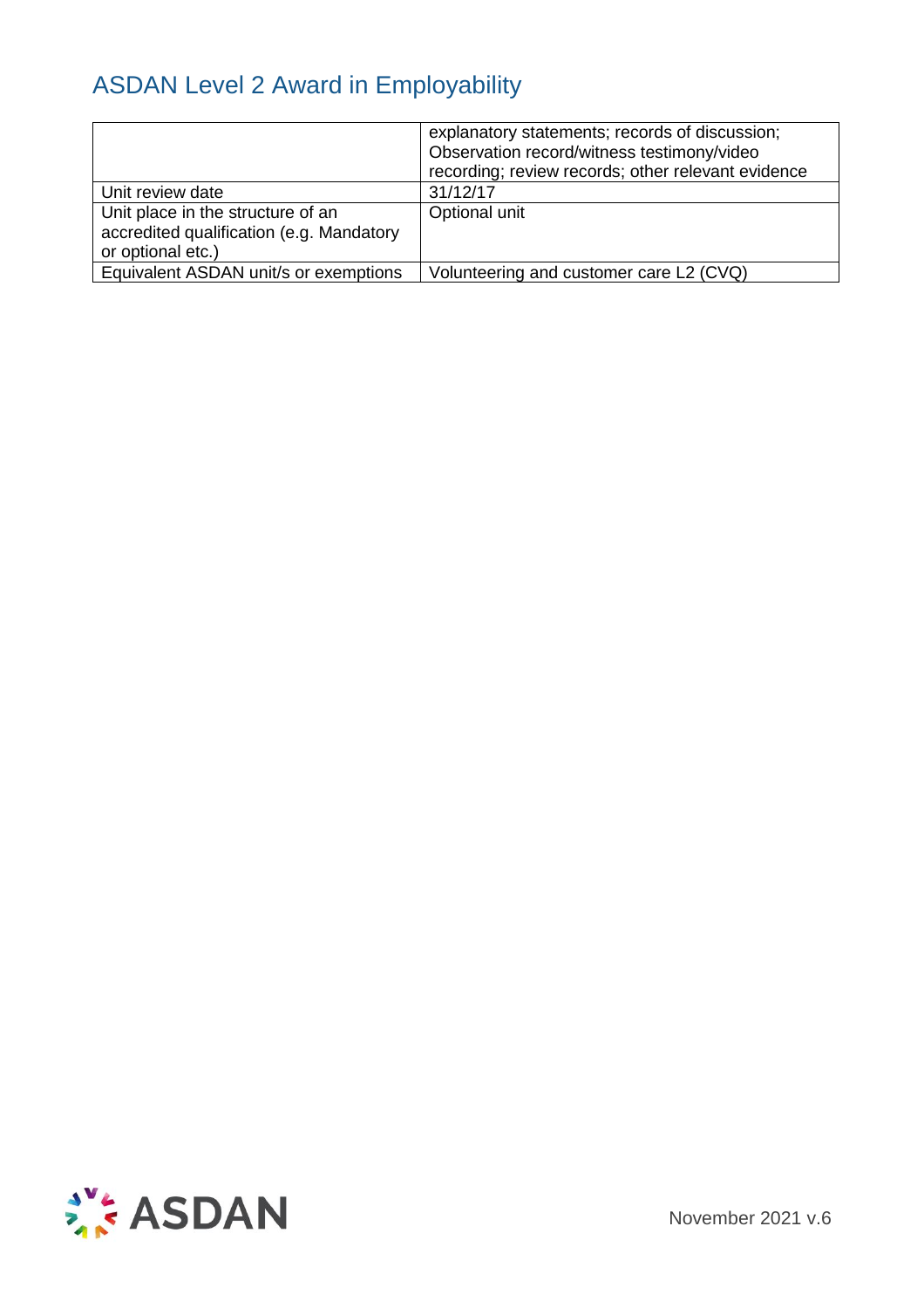|                                          | explanatory statements; records of discussion;<br>Observation record/witness testimony/video<br>recording; review records; other relevant evidence |
|------------------------------------------|----------------------------------------------------------------------------------------------------------------------------------------------------|
| Unit review date                         | 31/12/17                                                                                                                                           |
| Unit place in the structure of an        | Optional unit                                                                                                                                      |
| accredited qualification (e.g. Mandatory |                                                                                                                                                    |
| or optional etc.)                        |                                                                                                                                                    |
| Equivalent ASDAN unit/s or exemptions    | Volunteering and customer care L2 (CVQ)                                                                                                            |

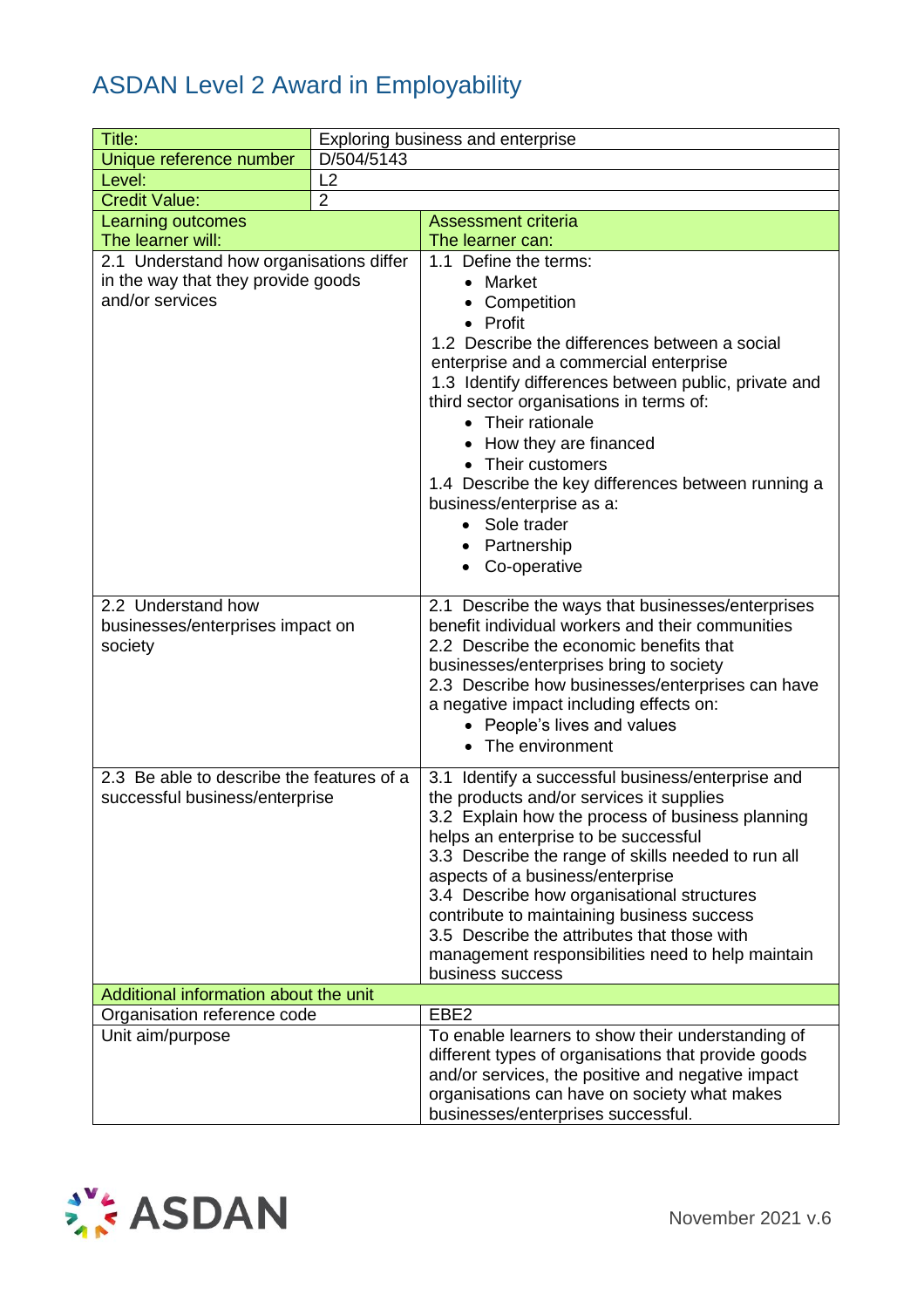| Title:                                    | Exploring business and enterprise |                                                                                               |  |
|-------------------------------------------|-----------------------------------|-----------------------------------------------------------------------------------------------|--|
| Unique reference number                   | D/504/5143                        |                                                                                               |  |
| Level:                                    | L2                                |                                                                                               |  |
| <b>Credit Value:</b>                      | $\overline{2}$                    |                                                                                               |  |
| Learning outcomes                         |                                   | <b>Assessment criteria</b>                                                                    |  |
| The learner will:                         |                                   | The learner can:                                                                              |  |
| 2.1 Understand how organisations differ   |                                   | 1.1 Define the terms:                                                                         |  |
| in the way that they provide goods        |                                   | • Market                                                                                      |  |
| and/or services                           |                                   | Competition                                                                                   |  |
|                                           |                                   | • Profit                                                                                      |  |
|                                           |                                   | 1.2 Describe the differences between a social                                                 |  |
|                                           |                                   | enterprise and a commercial enterprise                                                        |  |
|                                           |                                   | 1.3 Identify differences between public, private and                                          |  |
|                                           |                                   | third sector organisations in terms of:<br>• Their rationale                                  |  |
|                                           |                                   | How they are financed                                                                         |  |
|                                           |                                   | • Their customers                                                                             |  |
|                                           |                                   | 1.4 Describe the key differences between running a                                            |  |
|                                           |                                   | business/enterprise as a:                                                                     |  |
|                                           |                                   | • Sole trader                                                                                 |  |
|                                           |                                   | • Partnership                                                                                 |  |
|                                           |                                   | • Co-operative                                                                                |  |
|                                           |                                   |                                                                                               |  |
| 2.2 Understand how                        |                                   | 2.1 Describe the ways that businesses/enterprises                                             |  |
| businesses/enterprises impact on          |                                   | benefit individual workers and their communities                                              |  |
| society                                   |                                   | 2.2 Describe the economic benefits that                                                       |  |
|                                           |                                   | businesses/enterprises bring to society<br>2.3 Describe how businesses/enterprises can have   |  |
|                                           |                                   | a negative impact including effects on:                                                       |  |
|                                           |                                   | • People's lives and values                                                                   |  |
|                                           |                                   | • The environment                                                                             |  |
| 2.3 Be able to describe the features of a |                                   |                                                                                               |  |
| successful business/enterprise            |                                   | 3.1 Identify a successful business/enterprise and<br>the products and/or services it supplies |  |
|                                           |                                   | 3.2 Explain how the process of business planning                                              |  |
|                                           |                                   | helps an enterprise to be successful                                                          |  |
|                                           |                                   | 3.3 Describe the range of skills needed to run all                                            |  |
|                                           |                                   | aspects of a business/enterprise                                                              |  |
|                                           |                                   | 3.4 Describe how organisational structures                                                    |  |
|                                           |                                   | contribute to maintaining business success                                                    |  |
|                                           |                                   | 3.5 Describe the attributes that those with                                                   |  |
|                                           |                                   | management responsibilities need to help maintain<br>business success                         |  |
| Additional information about the unit     |                                   |                                                                                               |  |
| Organisation reference code               |                                   | EBE <sub>2</sub>                                                                              |  |
| Unit aim/purpose                          |                                   | To enable learners to show their understanding of                                             |  |
|                                           |                                   | different types of organisations that provide goods                                           |  |
|                                           |                                   | and/or services, the positive and negative impact                                             |  |
|                                           |                                   | organisations can have on society what makes                                                  |  |
|                                           |                                   | businesses/enterprises successful.                                                            |  |

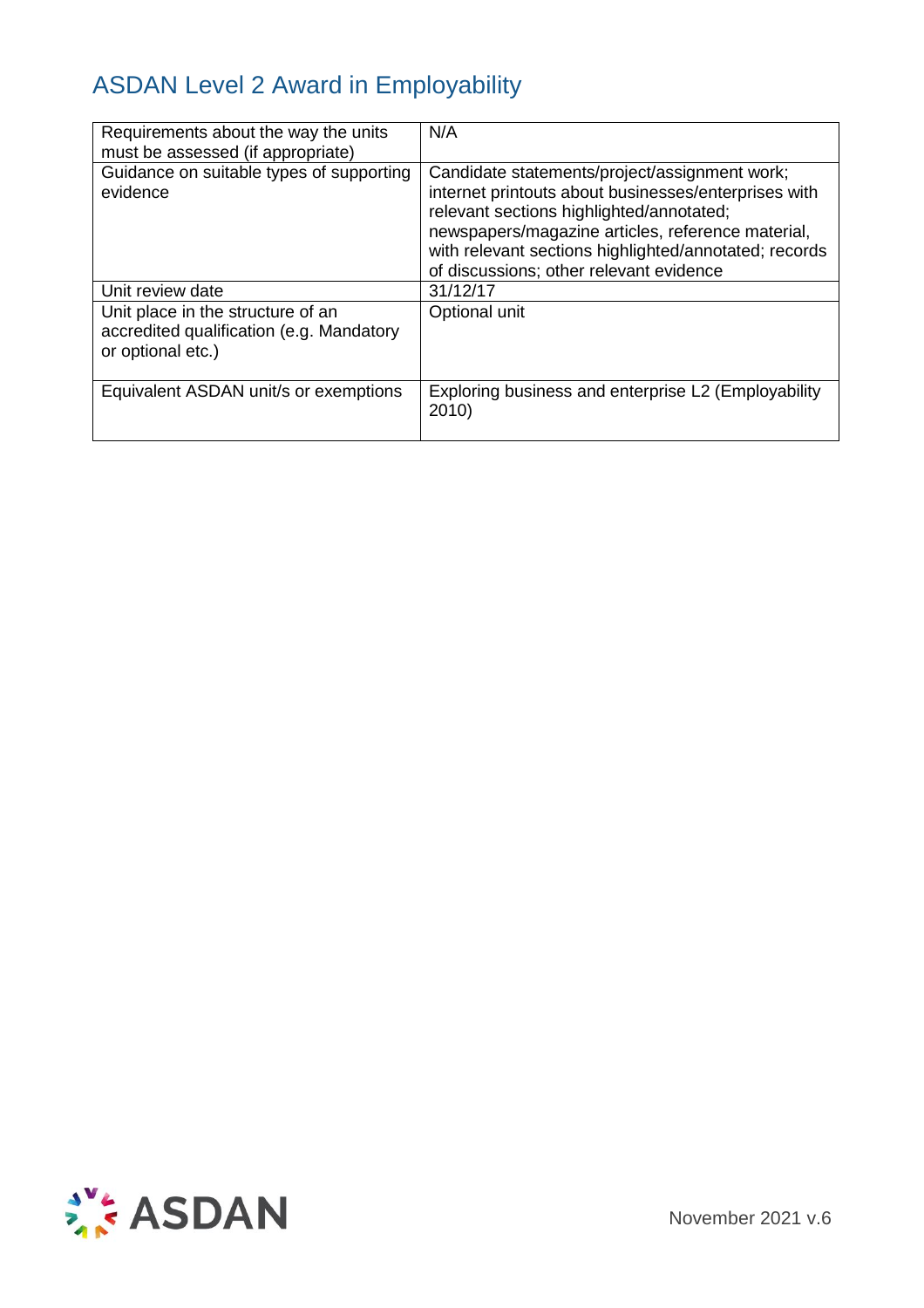| Requirements about the way the units<br>must be assessed (if appropriate)                          | N/A                                                                                                                                                                                                                                                                                                        |
|----------------------------------------------------------------------------------------------------|------------------------------------------------------------------------------------------------------------------------------------------------------------------------------------------------------------------------------------------------------------------------------------------------------------|
| Guidance on suitable types of supporting<br>evidence                                               | Candidate statements/project/assignment work;<br>internet printouts about businesses/enterprises with<br>relevant sections highlighted/annotated;<br>newspapers/magazine articles, reference material,<br>with relevant sections highlighted/annotated; records<br>of discussions; other relevant evidence |
| Unit review date                                                                                   | 31/12/17                                                                                                                                                                                                                                                                                                   |
| Unit place in the structure of an<br>accredited qualification (e.g. Mandatory<br>or optional etc.) | Optional unit                                                                                                                                                                                                                                                                                              |
| Equivalent ASDAN unit/s or exemptions                                                              | Exploring business and enterprise L2 (Employability<br>2010)                                                                                                                                                                                                                                               |

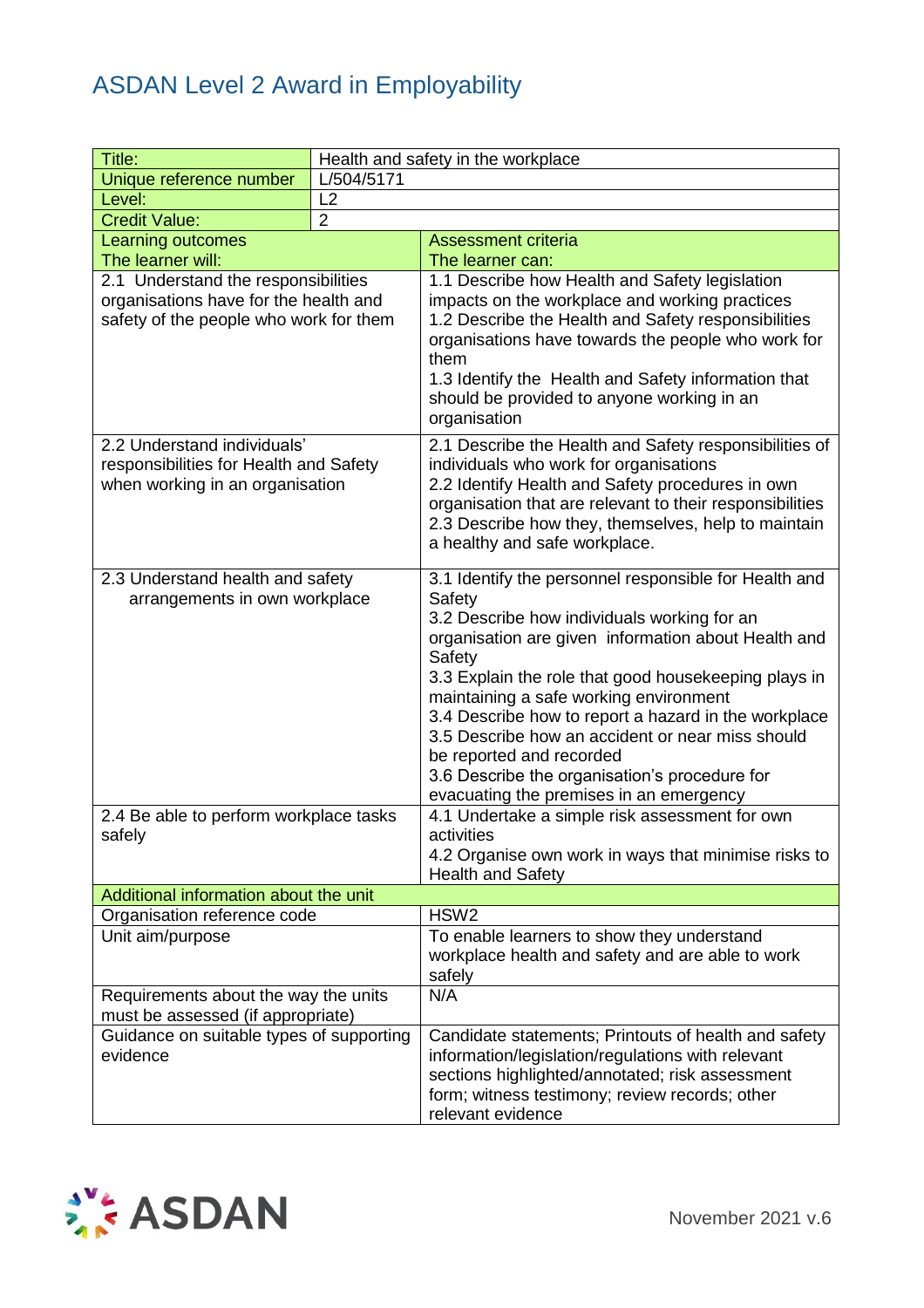| Title:                                                                                                                 |            | Health and safety in the workplace                                                                                                                                                                                                                                                                                                                                                                                                                                                                                    |
|------------------------------------------------------------------------------------------------------------------------|------------|-----------------------------------------------------------------------------------------------------------------------------------------------------------------------------------------------------------------------------------------------------------------------------------------------------------------------------------------------------------------------------------------------------------------------------------------------------------------------------------------------------------------------|
| Unique reference number                                                                                                | L/504/5171 |                                                                                                                                                                                                                                                                                                                                                                                                                                                                                                                       |
| Level:                                                                                                                 | L2         |                                                                                                                                                                                                                                                                                                                                                                                                                                                                                                                       |
| $\overline{2}$<br><b>Credit Value:</b>                                                                                 |            |                                                                                                                                                                                                                                                                                                                                                                                                                                                                                                                       |
| <b>Learning outcomes</b>                                                                                               |            | <b>Assessment criteria</b>                                                                                                                                                                                                                                                                                                                                                                                                                                                                                            |
| The learner will:                                                                                                      |            | The learner can:                                                                                                                                                                                                                                                                                                                                                                                                                                                                                                      |
| 2.1 Understand the responsibilities<br>organisations have for the health and<br>safety of the people who work for them |            | 1.1 Describe how Health and Safety legislation<br>impacts on the workplace and working practices<br>1.2 Describe the Health and Safety responsibilities<br>organisations have towards the people who work for<br>them<br>1.3 Identify the Health and Safety information that<br>should be provided to anyone working in an<br>organisation                                                                                                                                                                            |
| 2.2 Understand individuals'<br>responsibilities for Health and Safety<br>when working in an organisation               |            | 2.1 Describe the Health and Safety responsibilities of<br>individuals who work for organisations<br>2.2 Identify Health and Safety procedures in own<br>organisation that are relevant to their responsibilities<br>2.3 Describe how they, themselves, help to maintain<br>a healthy and safe workplace.                                                                                                                                                                                                              |
| 2.3 Understand health and safety<br>arrangements in own workplace                                                      |            | 3.1 Identify the personnel responsible for Health and<br>Safety<br>3.2 Describe how individuals working for an<br>organisation are given information about Health and<br>Safety<br>3.3 Explain the role that good housekeeping plays in<br>maintaining a safe working environment<br>3.4 Describe how to report a hazard in the workplace<br>3.5 Describe how an accident or near miss should<br>be reported and recorded<br>3.6 Describe the organisation's procedure for<br>evacuating the premises in an emergency |
| 2.4 Be able to perform workplace tasks<br>safely                                                                       |            | 4.1 Undertake a simple risk assessment for own<br>activities<br>4.2 Organise own work in ways that minimise risks to<br><b>Health and Safety</b>                                                                                                                                                                                                                                                                                                                                                                      |
| Additional information about the unit                                                                                  |            |                                                                                                                                                                                                                                                                                                                                                                                                                                                                                                                       |
| Organisation reference code                                                                                            |            | HSW <sub>2</sub>                                                                                                                                                                                                                                                                                                                                                                                                                                                                                                      |
| Unit aim/purpose                                                                                                       |            | To enable learners to show they understand<br>workplace health and safety and are able to work<br>safely                                                                                                                                                                                                                                                                                                                                                                                                              |
| Requirements about the way the units<br>must be assessed (if appropriate)                                              |            | N/A                                                                                                                                                                                                                                                                                                                                                                                                                                                                                                                   |
| Guidance on suitable types of supporting<br>evidence                                                                   |            | Candidate statements; Printouts of health and safety<br>information/legislation/regulations with relevant<br>sections highlighted/annotated; risk assessment<br>form; witness testimony; review records; other<br>relevant evidence                                                                                                                                                                                                                                                                                   |

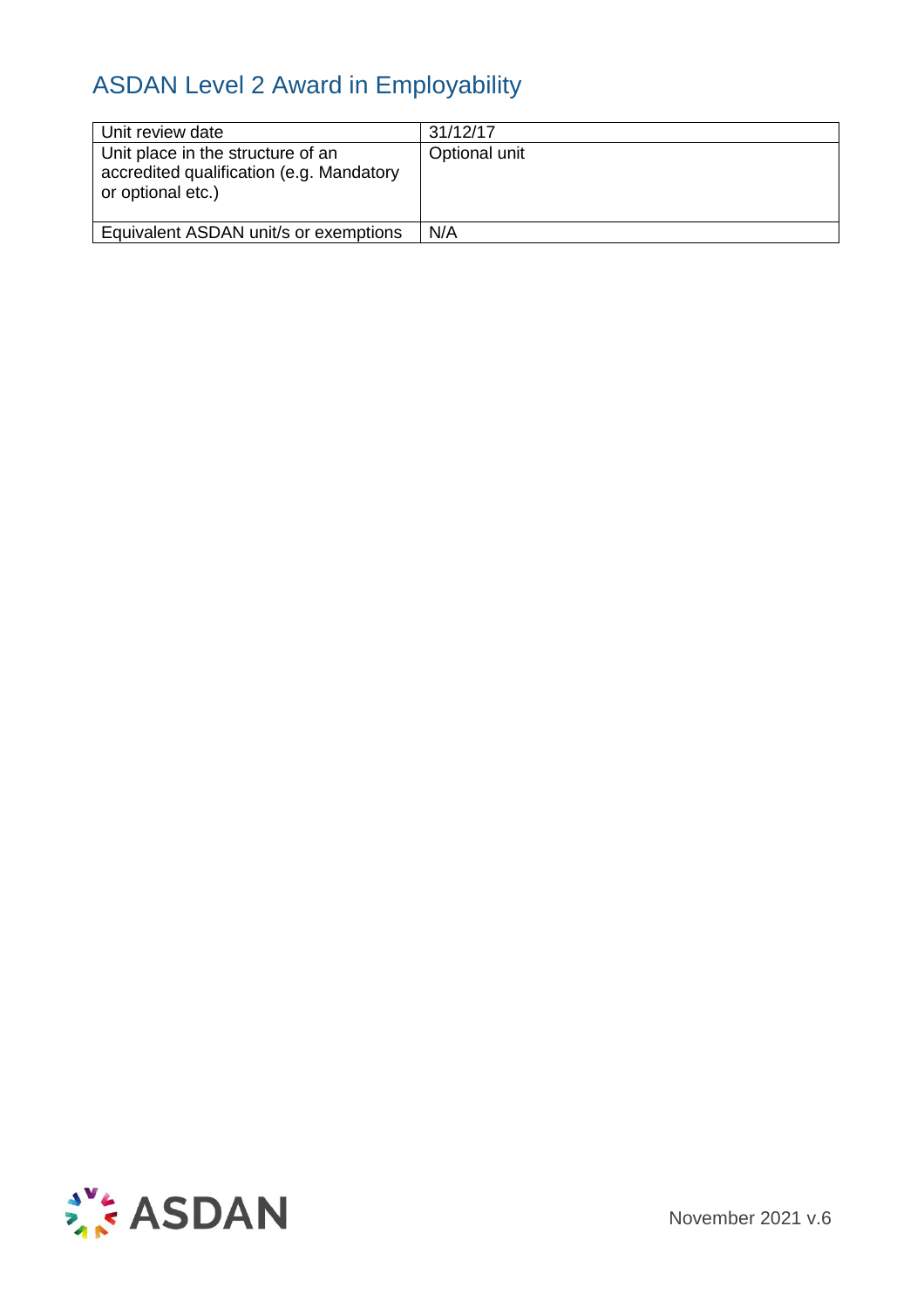| Unit review date                                                                                   | 31/12/17      |
|----------------------------------------------------------------------------------------------------|---------------|
| Unit place in the structure of an<br>accredited qualification (e.g. Mandatory<br>or optional etc.) | Optional unit |
| Equivalent ASDAN unit/s or exemptions                                                              | N/A           |



November 2021 v.6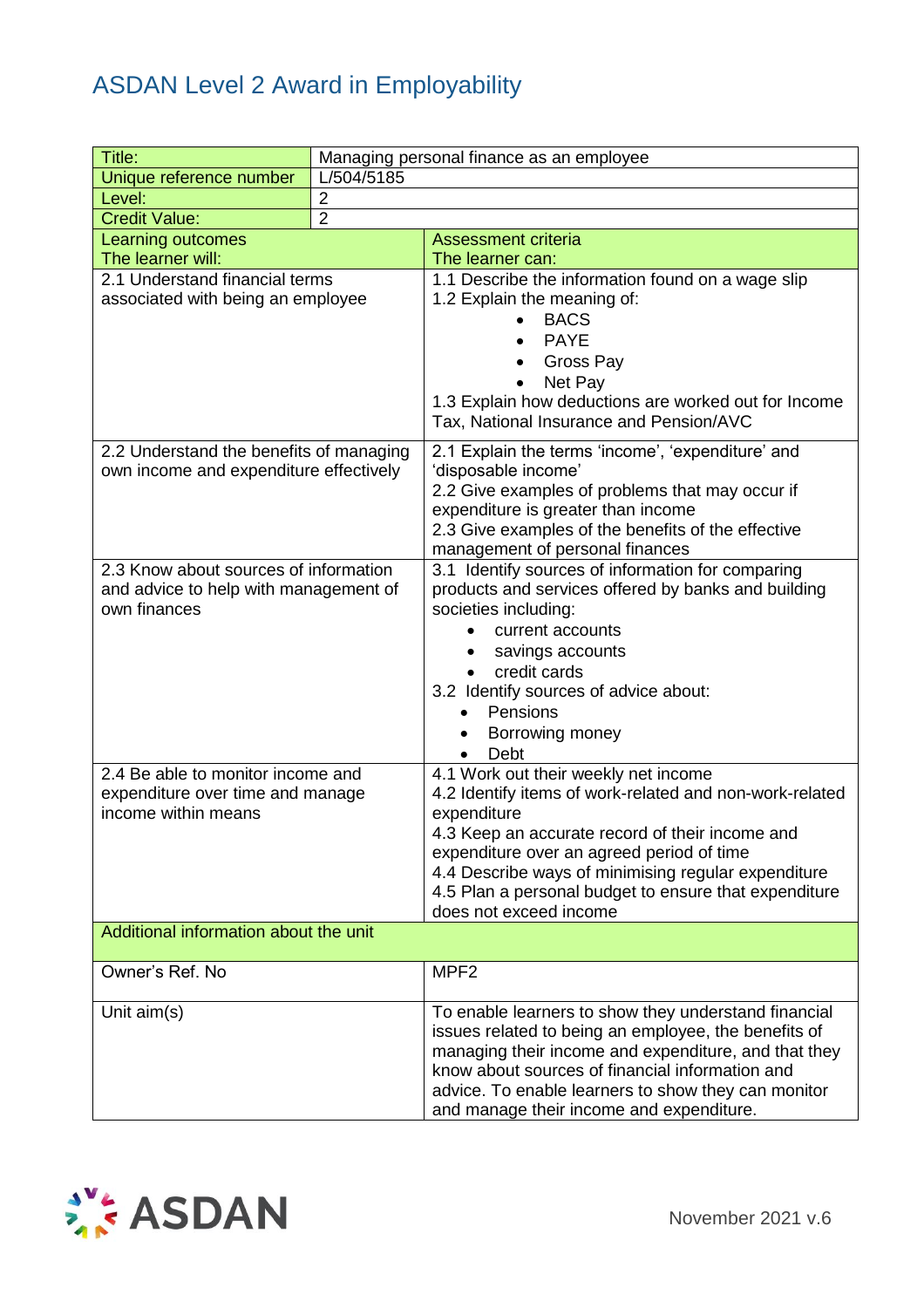| Title:                                                | Managing personal finance as an employee |                                                                             |  |
|-------------------------------------------------------|------------------------------------------|-----------------------------------------------------------------------------|--|
| Unique reference number                               | L/504/5185                               |                                                                             |  |
| Level:                                                | $\overline{2}$                           |                                                                             |  |
| $\overline{2}$<br><b>Credit Value:</b>                |                                          |                                                                             |  |
| <b>Learning outcomes</b>                              |                                          | <b>Assessment criteria</b>                                                  |  |
| The learner will:                                     |                                          | The learner can:                                                            |  |
| 2.1 Understand financial terms                        |                                          | 1.1 Describe the information found on a wage slip                           |  |
| associated with being an employee                     |                                          | 1.2 Explain the meaning of:                                                 |  |
|                                                       |                                          | <b>BACS</b>                                                                 |  |
|                                                       |                                          | <b>PAYE</b>                                                                 |  |
|                                                       |                                          | Gross Pay                                                                   |  |
|                                                       |                                          | Net Pay                                                                     |  |
|                                                       |                                          | 1.3 Explain how deductions are worked out for Income                        |  |
|                                                       |                                          | Tax, National Insurance and Pension/AVC                                     |  |
| 2.2 Understand the benefits of managing               |                                          | 2.1 Explain the terms 'income', 'expenditure' and                           |  |
| own income and expenditure effectively                |                                          | 'disposable income'                                                         |  |
|                                                       |                                          | 2.2 Give examples of problems that may occur if                             |  |
|                                                       |                                          | expenditure is greater than income                                          |  |
|                                                       |                                          | 2.3 Give examples of the benefits of the effective                          |  |
|                                                       |                                          | management of personal finances                                             |  |
| 2.3 Know about sources of information                 |                                          | 3.1 Identify sources of information for comparing                           |  |
| and advice to help with management of<br>own finances |                                          | products and services offered by banks and building<br>societies including: |  |
|                                                       |                                          | current accounts                                                            |  |
|                                                       |                                          | savings accounts                                                            |  |
|                                                       |                                          | credit cards                                                                |  |
|                                                       |                                          | 3.2 Identify sources of advice about:                                       |  |
|                                                       |                                          | Pensions                                                                    |  |
|                                                       |                                          | Borrowing money                                                             |  |
|                                                       |                                          | Debt<br>$\bullet$                                                           |  |
| 2.4 Be able to monitor income and                     |                                          | 4.1 Work out their weekly net income                                        |  |
| expenditure over time and manage                      |                                          | 4.2 Identify items of work-related and non-work-related                     |  |
| income within means                                   |                                          | expenditure                                                                 |  |
|                                                       |                                          | 4.3 Keep an accurate record of their income and                             |  |
|                                                       |                                          | expenditure over an agreed period of time                                   |  |
|                                                       |                                          | 4.4 Describe ways of minimising regular expenditure                         |  |
|                                                       |                                          | 4.5 Plan a personal budget to ensure that expenditure                       |  |
|                                                       |                                          | does not exceed income                                                      |  |
| Additional information about the unit                 |                                          |                                                                             |  |
| Owner's Ref. No                                       |                                          | MPF <sub>2</sub>                                                            |  |
| Unit aim(s)                                           |                                          | To enable learners to show they understand financial                        |  |
|                                                       |                                          | issues related to being an employee, the benefits of                        |  |
|                                                       |                                          | managing their income and expenditure, and that they                        |  |
|                                                       |                                          | know about sources of financial information and                             |  |
|                                                       |                                          | advice. To enable learners to show they can monitor                         |  |
|                                                       |                                          | and manage their income and expenditure.                                    |  |

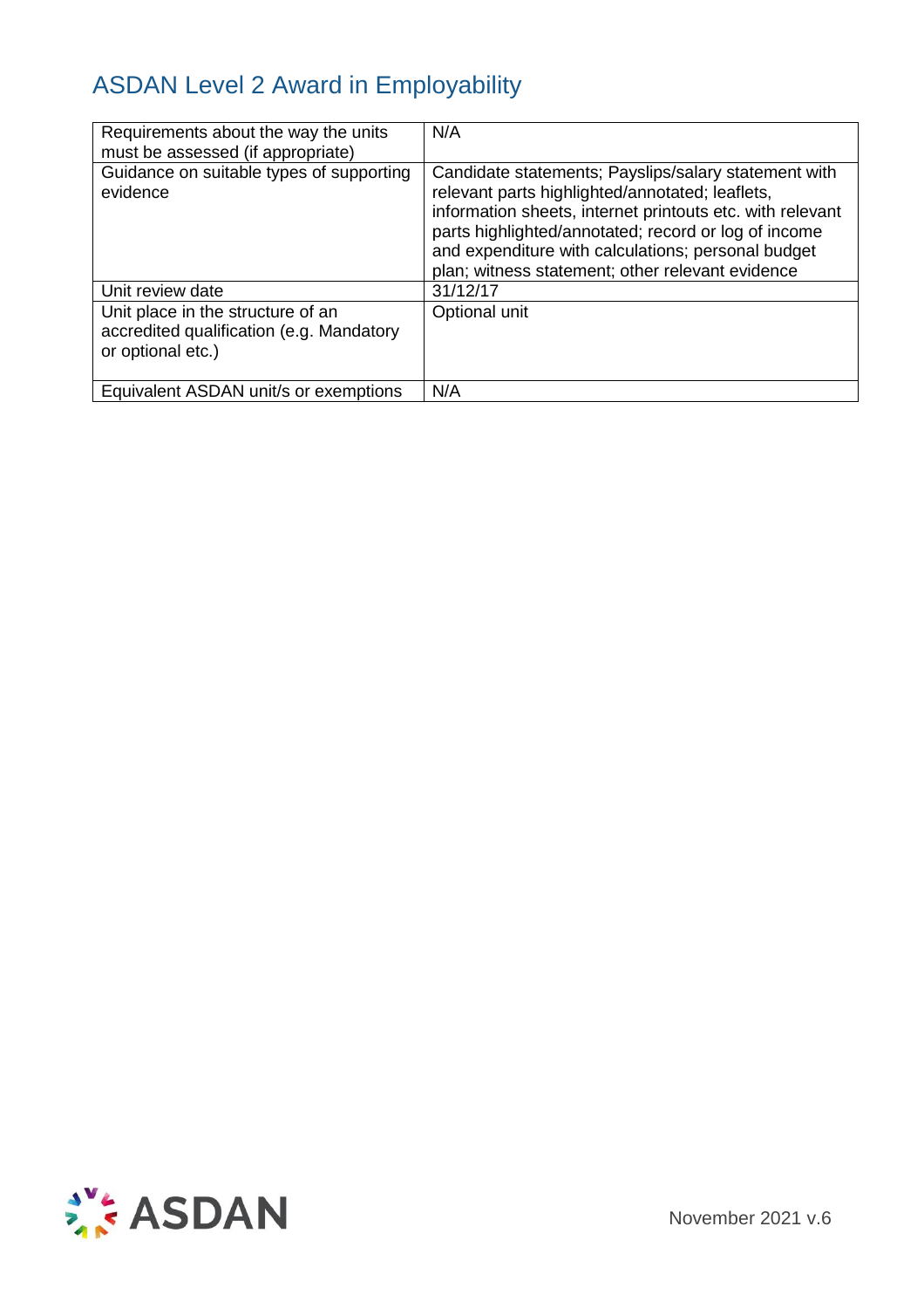| Requirements about the way the units<br>must be assessed (if appropriate)                          | N/A                                                                                                                                                                                                                                                                                                                                    |
|----------------------------------------------------------------------------------------------------|----------------------------------------------------------------------------------------------------------------------------------------------------------------------------------------------------------------------------------------------------------------------------------------------------------------------------------------|
| Guidance on suitable types of supporting<br>evidence                                               | Candidate statements; Payslips/salary statement with<br>relevant parts highlighted/annotated; leaflets,<br>information sheets, internet printouts etc. with relevant<br>parts highlighted/annotated; record or log of income<br>and expenditure with calculations; personal budget<br>plan; witness statement; other relevant evidence |
| Unit review date                                                                                   | 31/12/17                                                                                                                                                                                                                                                                                                                               |
| Unit place in the structure of an<br>accredited qualification (e.g. Mandatory<br>or optional etc.) | Optional unit                                                                                                                                                                                                                                                                                                                          |
| Equivalent ASDAN unit/s or exemptions                                                              | N/A                                                                                                                                                                                                                                                                                                                                    |

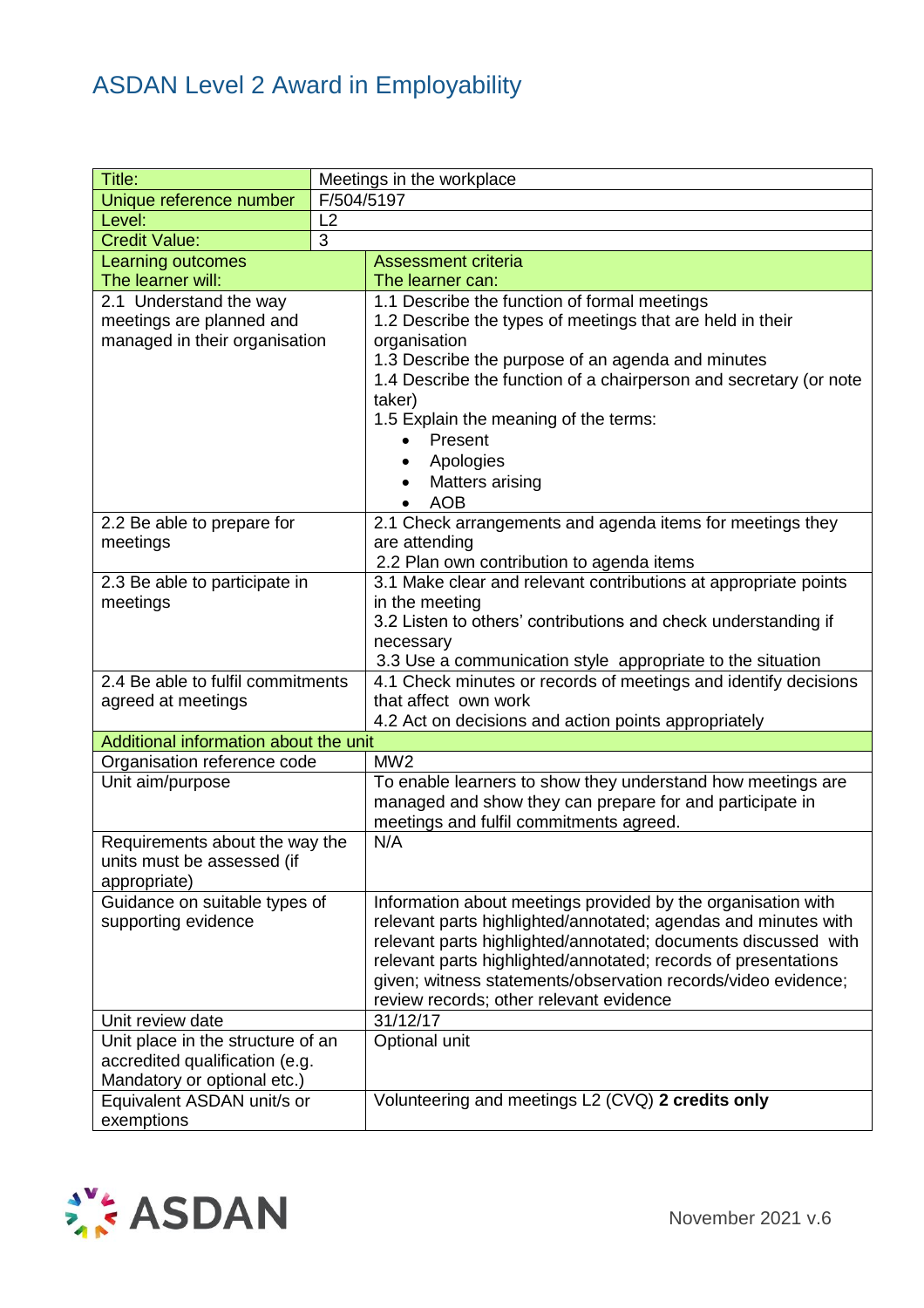| Title:                                                       | Meetings in the workplace |                                                                                                                        |  |  |
|--------------------------------------------------------------|---------------------------|------------------------------------------------------------------------------------------------------------------------|--|--|
| Unique reference number                                      | F/504/5197                |                                                                                                                        |  |  |
| Level:                                                       | L2                        |                                                                                                                        |  |  |
| <b>Credit Value:</b>                                         | 3                         |                                                                                                                        |  |  |
| <b>Learning outcomes</b>                                     |                           | <b>Assessment criteria</b>                                                                                             |  |  |
| The learner will:                                            |                           | The learner can:                                                                                                       |  |  |
| 2.1 Understand the way                                       |                           | 1.1 Describe the function of formal meetings                                                                           |  |  |
| meetings are planned and                                     |                           | 1.2 Describe the types of meetings that are held in their                                                              |  |  |
| managed in their organisation                                |                           | organisation                                                                                                           |  |  |
|                                                              |                           | 1.3 Describe the purpose of an agenda and minutes<br>1.4 Describe the function of a chairperson and secretary (or note |  |  |
|                                                              |                           | taker)                                                                                                                 |  |  |
|                                                              |                           | 1.5 Explain the meaning of the terms:                                                                                  |  |  |
|                                                              |                           | Present                                                                                                                |  |  |
|                                                              |                           | Apologies<br>$\bullet$                                                                                                 |  |  |
|                                                              |                           | Matters arising                                                                                                        |  |  |
|                                                              |                           | <b>AOB</b>                                                                                                             |  |  |
| 2.2 Be able to prepare for                                   |                           | 2.1 Check arrangements and agenda items for meetings they                                                              |  |  |
| meetings                                                     |                           | are attending                                                                                                          |  |  |
|                                                              |                           | 2.2 Plan own contribution to agenda items                                                                              |  |  |
| 2.3 Be able to participate in                                |                           | 3.1 Make clear and relevant contributions at appropriate points                                                        |  |  |
| meetings                                                     |                           | in the meeting                                                                                                         |  |  |
|                                                              |                           | 3.2 Listen to others' contributions and check understanding if<br>necessary                                            |  |  |
|                                                              |                           | 3.3 Use a communication style appropriate to the situation                                                             |  |  |
| 2.4 Be able to fulfil commitments                            |                           | 4.1 Check minutes or records of meetings and identify decisions                                                        |  |  |
| agreed at meetings                                           |                           | that affect own work                                                                                                   |  |  |
|                                                              |                           | 4.2 Act on decisions and action points appropriately                                                                   |  |  |
| Additional information about the unit                        |                           |                                                                                                                        |  |  |
| Organisation reference code                                  |                           | MW <sub>2</sub>                                                                                                        |  |  |
| Unit aim/purpose                                             |                           | To enable learners to show they understand how meetings are                                                            |  |  |
|                                                              |                           | managed and show they can prepare for and participate in                                                               |  |  |
|                                                              |                           | meetings and fulfil commitments agreed.                                                                                |  |  |
| Requirements about the way the<br>units must be assessed (if |                           | N/A                                                                                                                    |  |  |
| appropriate)                                                 |                           |                                                                                                                        |  |  |
| Guidance on suitable types of                                |                           | Information about meetings provided by the organisation with                                                           |  |  |
| supporting evidence                                          |                           | relevant parts highlighted/annotated; agendas and minutes with                                                         |  |  |
|                                                              |                           | relevant parts highlighted/annotated; documents discussed with                                                         |  |  |
|                                                              |                           | relevant parts highlighted/annotated; records of presentations                                                         |  |  |
|                                                              |                           | given; witness statements/observation records/video evidence;                                                          |  |  |
|                                                              |                           | review records; other relevant evidence                                                                                |  |  |
| Unit review date                                             |                           | 31/12/17                                                                                                               |  |  |
| Unit place in the structure of an                            |                           | Optional unit                                                                                                          |  |  |
| accredited qualification (e.g.                               |                           |                                                                                                                        |  |  |
| Mandatory or optional etc.)                                  |                           |                                                                                                                        |  |  |
| Equivalent ASDAN unit/s or                                   |                           | Volunteering and meetings L2 (CVQ) 2 credits only                                                                      |  |  |
| exemptions                                                   |                           |                                                                                                                        |  |  |

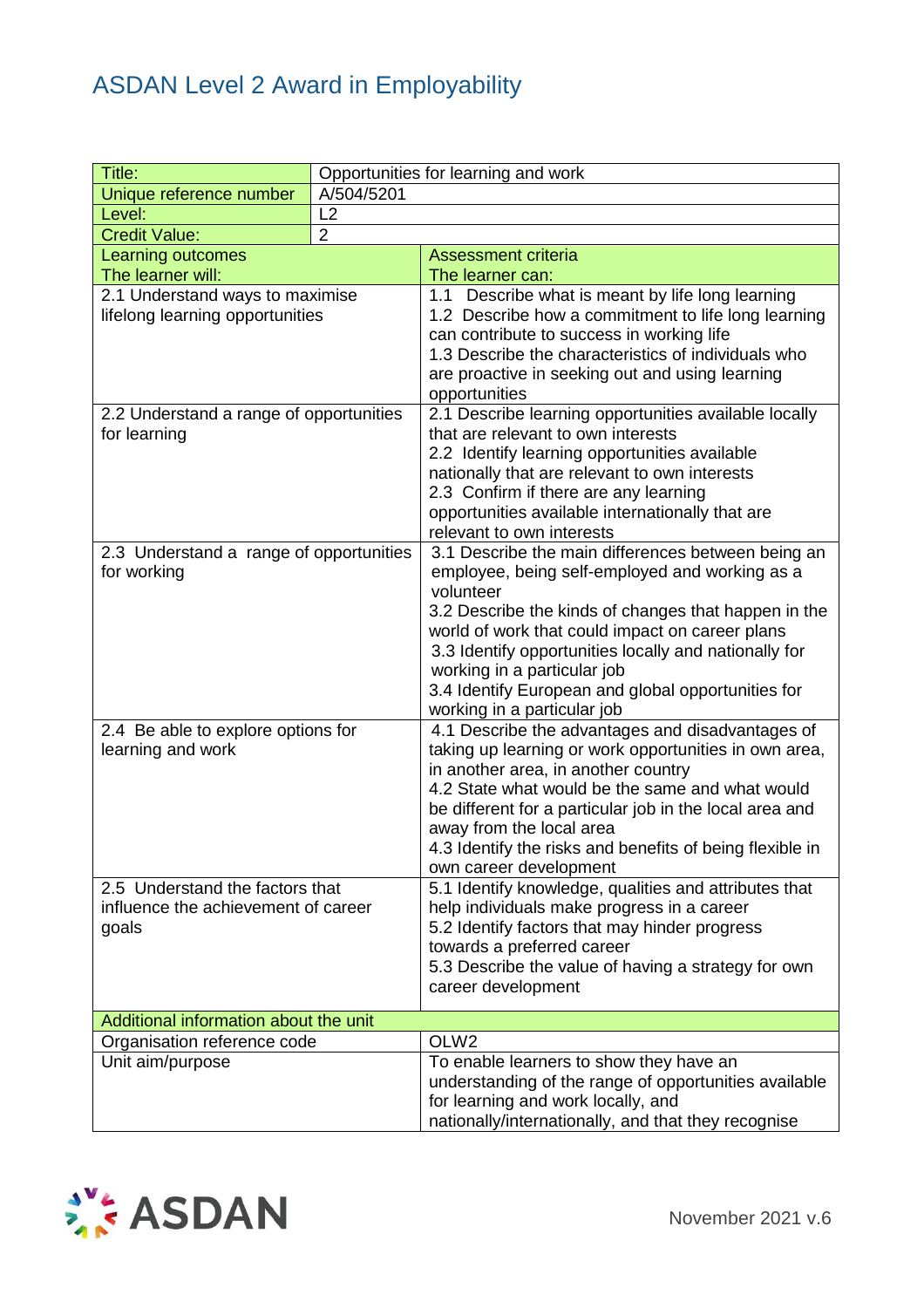| Title:                                                                          |            | Opportunities for learning and work                                                                                                                                                                                                                                                                                                                                                                                                                                                                                                                                                                                   |
|---------------------------------------------------------------------------------|------------|-----------------------------------------------------------------------------------------------------------------------------------------------------------------------------------------------------------------------------------------------------------------------------------------------------------------------------------------------------------------------------------------------------------------------------------------------------------------------------------------------------------------------------------------------------------------------------------------------------------------------|
| Unique reference number                                                         | A/504/5201 |                                                                                                                                                                                                                                                                                                                                                                                                                                                                                                                                                                                                                       |
| Level:                                                                          | L2         |                                                                                                                                                                                                                                                                                                                                                                                                                                                                                                                                                                                                                       |
| $\overline{2}$<br><b>Credit Value:</b>                                          |            |                                                                                                                                                                                                                                                                                                                                                                                                                                                                                                                                                                                                                       |
| Learning outcomes                                                               |            | <b>Assessment criteria</b>                                                                                                                                                                                                                                                                                                                                                                                                                                                                                                                                                                                            |
| The learner will:                                                               |            | The learner can:                                                                                                                                                                                                                                                                                                                                                                                                                                                                                                                                                                                                      |
| 2.1 Understand ways to maximise<br>lifelong learning opportunities              |            | 1.1 Describe what is meant by life long learning<br>1.2 Describe how a commitment to life long learning<br>can contribute to success in working life<br>1.3 Describe the characteristics of individuals who<br>are proactive in seeking out and using learning<br>opportunities                                                                                                                                                                                                                                                                                                                                       |
| 2.2 Understand a range of opportunities                                         |            | 2.1 Describe learning opportunities available locally                                                                                                                                                                                                                                                                                                                                                                                                                                                                                                                                                                 |
| for learning                                                                    |            | that are relevant to own interests<br>2.2 Identify learning opportunities available<br>nationally that are relevant to own interests<br>2.3 Confirm if there are any learning<br>opportunities available internationally that are<br>relevant to own interests                                                                                                                                                                                                                                                                                                                                                        |
| 2.3 Understand a range of opportunities                                         |            | 3.1 Describe the main differences between being an                                                                                                                                                                                                                                                                                                                                                                                                                                                                                                                                                                    |
| for working<br>2.4 Be able to explore options for<br>learning and work          |            | employee, being self-employed and working as a<br>volunteer<br>3.2 Describe the kinds of changes that happen in the<br>world of work that could impact on career plans<br>3.3 Identify opportunities locally and nationally for<br>working in a particular job<br>3.4 Identify European and global opportunities for<br>working in a particular job<br>4.1 Describe the advantages and disadvantages of<br>taking up learning or work opportunities in own area,<br>in another area, in another country<br>4.2 State what would be the same and what would<br>be different for a particular job in the local area and |
|                                                                                 |            | away from the local area<br>4.3 Identify the risks and benefits of being flexible in<br>own career development                                                                                                                                                                                                                                                                                                                                                                                                                                                                                                        |
| 2.5 Understand the factors that<br>influence the achievement of career<br>goals |            | 5.1 Identify knowledge, qualities and attributes that<br>help individuals make progress in a career<br>5.2 Identify factors that may hinder progress<br>towards a preferred career<br>5.3 Describe the value of having a strategy for own<br>career development                                                                                                                                                                                                                                                                                                                                                       |
|                                                                                 |            |                                                                                                                                                                                                                                                                                                                                                                                                                                                                                                                                                                                                                       |
| Additional information about the unit                                           |            |                                                                                                                                                                                                                                                                                                                                                                                                                                                                                                                                                                                                                       |
| Organisation reference code                                                     |            | OLW <sub>2</sub>                                                                                                                                                                                                                                                                                                                                                                                                                                                                                                                                                                                                      |
| Unit aim/purpose                                                                |            | To enable learners to show they have an<br>understanding of the range of opportunities available<br>for learning and work locally, and<br>nationally/internationally, and that they recognise                                                                                                                                                                                                                                                                                                                                                                                                                         |

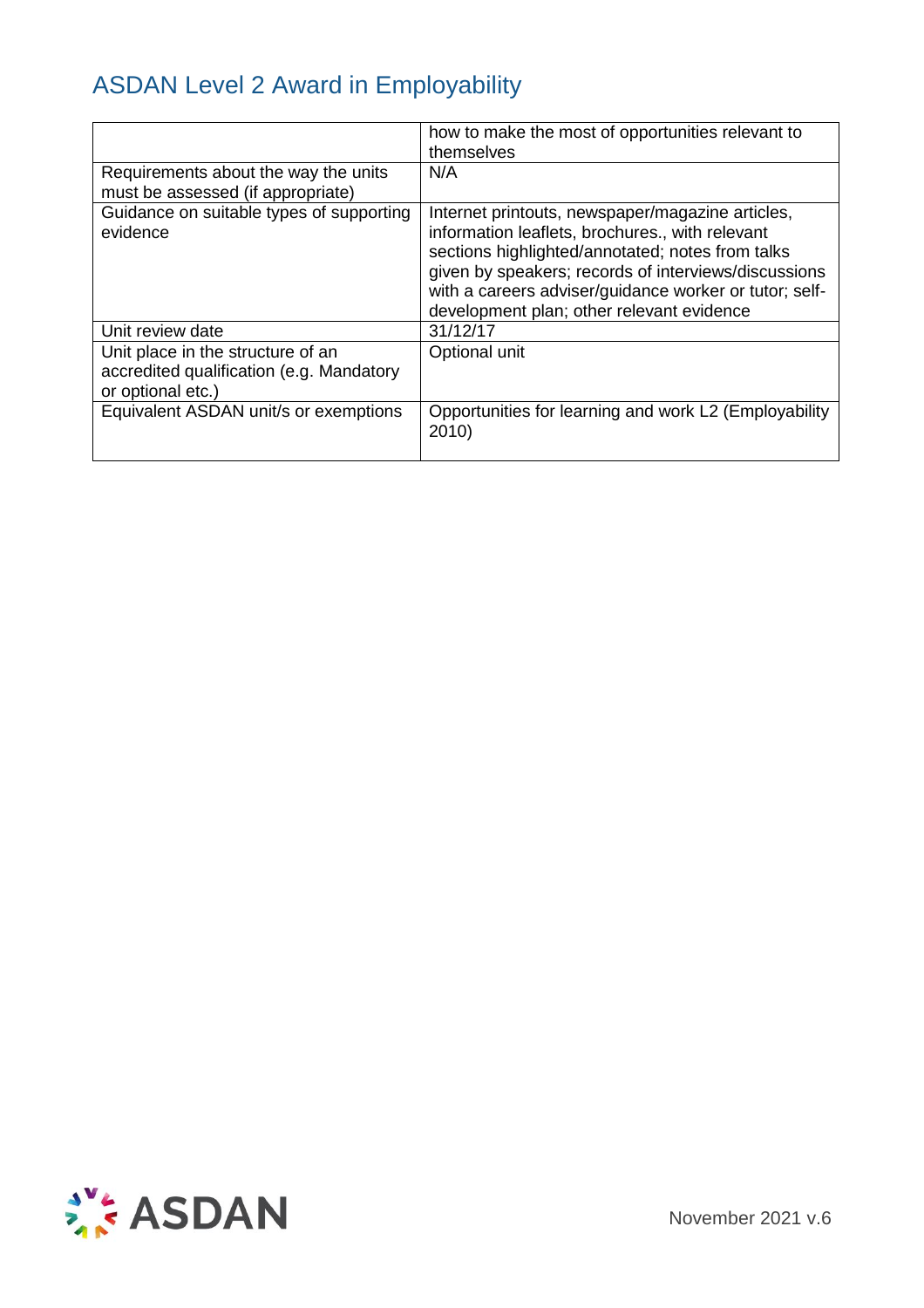|                                                                                                    | how to make the most of opportunities relevant to<br>themselves                                                                                                                                                                                                                                                        |
|----------------------------------------------------------------------------------------------------|------------------------------------------------------------------------------------------------------------------------------------------------------------------------------------------------------------------------------------------------------------------------------------------------------------------------|
| Requirements about the way the units<br>must be assessed (if appropriate)                          | N/A                                                                                                                                                                                                                                                                                                                    |
| Guidance on suitable types of supporting<br>evidence                                               | Internet printouts, newspaper/magazine articles,<br>information leaflets, brochures., with relevant<br>sections highlighted/annotated; notes from talks<br>given by speakers; records of interviews/discussions<br>with a careers adviser/guidance worker or tutor; self-<br>development plan; other relevant evidence |
| Unit review date                                                                                   | 31/12/17                                                                                                                                                                                                                                                                                                               |
| Unit place in the structure of an<br>accredited qualification (e.g. Mandatory<br>or optional etc.) | Optional unit                                                                                                                                                                                                                                                                                                          |
| Equivalent ASDAN unit/s or exemptions                                                              | Opportunities for learning and work L2 (Employability<br>2010)                                                                                                                                                                                                                                                         |

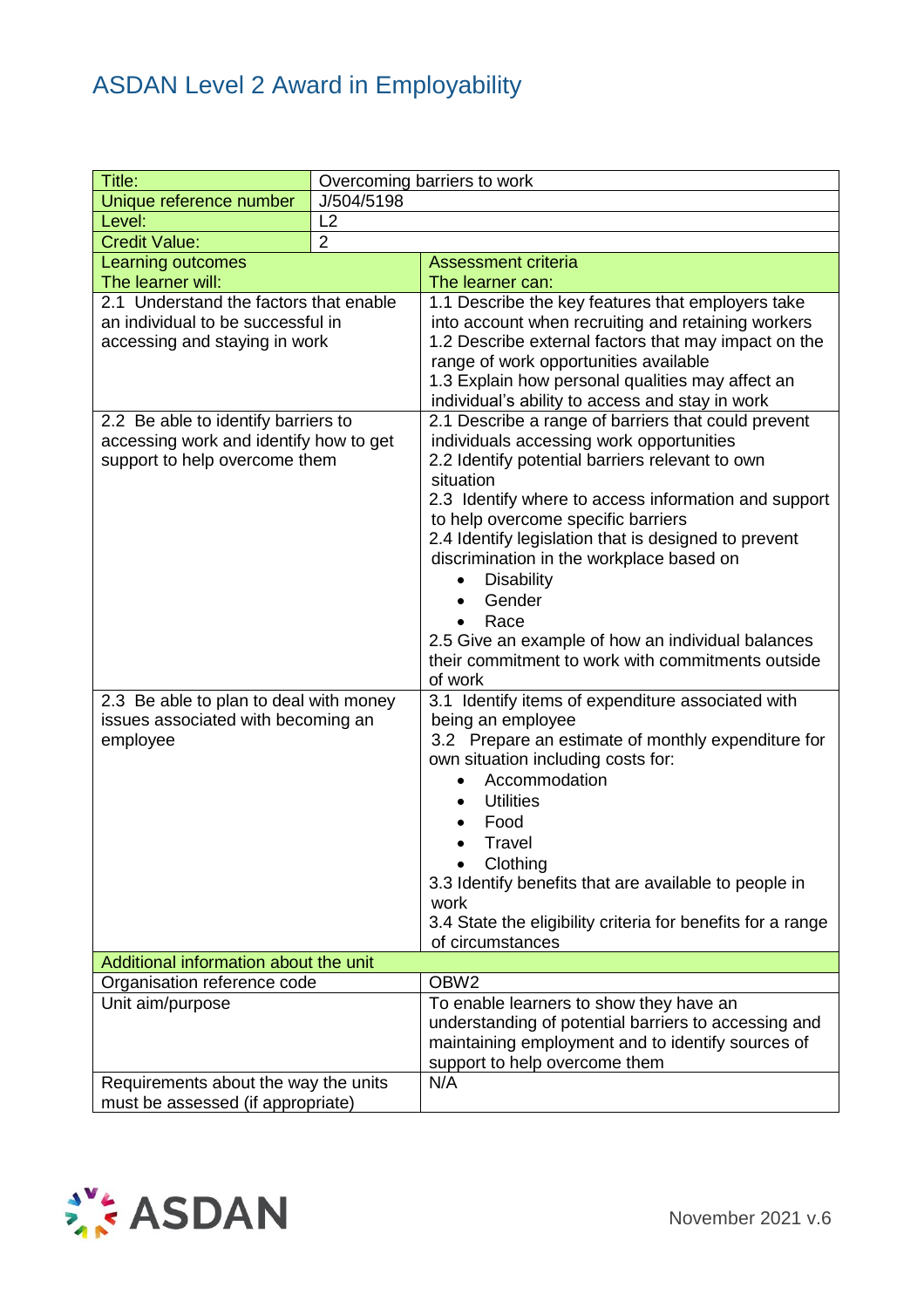| Title:                                                                                                                                                                                                                                                                                        | Overcoming barriers to work |                                                                                                                                                                                                                                                                                                                                                                                                                                                                                                                                                                                                                                                                                                                                                                                                                                                                                                                            |
|-----------------------------------------------------------------------------------------------------------------------------------------------------------------------------------------------------------------------------------------------------------------------------------------------|-----------------------------|----------------------------------------------------------------------------------------------------------------------------------------------------------------------------------------------------------------------------------------------------------------------------------------------------------------------------------------------------------------------------------------------------------------------------------------------------------------------------------------------------------------------------------------------------------------------------------------------------------------------------------------------------------------------------------------------------------------------------------------------------------------------------------------------------------------------------------------------------------------------------------------------------------------------------|
| Unique reference number                                                                                                                                                                                                                                                                       | J/504/5198                  |                                                                                                                                                                                                                                                                                                                                                                                                                                                                                                                                                                                                                                                                                                                                                                                                                                                                                                                            |
| Level:                                                                                                                                                                                                                                                                                        | L2                          |                                                                                                                                                                                                                                                                                                                                                                                                                                                                                                                                                                                                                                                                                                                                                                                                                                                                                                                            |
| <b>Credit Value:</b>                                                                                                                                                                                                                                                                          | $\overline{2}$              |                                                                                                                                                                                                                                                                                                                                                                                                                                                                                                                                                                                                                                                                                                                                                                                                                                                                                                                            |
| <b>Learning outcomes</b>                                                                                                                                                                                                                                                                      |                             | <b>Assessment criteria</b>                                                                                                                                                                                                                                                                                                                                                                                                                                                                                                                                                                                                                                                                                                                                                                                                                                                                                                 |
|                                                                                                                                                                                                                                                                                               |                             | The learner can:                                                                                                                                                                                                                                                                                                                                                                                                                                                                                                                                                                                                                                                                                                                                                                                                                                                                                                           |
| The learner will:<br>2.1 Understand the factors that enable<br>an individual to be successful in<br>accessing and staying in work<br>2.2 Be able to identify barriers to<br>accessing work and identify how to get<br>support to help overcome them<br>2.3 Be able to plan to deal with money |                             | 1.1 Describe the key features that employers take<br>into account when recruiting and retaining workers<br>1.2 Describe external factors that may impact on the<br>range of work opportunities available<br>1.3 Explain how personal qualities may affect an<br>individual's ability to access and stay in work<br>2.1 Describe a range of barriers that could prevent<br>individuals accessing work opportunities<br>2.2 Identify potential barriers relevant to own<br>situation<br>2.3 Identify where to access information and support<br>to help overcome specific barriers<br>2.4 Identify legislation that is designed to prevent<br>discrimination in the workplace based on<br><b>Disability</b><br>Gender<br>Race<br>2.5 Give an example of how an individual balances<br>their commitment to work with commitments outside<br>of work<br>3.1 Identify items of expenditure associated with<br>being an employee |
| issues associated with becoming an<br>employee<br>Additional information about the unit<br>Organisation reference code<br>Unit aim/purpose                                                                                                                                                    |                             | 3.2 Prepare an estimate of monthly expenditure for<br>own situation including costs for:<br>Accommodation<br><b>Utilities</b><br>Food<br>Travel<br>Clothing<br>3.3 Identify benefits that are available to people in<br>work<br>3.4 State the eligibility criteria for benefits for a range<br>of circumstances<br>OBW <sub>2</sub><br>To enable learners to show they have an<br>understanding of potential barriers to accessing and<br>maintaining employment and to identify sources of<br>support to help overcome them                                                                                                                                                                                                                                                                                                                                                                                               |
| Requirements about the way the units<br>must be assessed (if appropriate)                                                                                                                                                                                                                     |                             | N/A                                                                                                                                                                                                                                                                                                                                                                                                                                                                                                                                                                                                                                                                                                                                                                                                                                                                                                                        |

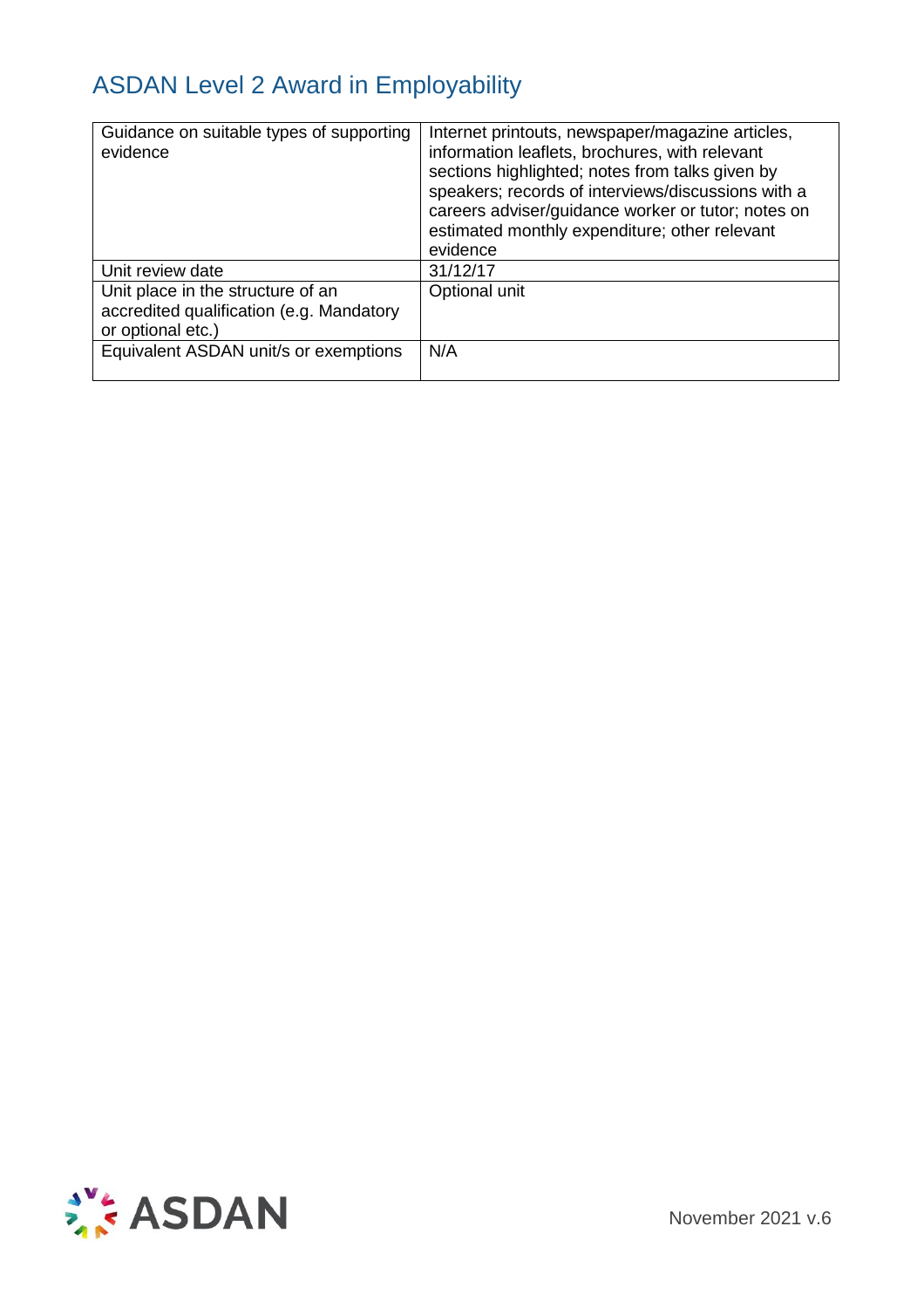| Guidance on suitable types of supporting<br>evidence                                               | Internet printouts, newspaper/magazine articles,<br>information leaflets, brochures, with relevant<br>sections highlighted; notes from talks given by<br>speakers; records of interviews/discussions with a<br>careers adviser/guidance worker or tutor; notes on<br>estimated monthly expenditure; other relevant<br>evidence |
|----------------------------------------------------------------------------------------------------|--------------------------------------------------------------------------------------------------------------------------------------------------------------------------------------------------------------------------------------------------------------------------------------------------------------------------------|
| Unit review date                                                                                   | 31/12/17                                                                                                                                                                                                                                                                                                                       |
| Unit place in the structure of an<br>accredited qualification (e.g. Mandatory<br>or optional etc.) | Optional unit                                                                                                                                                                                                                                                                                                                  |
| Equivalent ASDAN unit/s or exemptions                                                              | N/A                                                                                                                                                                                                                                                                                                                            |

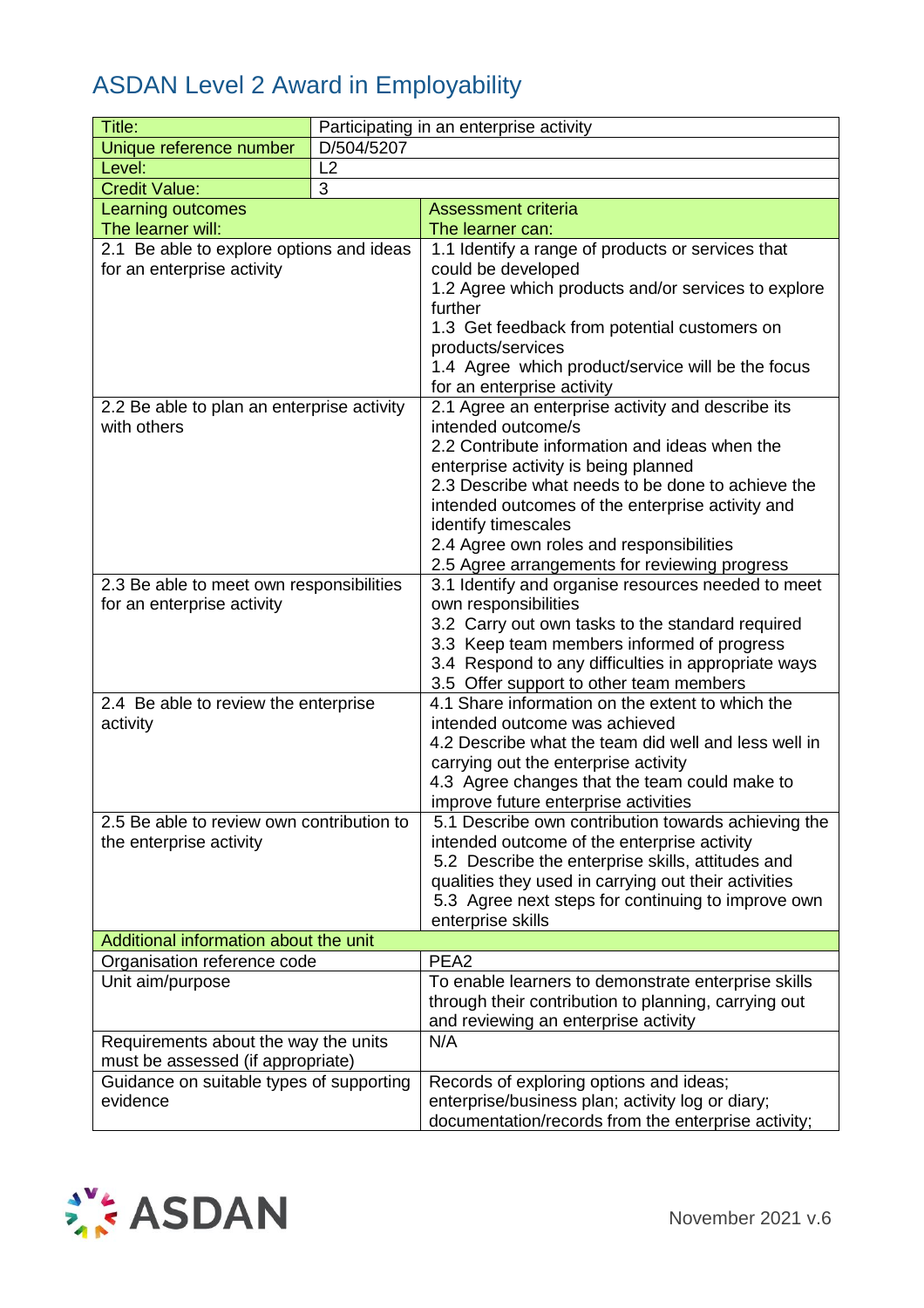| Title:                                                                        | Participating in an enterprise activity |                                                                         |  |
|-------------------------------------------------------------------------------|-----------------------------------------|-------------------------------------------------------------------------|--|
| Unique reference number                                                       | D/504/5207                              |                                                                         |  |
| Level:                                                                        | L2                                      |                                                                         |  |
| <b>Credit Value:</b>                                                          | 3                                       |                                                                         |  |
| Learning outcomes                                                             |                                         | <b>Assessment criteria</b>                                              |  |
| The learner will:                                                             |                                         | The learner can:                                                        |  |
| 2.1 Be able to explore options and ideas                                      |                                         | 1.1 Identify a range of products or services that                       |  |
| for an enterprise activity                                                    |                                         | could be developed                                                      |  |
|                                                                               |                                         | 1.2 Agree which products and/or services to explore                     |  |
|                                                                               |                                         | further                                                                 |  |
|                                                                               |                                         | 1.3 Get feedback from potential customers on                            |  |
|                                                                               |                                         | products/services                                                       |  |
|                                                                               |                                         | 1.4 Agree which product/service will be the focus                       |  |
|                                                                               |                                         | for an enterprise activity                                              |  |
| 2.2 Be able to plan an enterprise activity                                    |                                         | 2.1 Agree an enterprise activity and describe its                       |  |
| with others                                                                   |                                         | intended outcome/s                                                      |  |
|                                                                               |                                         | 2.2 Contribute information and ideas when the                           |  |
|                                                                               |                                         | enterprise activity is being planned                                    |  |
|                                                                               |                                         | 2.3 Describe what needs to be done to achieve the                       |  |
|                                                                               |                                         | intended outcomes of the enterprise activity and<br>identify timescales |  |
|                                                                               |                                         | 2.4 Agree own roles and responsibilities                                |  |
|                                                                               |                                         | 2.5 Agree arrangements for reviewing progress                           |  |
| 2.3 Be able to meet own responsibilities                                      |                                         | 3.1 Identify and organise resources needed to meet                      |  |
| for an enterprise activity                                                    |                                         | own responsibilities                                                    |  |
|                                                                               |                                         | 3.2 Carry out own tasks to the standard required                        |  |
|                                                                               |                                         | 3.3 Keep team members informed of progress                              |  |
|                                                                               |                                         | 3.4 Respond to any difficulties in appropriate ways                     |  |
|                                                                               |                                         | 3.5 Offer support to other team members                                 |  |
| 2.4 Be able to review the enterprise                                          |                                         | 4.1 Share information on the extent to which the                        |  |
| activity                                                                      |                                         | intended outcome was achieved                                           |  |
|                                                                               |                                         | 4.2 Describe what the team did well and less well in                    |  |
|                                                                               |                                         | carrying out the enterprise activity                                    |  |
|                                                                               |                                         | 4.3 Agree changes that the team could make to                           |  |
|                                                                               |                                         | improve future enterprise activities                                    |  |
| 2.5 Be able to review own contribution to                                     |                                         | 5.1 Describe own contribution towards achieving the                     |  |
| the enterprise activity                                                       |                                         | intended outcome of the enterprise activity                             |  |
|                                                                               |                                         | 5.2 Describe the enterprise skills, attitudes and                       |  |
|                                                                               |                                         | qualities they used in carrying out their activities                    |  |
|                                                                               |                                         | 5.3 Agree next steps for continuing to improve own                      |  |
|                                                                               |                                         | enterprise skills                                                       |  |
| Additional information about the unit                                         |                                         |                                                                         |  |
| Organisation reference code                                                   |                                         | PEA <sub>2</sub>                                                        |  |
| Unit aim/purpose                                                              |                                         | To enable learners to demonstrate enterprise skills                     |  |
|                                                                               |                                         | through their contribution to planning, carrying out                    |  |
|                                                                               |                                         | and reviewing an enterprise activity<br>N/A                             |  |
| Requirements about the way the units                                          |                                         |                                                                         |  |
| must be assessed (if appropriate)<br>Guidance on suitable types of supporting |                                         | Records of exploring options and ideas;                                 |  |
| evidence                                                                      |                                         | enterprise/business plan; activity log or diary;                        |  |
|                                                                               |                                         | documentation/records from the enterprise activity;                     |  |

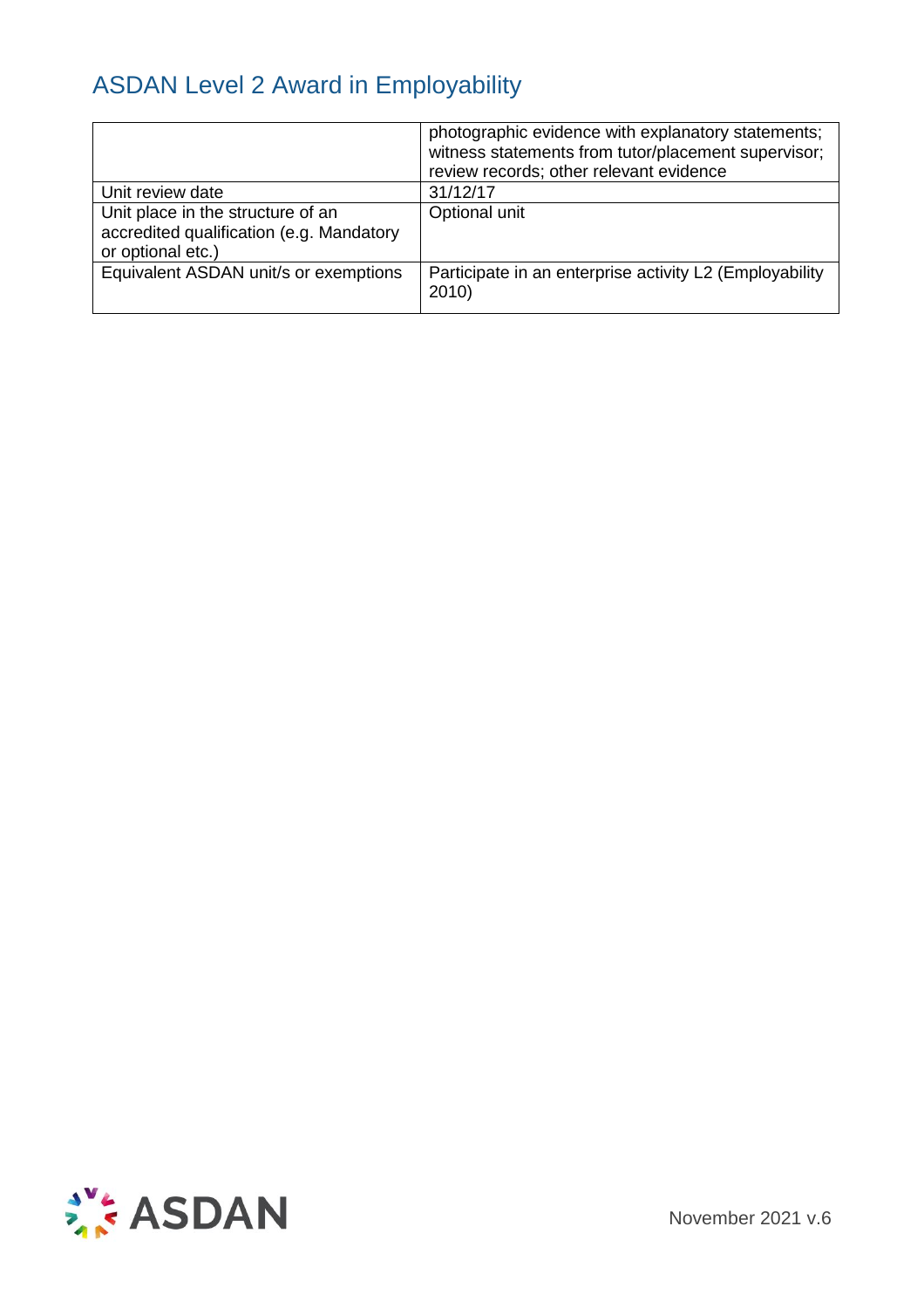|                                                                                                    | photographic evidence with explanatory statements;<br>witness statements from tutor/placement supervisor;<br>review records; other relevant evidence |
|----------------------------------------------------------------------------------------------------|------------------------------------------------------------------------------------------------------------------------------------------------------|
| Unit review date                                                                                   | 31/12/17                                                                                                                                             |
| Unit place in the structure of an<br>accredited qualification (e.g. Mandatory<br>or optional etc.) | Optional unit                                                                                                                                        |
| Equivalent ASDAN unit/s or exemptions                                                              | Participate in an enterprise activity L2 (Employability<br>2010                                                                                      |

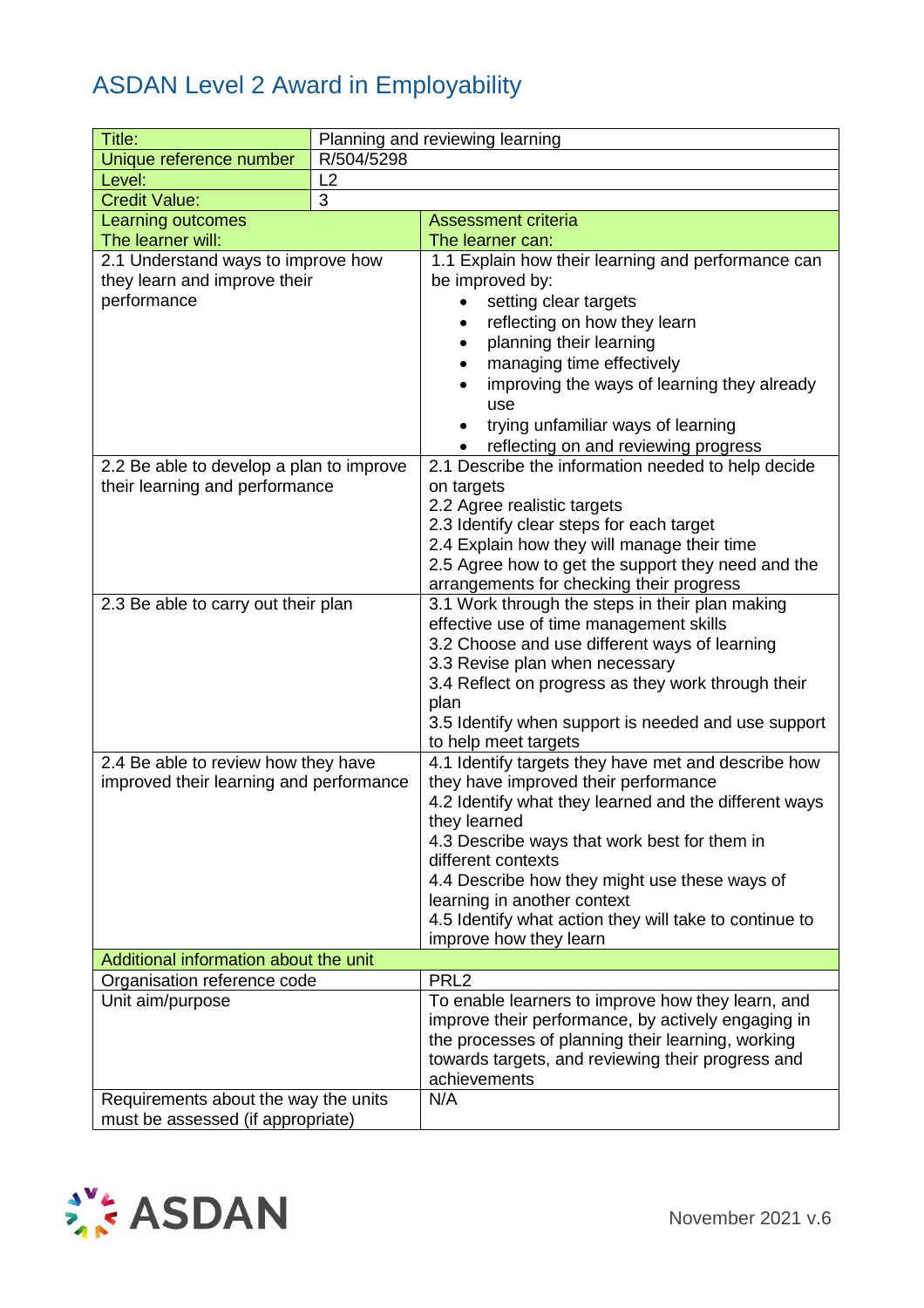| Title:                                   |            | Planning and reviewing learning                                                             |
|------------------------------------------|------------|---------------------------------------------------------------------------------------------|
| Unique reference number                  | R/504/5298 |                                                                                             |
| Level:                                   | L2         |                                                                                             |
| <b>Credit Value:</b>                     | 3          |                                                                                             |
| Learning outcomes                        |            | <b>Assessment criteria</b>                                                                  |
| The learner will:                        |            | The learner can:                                                                            |
| 2.1 Understand ways to improve how       |            | 1.1 Explain how their learning and performance can                                          |
| they learn and improve their             |            | be improved by:                                                                             |
| performance                              |            | setting clear targets                                                                       |
|                                          |            | reflecting on how they learn                                                                |
|                                          |            | planning their learning<br>$\bullet$                                                        |
|                                          |            | managing time effectively                                                                   |
|                                          |            | improving the ways of learning they already                                                 |
|                                          |            | use                                                                                         |
|                                          |            | trying unfamiliar ways of learning                                                          |
|                                          |            | reflecting on and reviewing progress                                                        |
| 2.2 Be able to develop a plan to improve |            | 2.1 Describe the information needed to help decide                                          |
| their learning and performance           |            | on targets                                                                                  |
|                                          |            | 2.2 Agree realistic targets                                                                 |
|                                          |            | 2.3 Identify clear steps for each target                                                    |
|                                          |            | 2.4 Explain how they will manage their time                                                 |
|                                          |            | 2.5 Agree how to get the support they need and the                                          |
| 2.3 Be able to carry out their plan      |            | arrangements for checking their progress<br>3.1 Work through the steps in their plan making |
|                                          |            | effective use of time management skills                                                     |
|                                          |            | 3.2 Choose and use different ways of learning                                               |
|                                          |            | 3.3 Revise plan when necessary                                                              |
|                                          |            | 3.4 Reflect on progress as they work through their                                          |
|                                          |            | plan                                                                                        |
|                                          |            | 3.5 Identify when support is needed and use support                                         |
|                                          |            | to help meet targets                                                                        |
| 2.4 Be able to review how they have      |            | 4.1 Identify targets they have met and describe how                                         |
| improved their learning and performance  |            | they have improved their performance                                                        |
|                                          |            | 4.2 Identify what they learned and the different ways                                       |
|                                          |            | they learned                                                                                |
|                                          |            | 4.3 Describe ways that work best for them in                                                |
|                                          |            | different contexts                                                                          |
|                                          |            | 4.4 Describe how they might use these ways of                                               |
|                                          |            | learning in another context<br>4.5 Identify what action they will take to continue to       |
|                                          |            | improve how they learn                                                                      |
| Additional information about the unit    |            |                                                                                             |
| Organisation reference code              |            | PRL <sub>2</sub>                                                                            |
| Unit aim/purpose                         |            | To enable learners to improve how they learn, and                                           |
|                                          |            | improve their performance, by actively engaging in                                          |
|                                          |            | the processes of planning their learning, working                                           |
|                                          |            | towards targets, and reviewing their progress and                                           |
|                                          |            | achievements                                                                                |
| Requirements about the way the units     |            | N/A                                                                                         |
| must be assessed (if appropriate)        |            |                                                                                             |

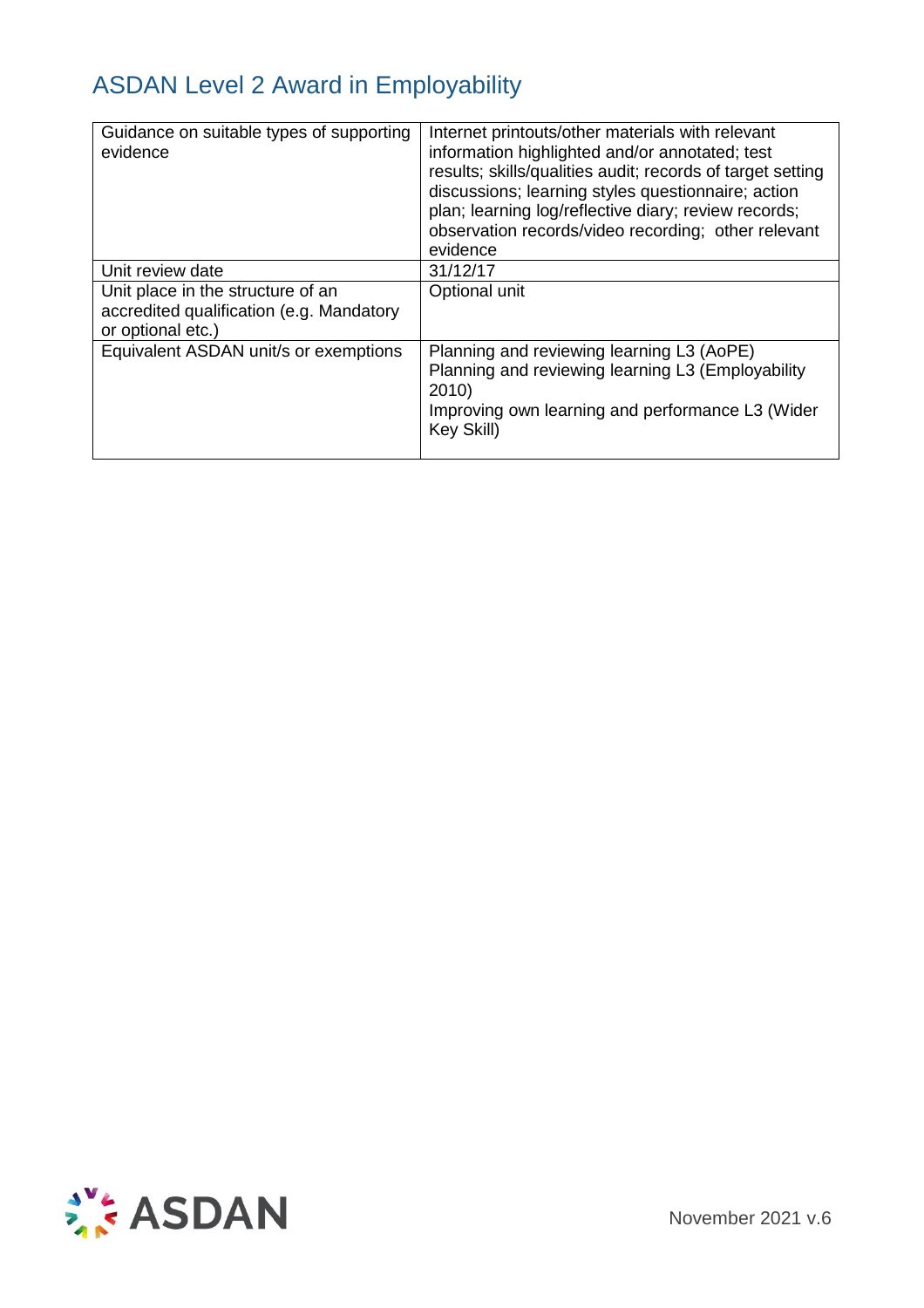| Guidance on suitable types of supporting<br>evidence                                               | Internet printouts/other materials with relevant<br>information highlighted and/or annotated; test<br>results; skills/qualities audit; records of target setting<br>discussions; learning styles questionnaire; action<br>plan; learning log/reflective diary; review records;<br>observation records/video recording; other relevant<br>evidence |
|----------------------------------------------------------------------------------------------------|---------------------------------------------------------------------------------------------------------------------------------------------------------------------------------------------------------------------------------------------------------------------------------------------------------------------------------------------------|
| Unit review date                                                                                   | 31/12/17                                                                                                                                                                                                                                                                                                                                          |
| Unit place in the structure of an<br>accredited qualification (e.g. Mandatory<br>or optional etc.) | Optional unit                                                                                                                                                                                                                                                                                                                                     |
| Equivalent ASDAN unit/s or exemptions                                                              | Planning and reviewing learning L3 (AoPE)<br>Planning and reviewing learning L3 (Employability<br>2010<br>Improving own learning and performance L3 (Wider<br>Key Skill)                                                                                                                                                                          |

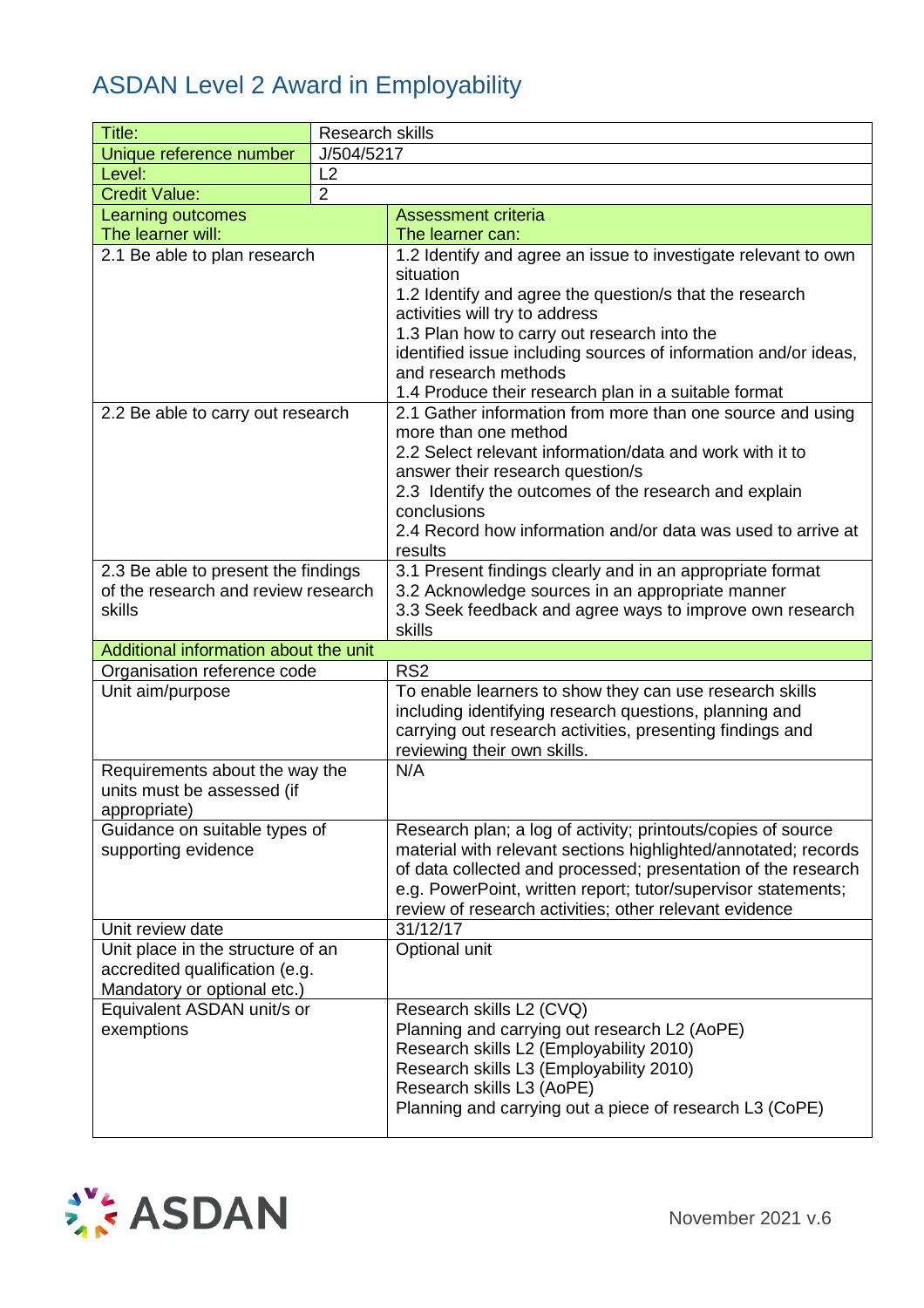| Title:                                                                                             | <b>Research skills</b> |                                                                                                                                                                                                                                                                                                                                                                            |
|----------------------------------------------------------------------------------------------------|------------------------|----------------------------------------------------------------------------------------------------------------------------------------------------------------------------------------------------------------------------------------------------------------------------------------------------------------------------------------------------------------------------|
| Unique reference number                                                                            | J/504/5217             |                                                                                                                                                                                                                                                                                                                                                                            |
| Level:                                                                                             | L2                     |                                                                                                                                                                                                                                                                                                                                                                            |
| <b>Credit Value:</b>                                                                               | $\overline{2}$         |                                                                                                                                                                                                                                                                                                                                                                            |
| <b>Learning outcomes</b>                                                                           |                        | <b>Assessment criteria</b>                                                                                                                                                                                                                                                                                                                                                 |
| The learner will:                                                                                  |                        | The learner can:                                                                                                                                                                                                                                                                                                                                                           |
| 2.1 Be able to plan research                                                                       |                        | 1.2 Identify and agree an issue to investigate relevant to own<br>situation<br>1.2 Identify and agree the question/s that the research<br>activities will try to address<br>1.3 Plan how to carry out research into the<br>identified issue including sources of information and/or ideas,<br>and research methods<br>1.4 Produce their research plan in a suitable format |
| 2.2 Be able to carry out research                                                                  |                        | 2.1 Gather information from more than one source and using<br>more than one method<br>2.2 Select relevant information/data and work with it to<br>answer their research question/s<br>2.3 Identify the outcomes of the research and explain<br>conclusions<br>2.4 Record how information and/or data was used to arrive at<br>results                                      |
| 2.3 Be able to present the findings<br>of the research and review research<br>skills               |                        | 3.1 Present findings clearly and in an appropriate format<br>3.2 Acknowledge sources in an appropriate manner<br>3.3 Seek feedback and agree ways to improve own research<br>skills                                                                                                                                                                                        |
| Additional information about the unit                                                              |                        |                                                                                                                                                                                                                                                                                                                                                                            |
| Organisation reference code                                                                        |                        | RS <sub>2</sub>                                                                                                                                                                                                                                                                                                                                                            |
| Unit aim/purpose                                                                                   |                        | To enable learners to show they can use research skills<br>including identifying research questions, planning and<br>carrying out research activities, presenting findings and<br>reviewing their own skills.                                                                                                                                                              |
| Requirements about the way the<br>units must be assessed (if<br>appropriate)                       |                        | N/A                                                                                                                                                                                                                                                                                                                                                                        |
| Guidance on suitable types of<br>supporting evidence                                               |                        | Research plan; a log of activity; printouts/copies of source<br>material with relevant sections highlighted/annotated; records<br>of data collected and processed; presentation of the research<br>e.g. PowerPoint, written report; tutor/supervisor statements;<br>review of research activities; other relevant evidence                                                 |
| Unit review date                                                                                   |                        | 31/12/17                                                                                                                                                                                                                                                                                                                                                                   |
| Unit place in the structure of an<br>accredited qualification (e.g.<br>Mandatory or optional etc.) |                        | Optional unit                                                                                                                                                                                                                                                                                                                                                              |
| Equivalent ASDAN unit/s or<br>exemptions                                                           |                        | Research skills L2 (CVQ)<br>Planning and carrying out research L2 (AoPE)<br>Research skills L2 (Employability 2010)<br>Research skills L3 (Employability 2010)<br>Research skills L3 (AoPE)<br>Planning and carrying out a piece of research L3 (CoPE)                                                                                                                     |

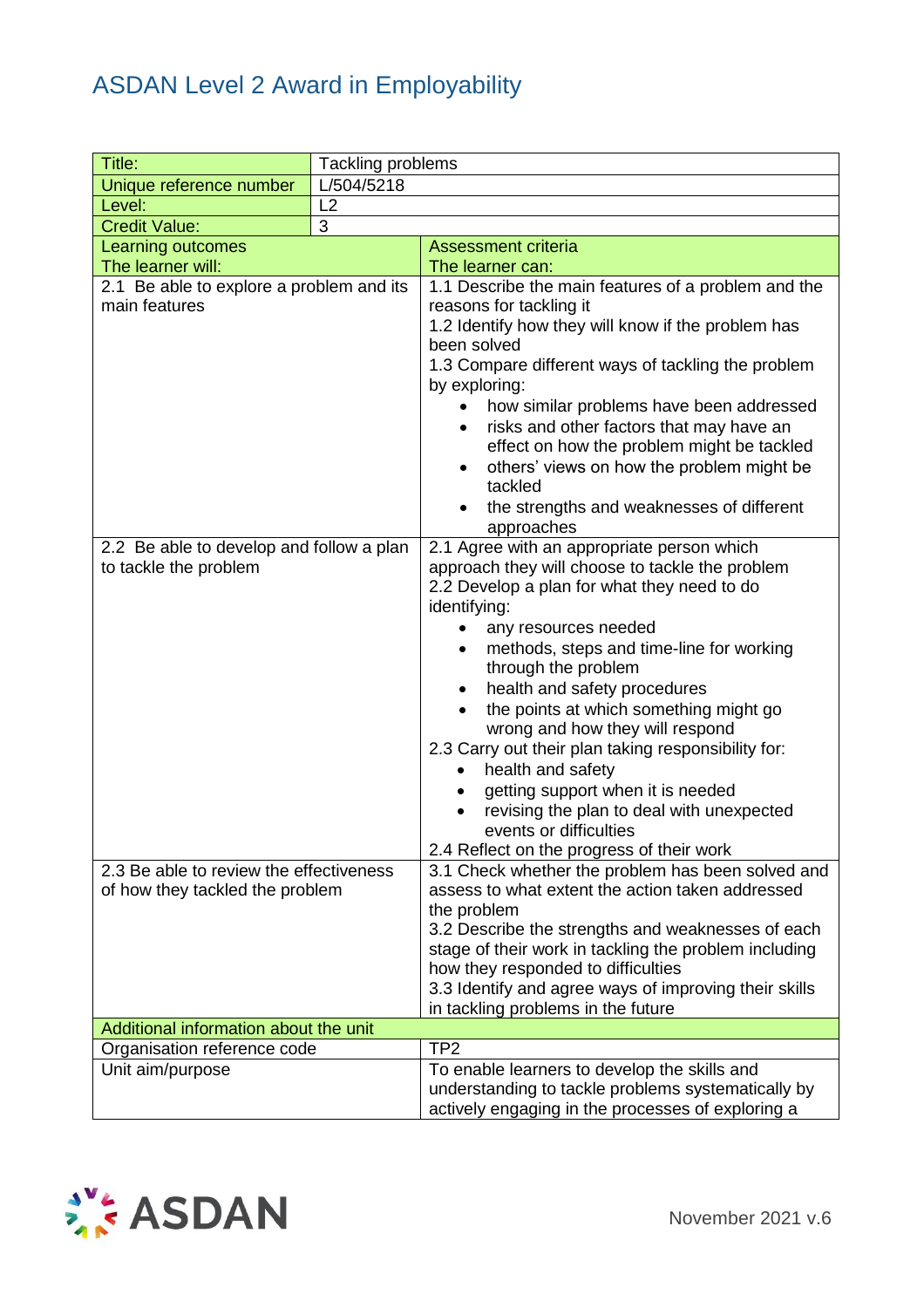| Title:                                                                     | Tackling problems |                                                                                                                                                                                                                                                                                                                                                                                                                                                                                                                                                                                                                                                  |  |
|----------------------------------------------------------------------------|-------------------|--------------------------------------------------------------------------------------------------------------------------------------------------------------------------------------------------------------------------------------------------------------------------------------------------------------------------------------------------------------------------------------------------------------------------------------------------------------------------------------------------------------------------------------------------------------------------------------------------------------------------------------------------|--|
| Unique reference number                                                    | L/504/5218        |                                                                                                                                                                                                                                                                                                                                                                                                                                                                                                                                                                                                                                                  |  |
| Level:                                                                     | L2                |                                                                                                                                                                                                                                                                                                                                                                                                                                                                                                                                                                                                                                                  |  |
| <b>Credit Value:</b>                                                       | 3                 |                                                                                                                                                                                                                                                                                                                                                                                                                                                                                                                                                                                                                                                  |  |
| Learning outcomes                                                          |                   | <b>Assessment criteria</b>                                                                                                                                                                                                                                                                                                                                                                                                                                                                                                                                                                                                                       |  |
| The learner will:                                                          |                   | The learner can:                                                                                                                                                                                                                                                                                                                                                                                                                                                                                                                                                                                                                                 |  |
| 2.1 Be able to explore a problem and its                                   |                   | 1.1 Describe the main features of a problem and the                                                                                                                                                                                                                                                                                                                                                                                                                                                                                                                                                                                              |  |
| main features                                                              |                   | reasons for tackling it<br>1.2 Identify how they will know if the problem has<br>been solved<br>1.3 Compare different ways of tackling the problem<br>by exploring:<br>how similar problems have been addressed<br>$\bullet$<br>risks and other factors that may have an<br>effect on how the problem might be tackled                                                                                                                                                                                                                                                                                                                           |  |
|                                                                            |                   | others' views on how the problem might be<br>$\bullet$<br>tackled<br>the strengths and weaknesses of different<br>approaches                                                                                                                                                                                                                                                                                                                                                                                                                                                                                                                     |  |
| 2.2 Be able to develop and follow a plan<br>to tackle the problem          |                   | 2.1 Agree with an appropriate person which<br>approach they will choose to tackle the problem<br>2.2 Develop a plan for what they need to do<br>identifying:<br>any resources needed<br>$\bullet$<br>methods, steps and time-line for working<br>through the problem<br>health and safety procedures<br>$\bullet$<br>the points at which something might go<br>wrong and how they will respond<br>2.3 Carry out their plan taking responsibility for:<br>health and safety<br>getting support when it is needed<br>$\bullet$<br>revising the plan to deal with unexpected<br>events or difficulties<br>2.4 Reflect on the progress of their work |  |
| 2.3 Be able to review the effectiveness<br>of how they tackled the problem |                   | 3.1 Check whether the problem has been solved and<br>assess to what extent the action taken addressed<br>the problem                                                                                                                                                                                                                                                                                                                                                                                                                                                                                                                             |  |
|                                                                            |                   | 3.2 Describe the strengths and weaknesses of each<br>stage of their work in tackling the problem including<br>how they responded to difficulties<br>3.3 Identify and agree ways of improving their skills<br>in tackling problems in the future                                                                                                                                                                                                                                                                                                                                                                                                  |  |
| Additional information about the unit                                      |                   |                                                                                                                                                                                                                                                                                                                                                                                                                                                                                                                                                                                                                                                  |  |
| Organisation reference code                                                |                   | TP <sub>2</sub>                                                                                                                                                                                                                                                                                                                                                                                                                                                                                                                                                                                                                                  |  |
| Unit aim/purpose                                                           |                   | To enable learners to develop the skills and<br>understanding to tackle problems systematically by<br>actively engaging in the processes of exploring a                                                                                                                                                                                                                                                                                                                                                                                                                                                                                          |  |

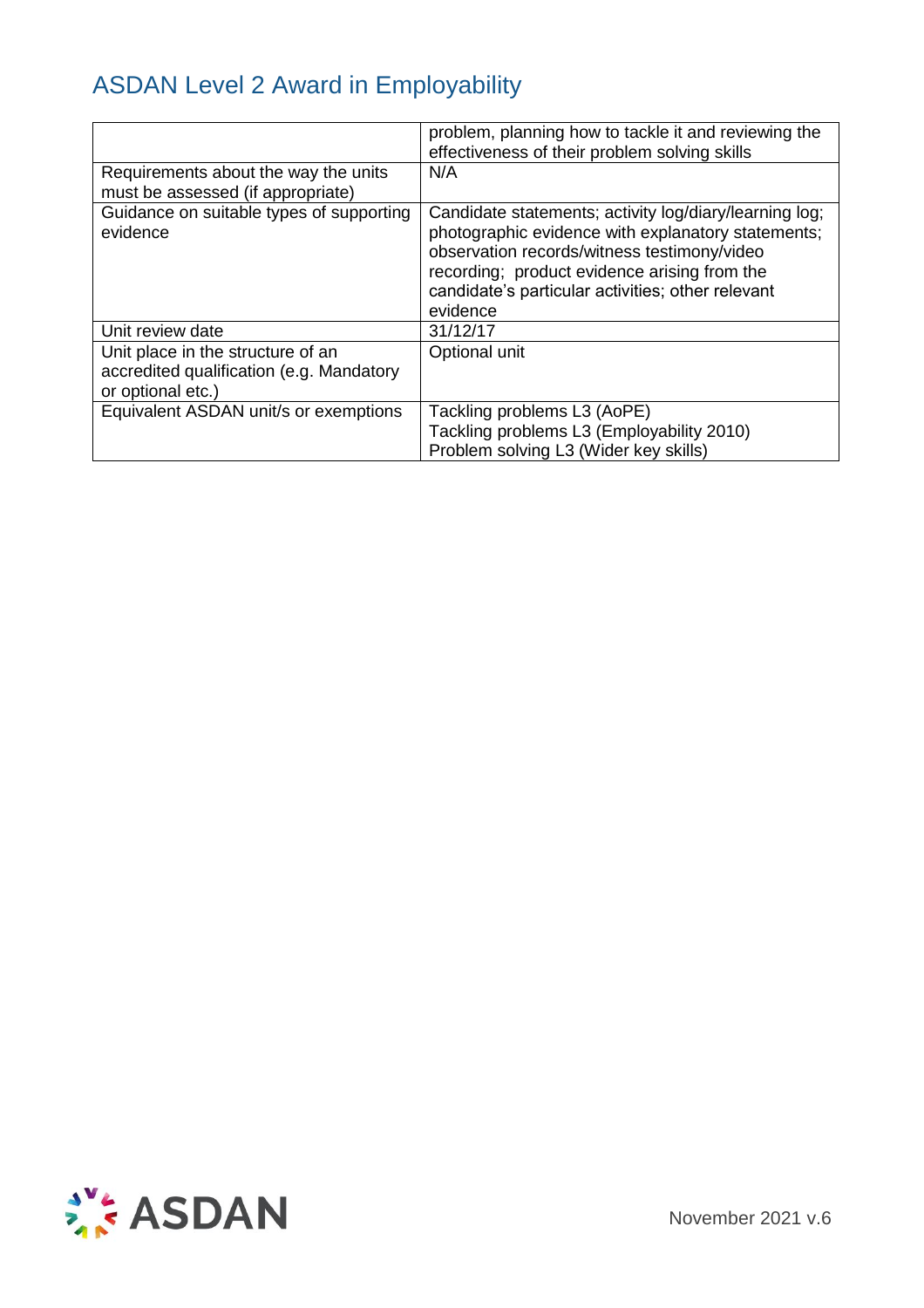|                                                                                                    | problem, planning how to tackle it and reviewing the<br>effectiveness of their problem solving skills                                                                                                                                                                        |
|----------------------------------------------------------------------------------------------------|------------------------------------------------------------------------------------------------------------------------------------------------------------------------------------------------------------------------------------------------------------------------------|
| Requirements about the way the units<br>must be assessed (if appropriate)                          | N/A                                                                                                                                                                                                                                                                          |
| Guidance on suitable types of supporting<br>evidence                                               | Candidate statements; activity log/diary/learning log;<br>photographic evidence with explanatory statements;<br>observation records/witness testimony/video<br>recording; product evidence arising from the<br>candidate's particular activities; other relevant<br>evidence |
| Unit review date                                                                                   | 31/12/17                                                                                                                                                                                                                                                                     |
| Unit place in the structure of an<br>accredited qualification (e.g. Mandatory<br>or optional etc.) | Optional unit                                                                                                                                                                                                                                                                |
| Equivalent ASDAN unit/s or exemptions                                                              | Tackling problems L3 (AoPE)<br>Tackling problems L3 (Employability 2010)<br>Problem solving L3 (Wider key skills)                                                                                                                                                            |

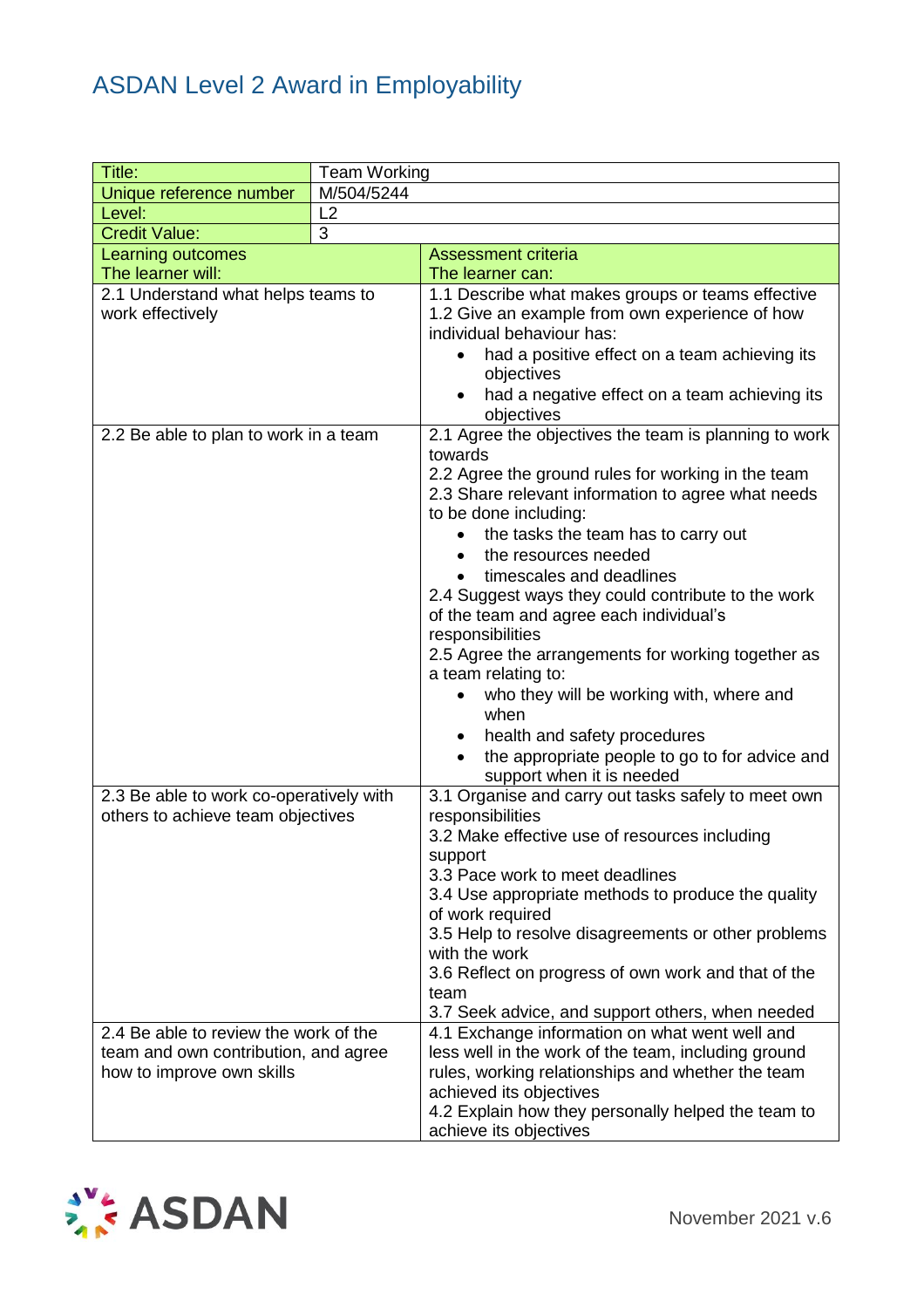| Title:                                  | <b>Team Working</b> |                                                                                          |  |  |
|-----------------------------------------|---------------------|------------------------------------------------------------------------------------------|--|--|
| Unique reference number                 | M/504/5244          |                                                                                          |  |  |
| Level:                                  | L2                  |                                                                                          |  |  |
| <b>Credit Value:</b>                    | 3                   |                                                                                          |  |  |
| Learning outcomes                       |                     | <b>Assessment criteria</b>                                                               |  |  |
| The learner will:                       |                     | The learner can:                                                                         |  |  |
| 2.1 Understand what helps teams to      |                     | 1.1 Describe what makes groups or teams effective                                        |  |  |
| work effectively                        |                     | 1.2 Give an example from own experience of how                                           |  |  |
|                                         |                     | individual behaviour has:                                                                |  |  |
|                                         |                     | had a positive effect on a team achieving its<br>objectives                              |  |  |
|                                         |                     | had a negative effect on a team achieving its                                            |  |  |
|                                         |                     | objectives                                                                               |  |  |
| 2.2 Be able to plan to work in a team   |                     | 2.1 Agree the objectives the team is planning to work                                    |  |  |
|                                         |                     | towards                                                                                  |  |  |
|                                         |                     | 2.2 Agree the ground rules for working in the team                                       |  |  |
|                                         |                     | 2.3 Share relevant information to agree what needs                                       |  |  |
|                                         |                     | to be done including:                                                                    |  |  |
|                                         |                     | the tasks the team has to carry out                                                      |  |  |
|                                         |                     | the resources needed                                                                     |  |  |
|                                         |                     | timescales and deadlines                                                                 |  |  |
|                                         |                     | 2.4 Suggest ways they could contribute to the work                                       |  |  |
|                                         |                     | of the team and agree each individual's                                                  |  |  |
|                                         |                     | responsibilities                                                                         |  |  |
|                                         |                     | 2.5 Agree the arrangements for working together as                                       |  |  |
|                                         |                     | a team relating to:                                                                      |  |  |
|                                         |                     | who they will be working with, where and                                                 |  |  |
|                                         |                     | when                                                                                     |  |  |
|                                         |                     | health and safety procedures<br>$\bullet$                                                |  |  |
|                                         |                     | the appropriate people to go to for advice and<br>$\bullet$<br>support when it is needed |  |  |
| 2.3 Be able to work co-operatively with |                     | 3.1 Organise and carry out tasks safely to meet own                                      |  |  |
| others to achieve team objectives       |                     | responsibilities                                                                         |  |  |
|                                         |                     | 3.2 Make effective use of resources including                                            |  |  |
|                                         |                     | support                                                                                  |  |  |
|                                         |                     | 3.3 Pace work to meet deadlines                                                          |  |  |
|                                         |                     | 3.4 Use appropriate methods to produce the quality                                       |  |  |
|                                         |                     | of work required                                                                         |  |  |
|                                         |                     | 3.5 Help to resolve disagreements or other problems                                      |  |  |
|                                         |                     | with the work                                                                            |  |  |
|                                         |                     | 3.6 Reflect on progress of own work and that of the<br>team                              |  |  |
|                                         |                     | 3.7 Seek advice, and support others, when needed                                         |  |  |
| 2.4 Be able to review the work of the   |                     | 4.1 Exchange information on what went well and                                           |  |  |
| team and own contribution, and agree    |                     | less well in the work of the team, including ground                                      |  |  |
| how to improve own skills               |                     | rules, working relationships and whether the team                                        |  |  |
|                                         |                     | achieved its objectives                                                                  |  |  |
|                                         |                     | 4.2 Explain how they personally helped the team to                                       |  |  |
|                                         |                     | achieve its objectives                                                                   |  |  |

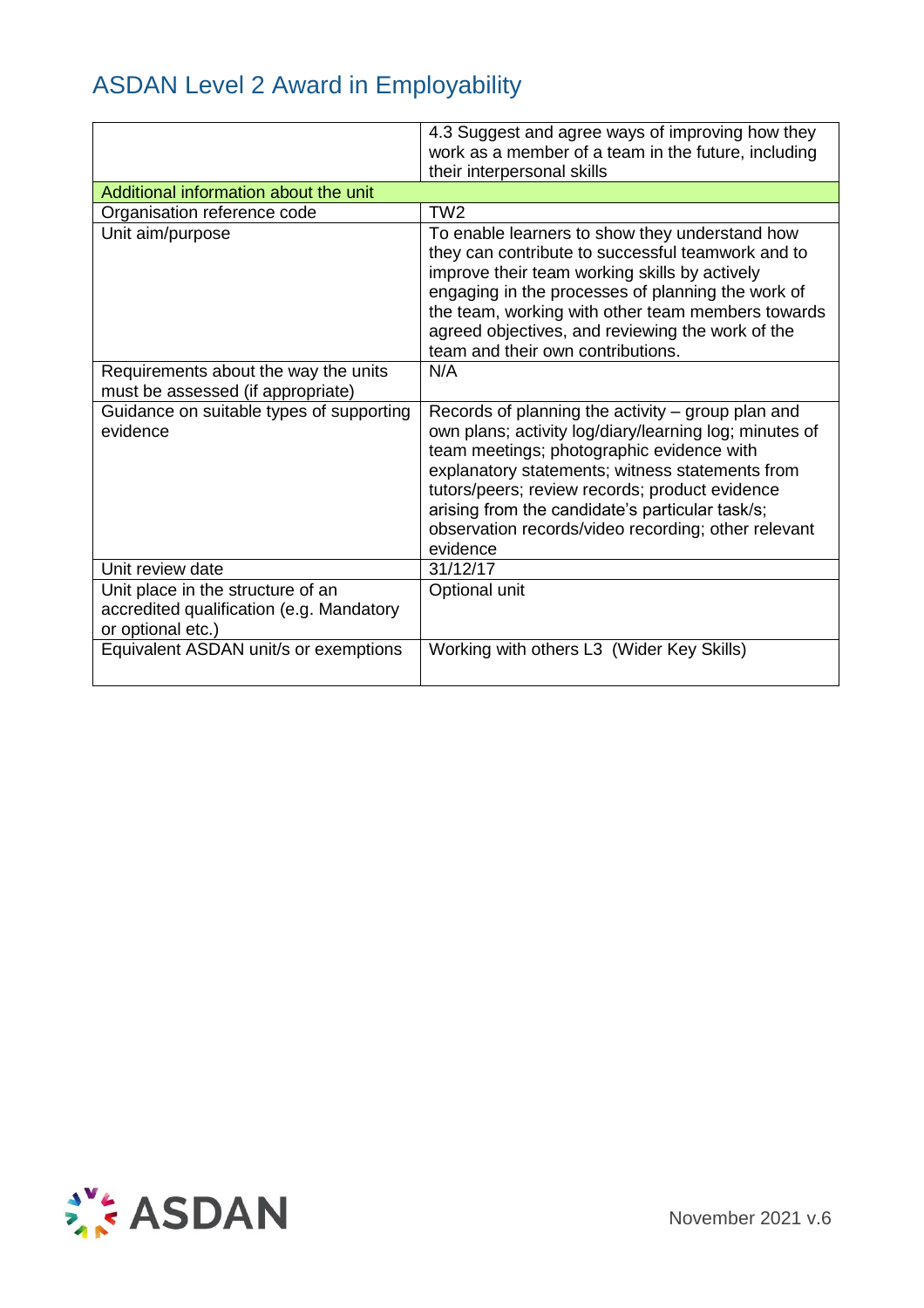|                                                                                                    | 4.3 Suggest and agree ways of improving how they<br>work as a member of a team in the future, including<br>their interpersonal skills                                                                                                                                                                                                                                               |
|----------------------------------------------------------------------------------------------------|-------------------------------------------------------------------------------------------------------------------------------------------------------------------------------------------------------------------------------------------------------------------------------------------------------------------------------------------------------------------------------------|
| Additional information about the unit                                                              |                                                                                                                                                                                                                                                                                                                                                                                     |
| Organisation reference code                                                                        | TW <sub>2</sub>                                                                                                                                                                                                                                                                                                                                                                     |
| Unit aim/purpose                                                                                   | To enable learners to show they understand how<br>they can contribute to successful teamwork and to<br>improve their team working skills by actively<br>engaging in the processes of planning the work of<br>the team, working with other team members towards<br>agreed objectives, and reviewing the work of the<br>team and their own contributions.                             |
| Requirements about the way the units<br>must be assessed (if appropriate)                          | N/A                                                                                                                                                                                                                                                                                                                                                                                 |
| Guidance on suitable types of supporting<br>evidence                                               | Records of planning the activity – group plan and<br>own plans; activity log/diary/learning log; minutes of<br>team meetings; photographic evidence with<br>explanatory statements; witness statements from<br>tutors/peers; review records; product evidence<br>arising from the candidate's particular task/s;<br>observation records/video recording; other relevant<br>evidence |
| Unit review date                                                                                   | 31/12/17                                                                                                                                                                                                                                                                                                                                                                            |
| Unit place in the structure of an<br>accredited qualification (e.g. Mandatory<br>or optional etc.) | Optional unit                                                                                                                                                                                                                                                                                                                                                                       |
| Equivalent ASDAN unit/s or exemptions                                                              | Working with others L3 (Wider Key Skills)                                                                                                                                                                                                                                                                                                                                           |

![](_page_33_Picture_2.jpeg)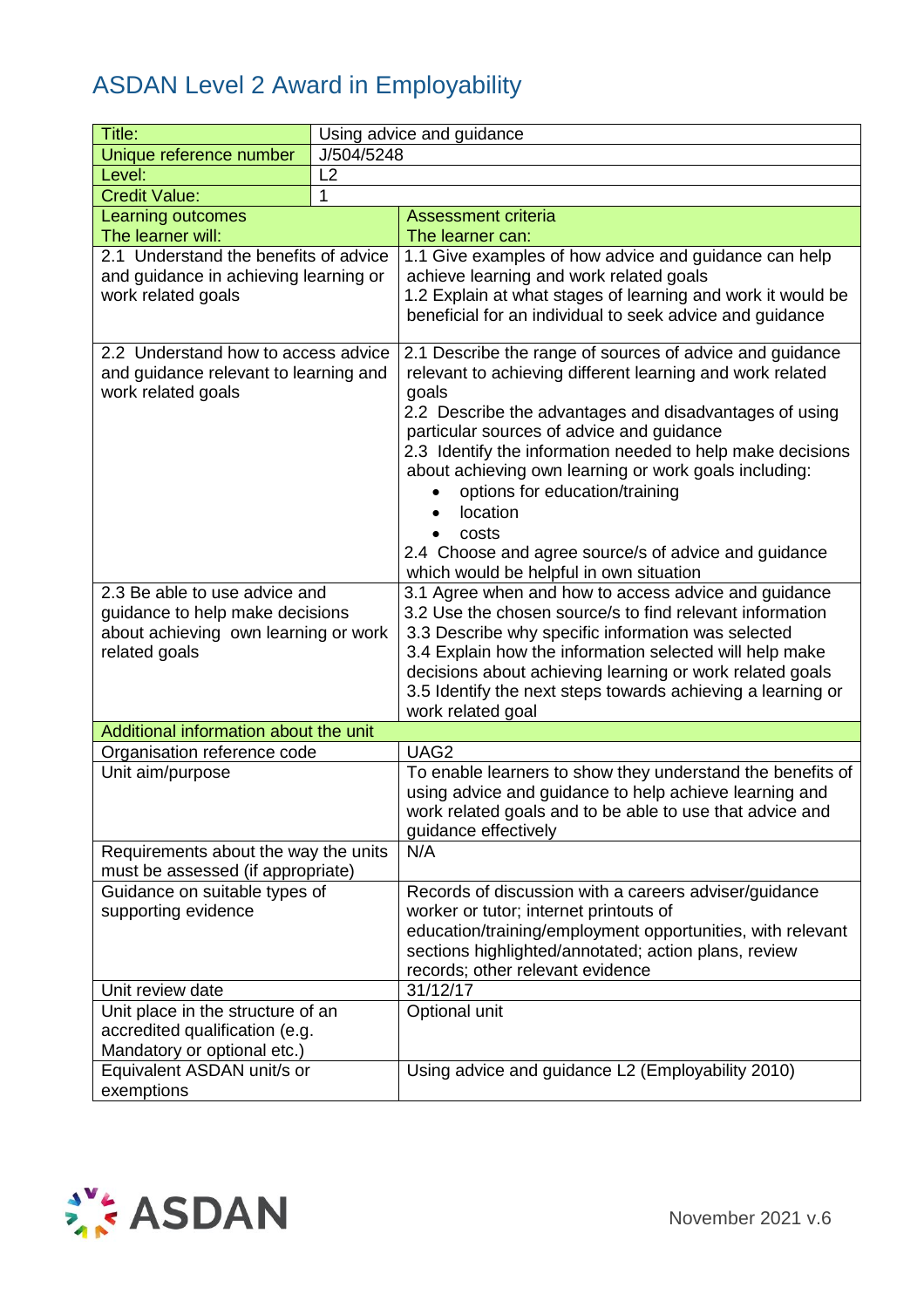| Title:                                                                                               |            | Using advice and guidance                                                                                                                                                                                                                                                                                                                                                                                                                                                                                              |
|------------------------------------------------------------------------------------------------------|------------|------------------------------------------------------------------------------------------------------------------------------------------------------------------------------------------------------------------------------------------------------------------------------------------------------------------------------------------------------------------------------------------------------------------------------------------------------------------------------------------------------------------------|
| Unique reference number                                                                              | J/504/5248 |                                                                                                                                                                                                                                                                                                                                                                                                                                                                                                                        |
| Level:                                                                                               | L2         |                                                                                                                                                                                                                                                                                                                                                                                                                                                                                                                        |
| <b>Credit Value:</b>                                                                                 | 1          |                                                                                                                                                                                                                                                                                                                                                                                                                                                                                                                        |
| Learning outcomes                                                                                    |            | <b>Assessment criteria</b>                                                                                                                                                                                                                                                                                                                                                                                                                                                                                             |
| The learner will:                                                                                    |            | The learner can:                                                                                                                                                                                                                                                                                                                                                                                                                                                                                                       |
| 2.1 Understand the benefits of advice<br>and guidance in achieving learning or<br>work related goals |            | 1.1 Give examples of how advice and guidance can help<br>achieve learning and work related goals<br>1.2 Explain at what stages of learning and work it would be<br>beneficial for an individual to seek advice and guidance                                                                                                                                                                                                                                                                                            |
| 2.2 Understand how to access advice<br>and guidance relevant to learning and<br>work related goals   |            | 2.1 Describe the range of sources of advice and guidance<br>relevant to achieving different learning and work related<br>goals<br>2.2 Describe the advantages and disadvantages of using<br>particular sources of advice and guidance<br>2.3 Identify the information needed to help make decisions<br>about achieving own learning or work goals including:<br>options for education/training<br>location<br>costs<br>2.4 Choose and agree source/s of advice and guidance<br>which would be helpful in own situation |
| 2.3 Be able to use advice and<br>guidance to help make decisions                                     |            | 3.1 Agree when and how to access advice and guidance<br>3.2 Use the chosen source/s to find relevant information                                                                                                                                                                                                                                                                                                                                                                                                       |
| about achieving own learning or work<br>related goals                                                |            | 3.3 Describe why specific information was selected<br>3.4 Explain how the information selected will help make<br>decisions about achieving learning or work related goals<br>3.5 Identify the next steps towards achieving a learning or<br>work related goal                                                                                                                                                                                                                                                          |
| Additional information about the unit                                                                |            |                                                                                                                                                                                                                                                                                                                                                                                                                                                                                                                        |
| Organisation reference code                                                                          |            | UAG2                                                                                                                                                                                                                                                                                                                                                                                                                                                                                                                   |
| Unit aim/purpose                                                                                     |            | To enable learners to show they understand the benefits of<br>using advice and guidance to help achieve learning and<br>work related goals and to be able to use that advice and<br>guidance effectively                                                                                                                                                                                                                                                                                                               |
| Requirements about the way the units<br>must be assessed (if appropriate)                            |            | N/A                                                                                                                                                                                                                                                                                                                                                                                                                                                                                                                    |
| Guidance on suitable types of                                                                        |            | Records of discussion with a careers adviser/guidance                                                                                                                                                                                                                                                                                                                                                                                                                                                                  |
| supporting evidence                                                                                  |            | worker or tutor; internet printouts of<br>education/training/employment opportunities, with relevant<br>sections highlighted/annotated; action plans, review<br>records; other relevant evidence                                                                                                                                                                                                                                                                                                                       |
| Unit review date                                                                                     |            | 31/12/17                                                                                                                                                                                                                                                                                                                                                                                                                                                                                                               |
| Unit place in the structure of an<br>accredited qualification (e.g.<br>Mandatory or optional etc.)   |            | Optional unit                                                                                                                                                                                                                                                                                                                                                                                                                                                                                                          |
| Equivalent ASDAN unit/s or<br>exemptions                                                             |            | Using advice and guidance L2 (Employability 2010)                                                                                                                                                                                                                                                                                                                                                                                                                                                                      |

![](_page_34_Picture_2.jpeg)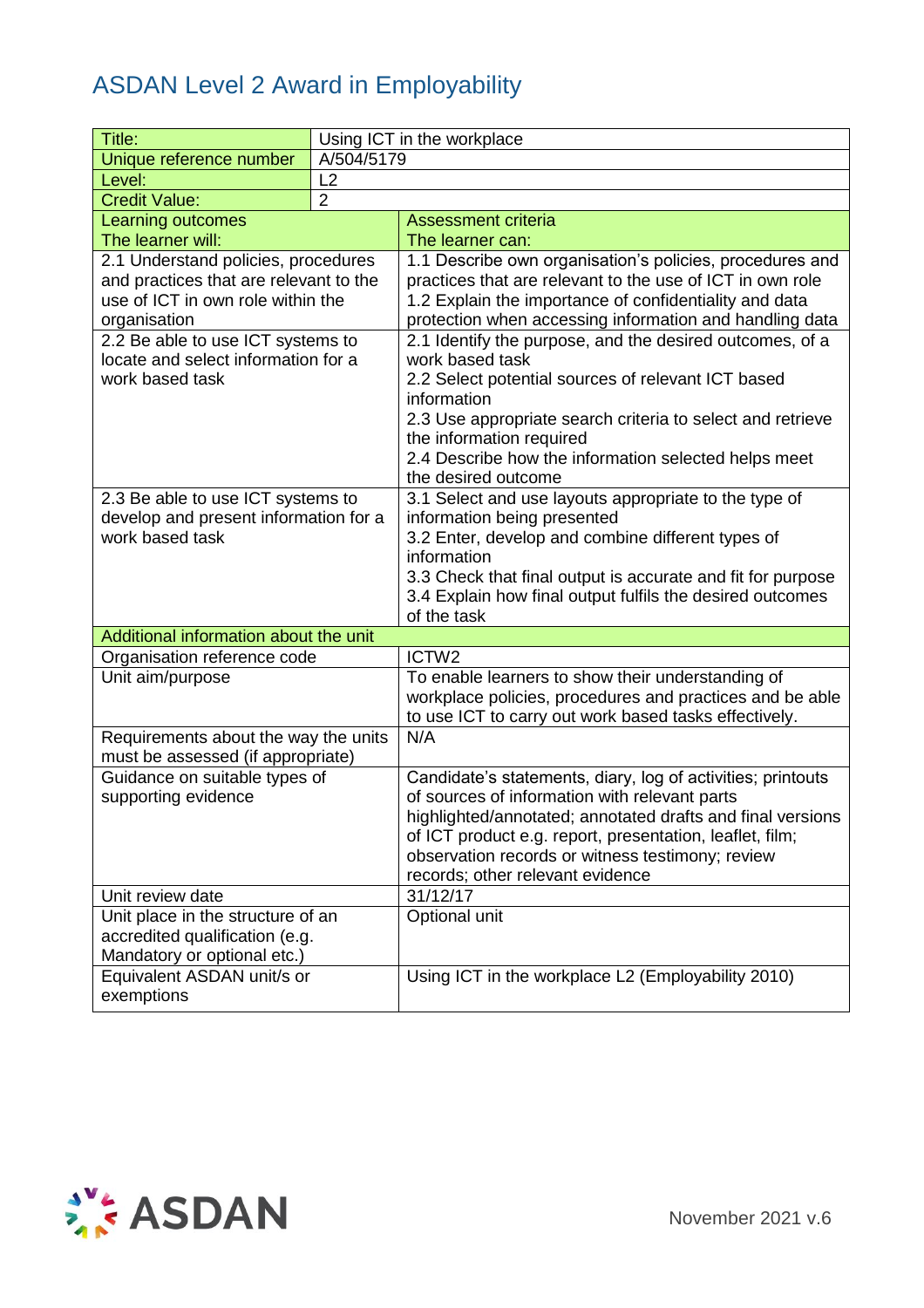| Title:                                                   |                | Using ICT in the workplace                                       |
|----------------------------------------------------------|----------------|------------------------------------------------------------------|
| Unique reference number                                  | A/504/5179     |                                                                  |
| Level:                                                   | L2             |                                                                  |
| <b>Credit Value:</b>                                     | $\overline{2}$ |                                                                  |
| Learning outcomes                                        |                | <b>Assessment criteria</b>                                       |
| The learner will:                                        |                | The learner can:                                                 |
| 2.1 Understand policies, procedures                      |                | 1.1 Describe own organisation's policies, procedures and         |
| and practices that are relevant to the                   |                | practices that are relevant to the use of ICT in own role        |
| use of ICT in own role within the                        |                | 1.2 Explain the importance of confidentiality and data           |
| organisation                                             |                | protection when accessing information and handling data          |
| 2.2 Be able to use ICT systems to                        |                | 2.1 Identify the purpose, and the desired outcomes, of a         |
| locate and select information for a                      |                | work based task                                                  |
| work based task                                          |                | 2.2 Select potential sources of relevant ICT based               |
|                                                          |                | information                                                      |
|                                                          |                | 2.3 Use appropriate search criteria to select and retrieve       |
|                                                          |                | the information required                                         |
|                                                          |                | 2.4 Describe how the information selected helps meet             |
|                                                          |                | the desired outcome                                              |
| 2.3 Be able to use ICT systems to                        |                | 3.1 Select and use layouts appropriate to the type of            |
| develop and present information for a<br>work based task |                | information being presented                                      |
|                                                          |                | 3.2 Enter, develop and combine different types of<br>information |
|                                                          |                | 3.3 Check that final output is accurate and fit for purpose      |
|                                                          |                | 3.4 Explain how final output fulfils the desired outcomes        |
|                                                          |                | of the task                                                      |
| Additional information about the unit                    |                |                                                                  |
| Organisation reference code                              |                | ICTW2                                                            |
| Unit aim/purpose                                         |                | To enable learners to show their understanding of                |
|                                                          |                | workplace policies, procedures and practices and be able         |
|                                                          |                | to use ICT to carry out work based tasks effectively.            |
| Requirements about the way the units                     |                | N/A                                                              |
| must be assessed (if appropriate)                        |                |                                                                  |
| Guidance on suitable types of                            |                | Candidate's statements, diary, log of activities; printouts      |
| supporting evidence                                      |                | of sources of information with relevant parts                    |
|                                                          |                | highlighted/annotated; annotated drafts and final versions       |
|                                                          |                | of ICT product e.g. report, presentation, leaflet, film;         |
|                                                          |                | observation records or witness testimony; review                 |
|                                                          |                | records; other relevant evidence                                 |
| Unit review date                                         |                | 31/12/17                                                         |
| Unit place in the structure of an                        |                | Optional unit                                                    |
| accredited qualification (e.g.                           |                |                                                                  |
| Mandatory or optional etc.)                              |                |                                                                  |
| Equivalent ASDAN unit/s or                               |                | Using ICT in the workplace L2 (Employability 2010)               |
| exemptions                                               |                |                                                                  |

![](_page_35_Picture_2.jpeg)